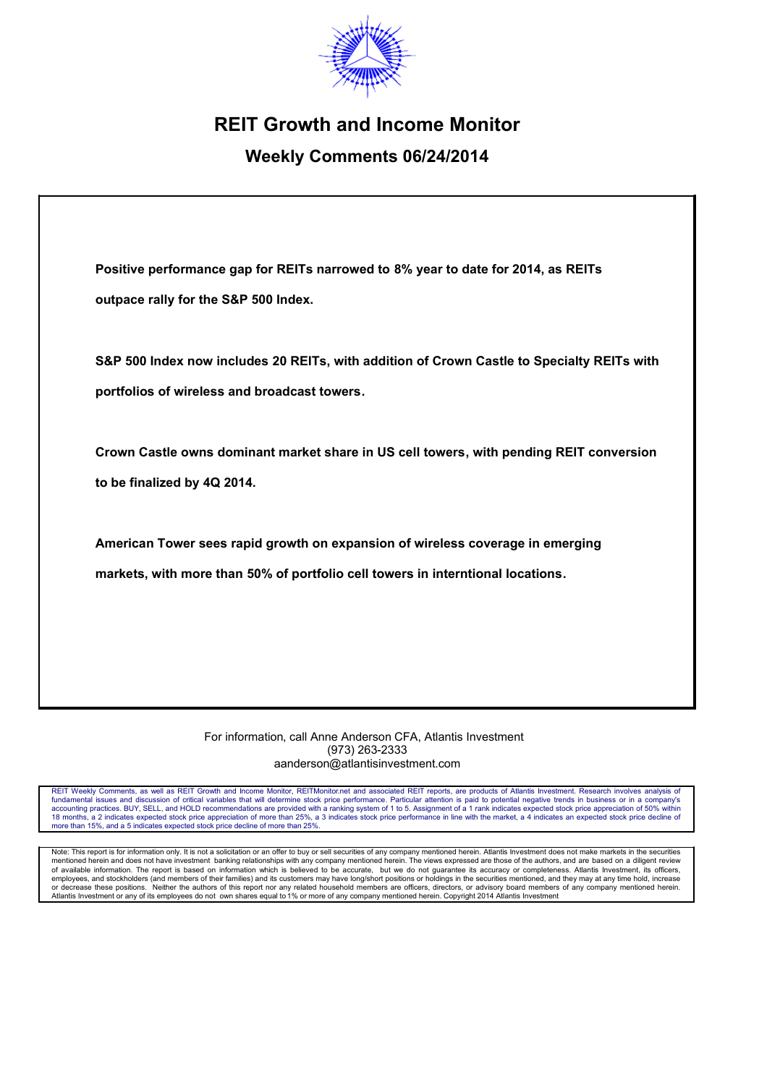

# **REIT Growth and Income Monitor**

## **Weekly Comments 06/24/2014**

| Positive performance gap for REITs narrowed to 8% year to date for 2014, as REITs |
|-----------------------------------------------------------------------------------|
| outpace rally for the S&P 500 Index.                                              |

**S&P 500 Index now includes 20 REITs, with addition of Crown Castle to Specialty REITs with portfolios of wireless and broadcast towers.**

**Crown Castle owns dominant market share in US cell towers, with pending REIT conversion to be finalized by 4Q 2014.**

**American Tower sees rapid growth on expansion of wireless coverage in emerging markets, with more than 50% of portfolio cell towers in interntional locations.**

> For information, call Anne Anderson CFA, Atlantis Investment (973) 263-2333 aanderson@atlantisinvestment.com

REIT Weekly Comments, as well as REIT Growth and Income Monitor, REITMonitor.net and associated REIT reports, are products of Atlantis Investment. Research involves analysis of fundamental issues and discussion of critical variables that will determine stock price performance. Particular attention is paid to potential negative trends in business or in a company's accounting practices. BUY, SELL, and HOLD recommendations are provided with a ranking system of 1 to 5. Assignment of a 1 rank indicates expected stock price appreciation of 50% within<br>18 months, a 2 indicates expected sto more than 15%, and a 5 indicates expected stock price decline of more than 25%.

Note: This report is for information only. It is not a solicitation or an offer to buy or sell securities of any company mentioned herein. Atlantis Investment does not make markets in the securities<br>mentioned herein and do of available information. The report is based on information which is believed to be accurate, but we do not guarantee its accuracy or completeness. Atlantis Investment, its officers,<br>employees, and stockholders (and membe Atlantis Investment or any of its employees do not own shares equal to 1% or more of any company mentioned herein. Copyright 2014 Atlantis Investment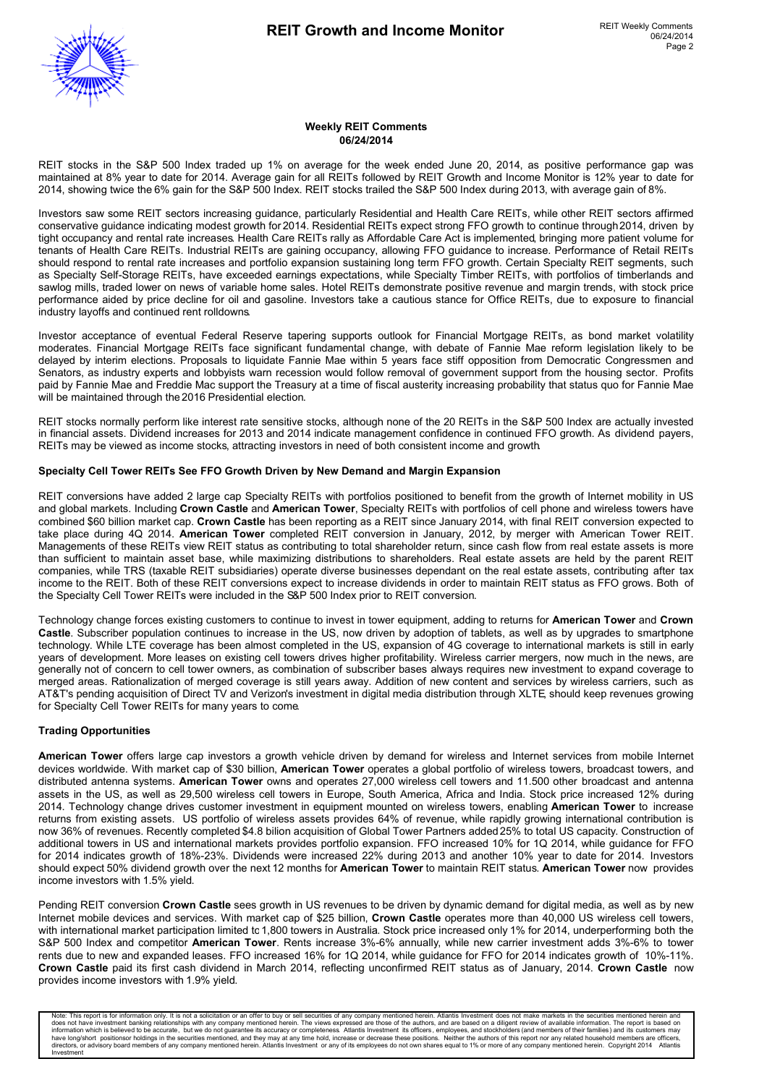

#### **Weekly REIT Comments 06/24/2014**

REIT stocks in the S&P 500 Index traded up 1% on average for the week ended June 20, 2014, as positive performance gap was maintained at 8% year to date for 2014. Average gain for all REITs followed by REIT Growth and Income Monitor is 12% year to date for 2014, showing twice the 6% gain for the S&P 500 Index. REIT stocks trailed the S&P 500 Index during 2013, with average gain of 8%.

Investors saw some REIT sectors increasing guidance, particularly Residential and Health Care REITs, while other REIT sectors affirmed conservative guidance indicating modest growth for 2014. Residential REITs expect strong FFO growth to continue through 2014, driven by tight occupancy and rental rate increases. Health Care REITs rally as Affordable Care Act is implemented, bringing more patient volume for tenants of Health Care REITs. Industrial REITs are gaining occupancy, allowing FFO guidance to increase. Performance of Retail REITs should respond to rental rate increases and portfolio expansion sustaining long term FFO growth. Certain Specialty REIT segments, such as Specialty Self-Storage REITs, have exceeded earnings expectations, while Specialty Timber REITs, with portfolios of timberlands and sawlog mills, traded lower on news of variable home sales. Hotel REITs demonstrate positive revenue and margin trends, with stock price performance aided by price decline for oil and gasoline. Investors take a cautious stance for Office REITs, due to exposure to financial industry layoffs and continued rent rolldowns.

Investor acceptance of eventual Federal Reserve tapering supports outlook for Financial Mortgage REITs, as bond market volatility moderates. Financial Mortgage REITs face significant fundamental change, with debate of Fannie Mae reform legislation likely to be delayed by interim elections. Proposals to liquidate Fannie Mae within 5 years face stiff opposition from Democratic Congressmen and Senators, as industry experts and lobbyists warn recession would follow removal of government support from the housing sector. Profits paid by Fannie Mae and Freddie Mac support the Treasury at a time of fiscal austerity increasing probability that status quo for Fannie Mae will be maintained through the 2016 Presidential election.

REIT stocks normally perform like interest rate sensitive stocks, although none of the 20 REITs in the S&P 500 Index are actually invested in financial assets. Dividend increases for 2013 and 2014 indicate management confidence in continued FFO growth. As dividend payers, REITs may be viewed as income stocks, attracting investors in need of both consistent income and growth.

#### **Specialty Cell Tower REITs See FFO Growth Driven by New Demand and Margin Expansion**

REIT conversions have added 2 large cap Specialty REITs with portfolios positioned to benefit from the growth of Internet mobility in US and global markets. Including **Crown Castle** and **American Tower**, Specialty REITs with portfolios of cell phone and wireless towers have combined \$60 billion market cap. **Crown Castle** has been reporting as a REIT since January 2014, with final REIT conversion expected to take place during 4Q 2014. **American Tower** completed REIT conversion in January, 2012, by merger with American Tower REIT. Managements of these REITs view REIT status as contributing to total shareholder return, since cash flow from real estate assets is more than sufficient to maintain asset base, while maximizing distributions to shareholders. Real estate assets are held by the parent REIT companies, while TRS (taxable REIT subsidiaries) operate diverse businesses dependant on the real estate assets, contributing after tax income to the REIT. Both of these REIT conversions expect to increase dividends in order to maintain REIT status as FFO grows. Both of the Specialty Cell Tower REITs were included in the S&P 500 Index prior to REIT conversion.

Technology change forces existing customers to continue to invest in tower equipment, adding to returns for **American Tower** and **Crown Castle**. Subscriber population continues to increase in the US, now driven by adoption of tablets, as well as by upgrades to smartphone technology. While LTE coverage has been almost completed in the US, expansion of 4G coverage to international markets is still in early years of development. More leases on existing cell towers drives higher profitability. Wireless carrier mergers, now much in the news, are generally not of concern to cell tower owners, as combination of subscriber bases always requires new investment to expand coverage to merged areas. Rationalization of merged coverage is still years away. Addition of new content and services by wireless carriers, such as AT&T's pending acquisition of Direct TV and Verizon's investment in digital media distribution through XLTE, should keep revenues growing for Specialty Cell Tower REITs for many years to come.

#### **Trading Opportunities**

**American Tower** offers large cap investors a growth vehicle driven by demand for wireless and Internet services from mobile Internet devices worldwide. With market cap of \$30 billion, **American Tower** operates a global portfolio of wireless towers, broadcast towers, and distributed antenna systems. **American Tower** owns and operates 27,000 wireless cell towers and 11.500 other broadcast and antenna assets in the US, as well as 29,500 wireless cell towers in Europe, South America, Africa and India. Stock price increased 12% during 2014. Technology change drives customer investment in equipment mounted on wireless towers, enabling **American Tower** to increase returns from existing assets. US portfolio of wireless assets provides 64% of revenue, while rapidly growing international contribution is now 36% of revenues. Recently completed \$4.8 bilion acquisition of Global Tower Partners added 25% to total US capacity. Construction of additional towers in US and international markets provides portfolio expansion. FFO increased 10% for 1Q 2014, while guidance for FFO for 2014 indicates growth of 18%-23%. Dividends were increased 22% during 2013 and another 10% year to date for 2014. Investors should expect 50% dividend growth over the next 12 months for **American Tower** to maintain REIT status. **American Tower** now provides income investors with 1.5% yield.

Pending REIT conversion **Crown Castle** sees growth in US revenues to be driven by dynamic demand for digital media, as well as by new Internet mobile devices and services. With market cap of \$25 billion, **Crown Castle** operates more than 40,000 US wireless cell towers, with international market participation limited to 1,800 towers in Australia. Stock price increased only 1% for 2014, underperforming both the S&P 500 Index and competitor **American Tower**. Rents increase 3%-6% annually, while new carrier investment adds 3%-6% to tower rents due to new and expanded leases. FFO increased 16% for 1Q 2014, while guidance for FFO for 2014 indicates growth of 10%-11%. **Crown Castle** paid its first cash dividend in March 2014, reflecting unconfirmed REIT status as of January, 2014. **Crown Castle** now provides income investors with 1.9% yield.

Note: This report is for information only. It is not a solicitation or an offer to buy or sell securities of any company mentioned herein. Atlantis Investment does not make markets in the securities mentioned herein and do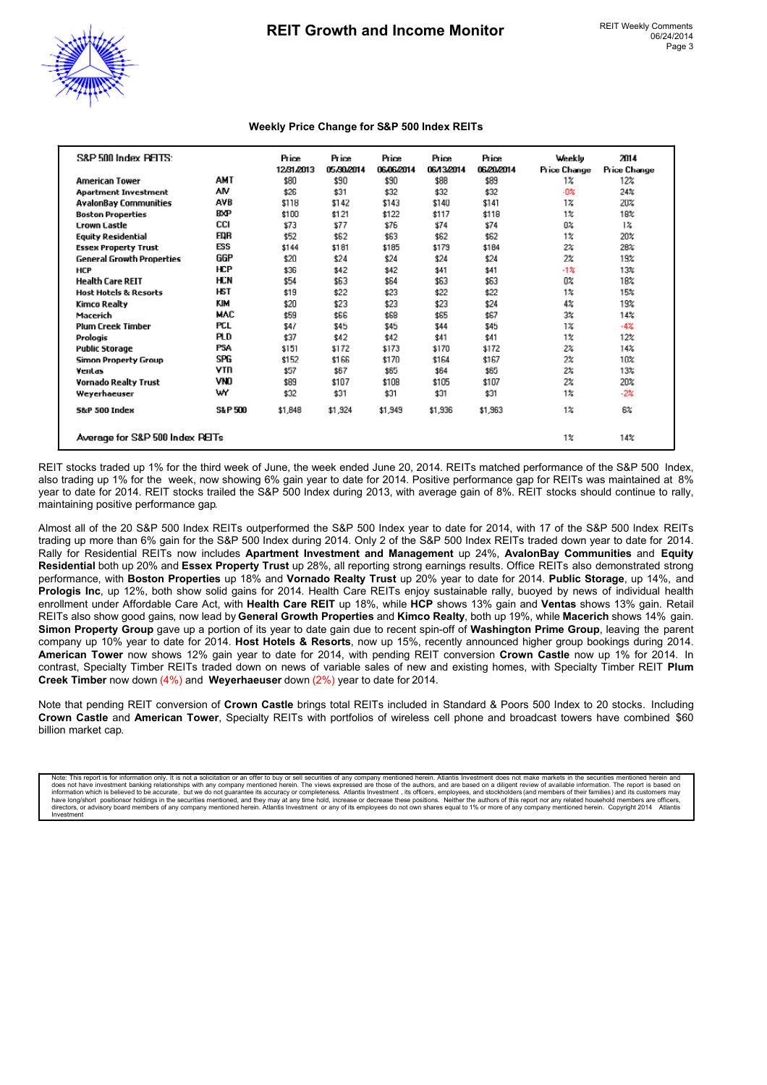

#### **Weekly Price Change for S&P 500 Index REITs**

| S&P 500 Index PELTS:             |                   | <b>Price</b><br>12/31/2013 | Price<br>05/30/2014 | <b>Price</b><br>06/06/2014 | <b>Price</b><br>06/13/2014 | <b>Price</b><br>06/20/2014 | Weeklu<br>Price Change | 2014<br>Price Change |
|----------------------------------|-------------------|----------------------------|---------------------|----------------------------|----------------------------|----------------------------|------------------------|----------------------|
| <b>American Tower</b>            | <b>AMT</b>        | \$80                       | \$90                | \$90                       | \$88                       | \$89                       | $1\%$                  | 12%                  |
| <b>Apartment Investment</b>      | AM                | \$26                       | \$31                | \$32                       | \$32                       | \$32                       | $-0\%$                 | 24%                  |
| <b>AvalonBay Communities</b>     | <b>AVB</b>        | \$118                      | \$142               | \$143                      | \$140                      | \$141                      | $1\%$                  | 20%                  |
| <b>Boston Properties</b>         | <b>BXP</b>        | \$100                      | \$121               | \$122                      | \$117                      | \$118                      | $1\%$                  | 18%                  |
| <b>Crown Castle</b>              | CCI               | \$73                       | \$77                | \$76                       | \$74                       | \$74                       | 0%                     | $1\%$                |
| <b>Equity Residential</b>        | EQR               | \$52                       | \$62                | \$63                       | \$62                       | \$62                       | $1\%$                  | 20%                  |
| <b>Essex Property Trust</b>      | ESS               | \$144                      | \$181               | \$185                      | \$179                      | \$184                      | $2\%$                  | 28%                  |
| <b>General Growth Properties</b> | GGP               | \$20                       | \$24                | \$24                       | \$24                       | \$24                       | 2%                     | 19%                  |
| <b>HCP</b>                       | <b>HCP</b>        | \$36                       | \$42                | \$42                       | \$41                       | \$41                       | $-1%$                  | 13%                  |
| <b>Health Care REIT</b>          | HCN               | \$54                       | \$63                | \$64                       | \$63                       | \$63                       | 0%                     | 18%                  |
| <b>Host Hotels &amp; Resorts</b> | <b>HST</b>        | \$19                       | \$22                | \$23                       | \$22                       | \$22                       | $1\%$                  | 15%                  |
| Kimco Realty                     | KIM               | \$20                       | \$23                | \$23                       | \$23                       | \$24                       | $4\%$                  | 19%                  |
| Macerich                         | MAC               | \$59                       | \$66                | \$68                       | \$65                       | \$67                       | $3\%$                  | 14%                  |
| <b>Plum Creek Timber</b>         | <b>PCL</b>        | \$47                       | \$45                | \$45                       | \$44                       | \$45                       | $1\%$                  | $-4%$                |
| Prologis                         | <b>PLD</b>        | \$37                       | \$42                | \$42                       | \$41                       | \$41                       | $1\%$                  | 12%                  |
| <b>Public Storage</b>            | <b>PSA</b>        | \$151                      | \$172               | \$173                      | \$170                      | \$172                      | $2\%$                  | 14%                  |
| Simon Property Group             | SPG               | \$152                      | \$166               | \$170                      | \$164                      | \$167                      | 2%                     | 10%                  |
| Ventas                           | <b>VTR</b>        | \$57                       | \$67                | \$65                       | \$64                       | \$65                       | 2%                     | 13%                  |
| <b>Vornado Realty Trust</b>      | VNO               | \$89                       | \$107               | \$108                      | \$105                      | \$107                      | 2%                     | 20%                  |
| Weyerhaeuser                     | w                 | \$32                       | \$31                | \$31                       | \$31                       | \$31                       | $1\%$                  | $-2%$                |
| <b>5&amp;P 500 Index</b>         | <b>S&amp;P500</b> | \$1,848                    | \$1,924             | \$1,949                    | \$1,936                    | \$1,963                    | $1\%$                  | 6%                   |
| Average for S&P 500 Index PEITs  |                   |                            |                     |                            |                            |                            | $1\%$                  | 14%                  |

REIT stocks traded up 1% for the third week of June, the week ended June 20, 2014. REITs matched performance of the S&P 500 Index, also trading up 1% for the week, now showing 6% gain year to date for 2014. Positive performance gap for REITs was maintained at 8% year to date for 2014. REIT stocks trailed the S&P 500 Index during 2013, with average gain of 8%. REIT stocks should continue to rally, maintaining positive performance gap.

Almost all of the 20 S&P 500 Index REITs outperformed the S&P 500 Index year to date for 2014, with 17 of the S&P 500 Index REITs trading up more than 6% gain for the S&P 500 Index during 2014. Only 2 of the S&P 500 Index REITs traded down year to date for 2014. Rally for Residential REITs now includes **Apartment Investment and Management** up 24%, **AvalonBay Communities** and **Equity Residential** both up 20% and **Essex Property Trust** up 28%, all reporting strong earnings results. Office REITs also demonstrated strong performance, with **Boston Properties** up 18% and **Vornado Realty Trust** up 20% year to date for 2014. **Public Storage**, up 14%, and **Prologis Inc**, up 12%, both show solid gains for 2014. Health Care REITs enjoy sustainable rally, buoyed by news of individual health enrollment under Affordable Care Act, with **Health Care REIT** up 18%, while **HCP** shows 13% gain and **Ventas** shows 13% gain. Retail REITs also show good gains, now lead by **General Growth Properties** and **Kimco Realty**, both up 19%, while **Macerich** shows 14% gain. **Simon Property Group** gave up a portion of its year to date gain due to recent spin-off of **Washington Prime Group**, leaving the parent company up 10% year to date for 2014. **Host Hotels & Resorts**, now up 15%, recently announced higher group bookings during 2014. **American Tower** now shows 12% gain year to date for 2014, with pending REIT conversion **Crown Castle** now up 1% for 2014. In contrast, Specialty Timber REITs traded down on news of variable sales of new and existing homes, with Specialty Timber REIT **Plum Creek Timber** now down (4%) and **Weyerhaeuser** down (2%) year to date for 2014.

Note that pending REIT conversion of **Crown Castle** brings total REITs included in Standard & Poors 500 Index to 20 stocks. Including **Crown Castle** and **American Tower**, Specialty REITs with portfolios of wireless cell phone and broadcast towers have combined \$60 billion market cap.

Note: This report is for information only. It is not a solicitation or an offer to buy or sell securities of any company mentioned herein. Atlantis Investment does not make markets in the securities mentioned herein and do directors, or advisory board members of any company mentioned herein. Atlantis Investment or any of its employees do not own shares equal to 1% or more of any company mentioned herein. Copyright 2014 Atlantis Investment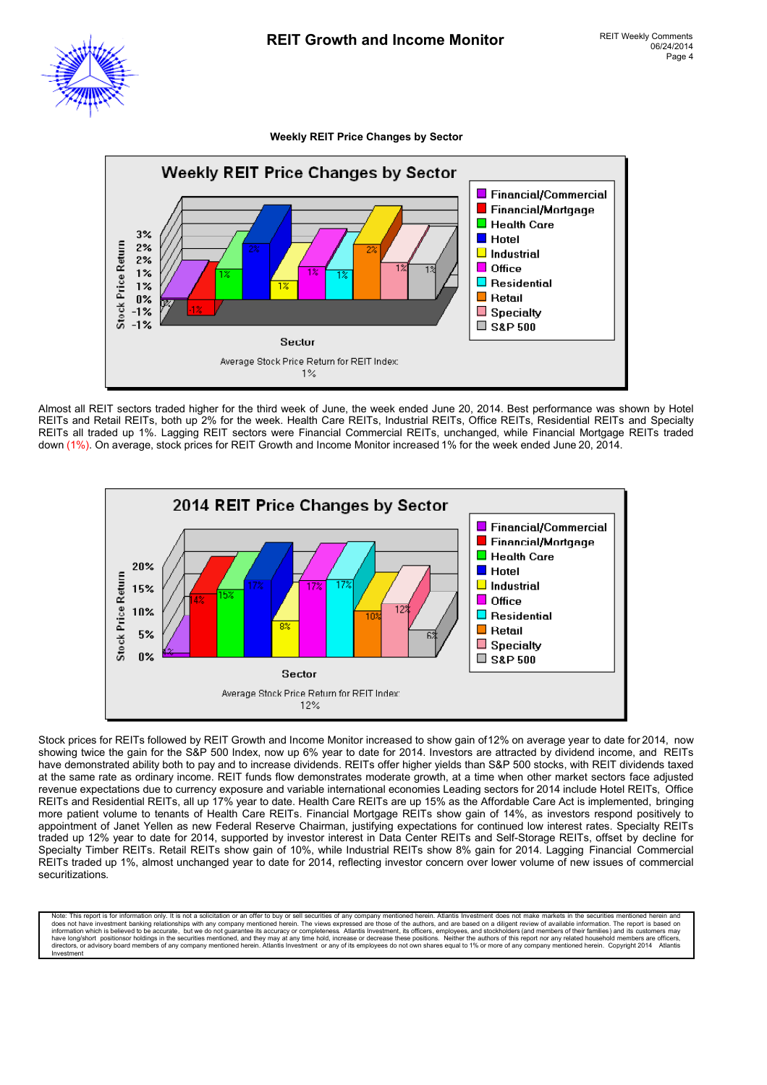

**Weekly REIT Price Changes by Sector**



Almost all REIT sectors traded higher for the third week of June, the week ended June 20, 2014. Best performance was shown by Hotel REITs and Retail REITs, both up 2% for the week. Health Care REITs, Industrial REITs, Office REITs, Residential REITs and Specialty REITs all traded up 1%. Lagging REIT sectors were Financial Commercial REITs, unchanged, while Financial Mortgage REITs traded down (1%). On average, stock prices for REIT Growth and Income Monitor increased 1% for the week ended June 20, 2014.



Stock prices for REITs followed by REIT Growth and Income Monitor increased to show gain of 12% on average year to date for 2014, now showing twice the gain for the S&P 500 Index, now up 6% year to date for 2014. Investors are attracted by dividend income, and REITs have demonstrated ability both to pay and to increase dividends. REITs offer higher yields than S&P 500 stocks, with REIT dividends taxed at the same rate as ordinary income. REIT funds flow demonstrates moderate growth, at a time when other market sectors face adjusted revenue expectations due to currency exposure and variable international economies Leading sectors for 2014 include Hotel REITs, Office REITs and Residential REITs, all up 17% year to date. Health Care REITs are up 15% as the Affordable Care Act is implemented, bringing more patient volume to tenants of Health Care REITs. Financial Mortgage REITs show gain of 14%, as investors respond positively to appointment of Janet Yellen as new Federal Reserve Chairman, justifying expectations for continued low interest rates. Specialty REITs traded up 12% year to date for 2014, supported by investor interest in Data Center REITs and Self-Storage REITs, offset by decline for Specialty Timber REITs. Retail REITs show gain of 10%, while Industrial REITs show 8% gain for 2014. Lagging Financial Commercial REITs traded up 1%, almost unchanged year to date for 2014, reflecting investor concern over lower volume of new issues of commercial securitizations.

Note: This report is for information only. It is not a solicitation or an offer to buy or sell securities of any company mentioned herein. Atlantis Investment does not make markets in the securities mentioned herein and<br>do information which is believed to be accurate, but we do not guarantee its accuracy or completeness. Atlantis Investment, its officers, employees, and stockholders (and members of their families) and its customers may<br>direc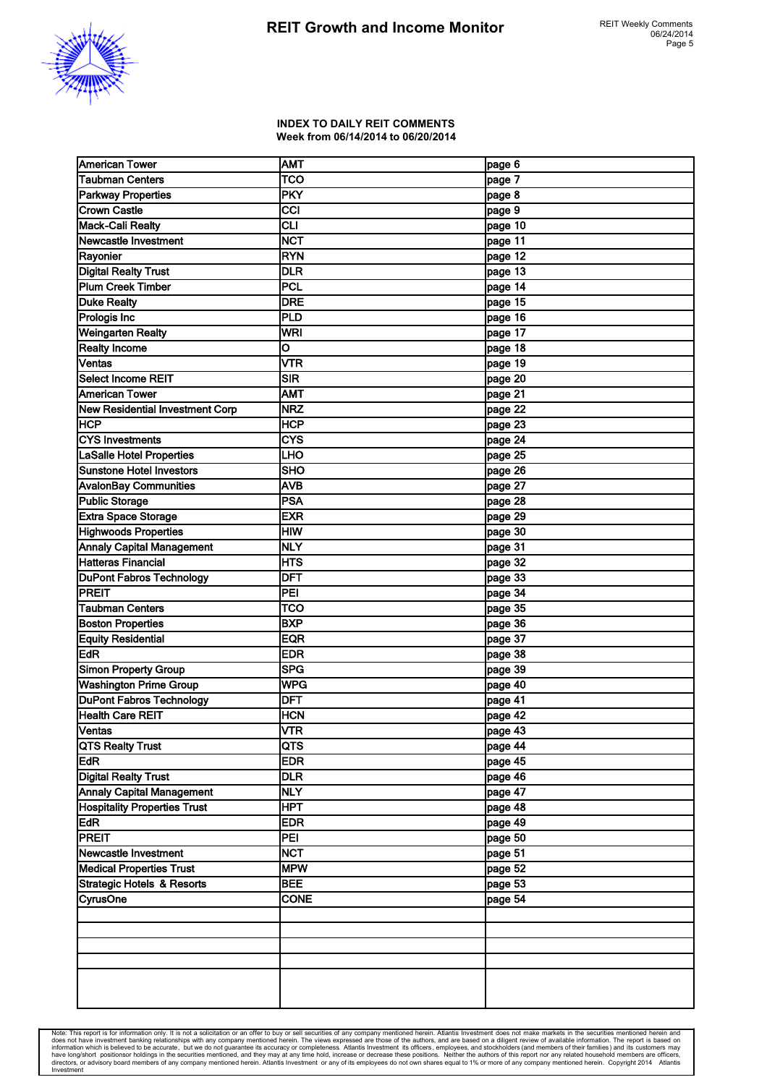

#### **INDEX TO DAILY REIT COMMENTS Week from 06/14/2014 to 06/20/2014**

| <b>American Tower</b>                 | <b>AMT</b>                | page 6  |
|---------------------------------------|---------------------------|---------|
| <b>Taubman Centers</b>                | <b>TCO</b>                | page 7  |
| <b>Parkway Properties</b>             | PKY                       | page 8  |
| <b>Crown Castle</b>                   | <b>CCI</b>                | page 9  |
| <b>Mack-Cali Realty</b>               | CLI                       | page 10 |
| <b>Newcastle Investment</b>           | <b>NCT</b>                | page 11 |
| Rayonier                              | <b>RYN</b>                | page 12 |
| <b>Digital Realty Trust</b>           | <b>DLR</b>                | page 13 |
| <b>Plum Creek Timber</b>              | <b>PCL</b>                | page 14 |
| <b>Duke Realty</b>                    | <b>DRE</b>                | page 15 |
| Prologis Inc                          | PLD                       | page 16 |
| Weingarten Realty                     | <b>WRI</b>                | page 17 |
| <b>Realty Income</b>                  | O                         | page 18 |
| Ventas                                | <b>VTR</b>                | page 19 |
| <b>Select Income REIT</b>             | <b>SIR</b>                | page 20 |
| American Tower                        | <b>AMT</b>                | page 21 |
| New Residential Investment Corp       | <b>NRZ</b>                | page 22 |
| <b>HCP</b>                            | <b>HCP</b>                | page 23 |
| <b>CYS Investments</b>                | <b>CYS</b>                | page 24 |
| <b>LaSalle Hotel Properties</b>       | LHO                       | page 25 |
| <b>Sunstone Hotel Investors</b>       | <b>SHO</b>                | page 26 |
| <b>AvalonBay Communities</b>          | <b>AVB</b>                | page 27 |
| <b>Public Storage</b>                 | <b>PSA</b>                | page 28 |
| Extra Space Storage                   | <b>EXR</b>                | page 29 |
| <b>Highwoods Properties</b>           | <b>HIW</b>                | page 30 |
| <b>Annaly Capital Management</b>      | <b>NLY</b>                | page 31 |
| Hatteras Financial                    | HTS                       | page 32 |
| <b>DuPont Fabros Technology</b>       | <b>DFT</b>                | page 33 |
| <b>PREIT</b>                          | PEI                       | page 34 |
| <b>Taubman Centers</b>                | TCO                       | page 35 |
| <b>Boston Properties</b>              | <b>BXP</b>                | page 36 |
| <b>Equity Residential</b>             | <b>EQR</b>                | page 37 |
| EdR                                   | <b>EDR</b>                | page 38 |
| <b>Simon Property Group</b>           | <b>SPG</b>                | page 39 |
| <b>Washington Prime Group</b>         | <b>WPG</b>                | page 40 |
| <b>DuPont Fabros Technology</b>       | <b>DFT</b>                | page 41 |
| <b>Health Care REIT</b>               | IHCN                      | page 42 |
| Ventas                                | $\overline{\mathsf{NTR}}$ | page 43 |
| <b>QTS Realty Trust</b>               | QTS                       | page 44 |
| <b>EdR</b>                            | <b>EDR</b>                | page 45 |
| Digital Realty Trust                  | <b>DLR</b>                | page 46 |
| <b>Annaly Capital Management</b>      | <b>NLY</b>                | page 47 |
| <b>Hospitality Properties Trust</b>   | HPT                       | page 48 |
| <b>EdR</b>                            | <b>EDR</b>                | page 49 |
| <b>PREIT</b>                          | PEI                       | page 50 |
| Newcastle Investment                  | <b>NCT</b>                | page 51 |
| <b>Medical Properties Trust</b>       | <b>MPW</b>                | page 52 |
| <b>Strategic Hotels &amp; Resorts</b> | <b>BEE</b>                | page 53 |
| <b>CyrusOne</b>                       | <b>CONE</b>               | page 54 |
|                                       |                           |         |
|                                       |                           |         |
|                                       |                           |         |
|                                       |                           |         |
|                                       |                           |         |
|                                       |                           |         |
|                                       |                           |         |

Note: This report is for information only. It is not a solicitation or an offer to buy or sell securities of any company mentioned herein. Atlantis Investment does not make markets in the securities mentioned herein and do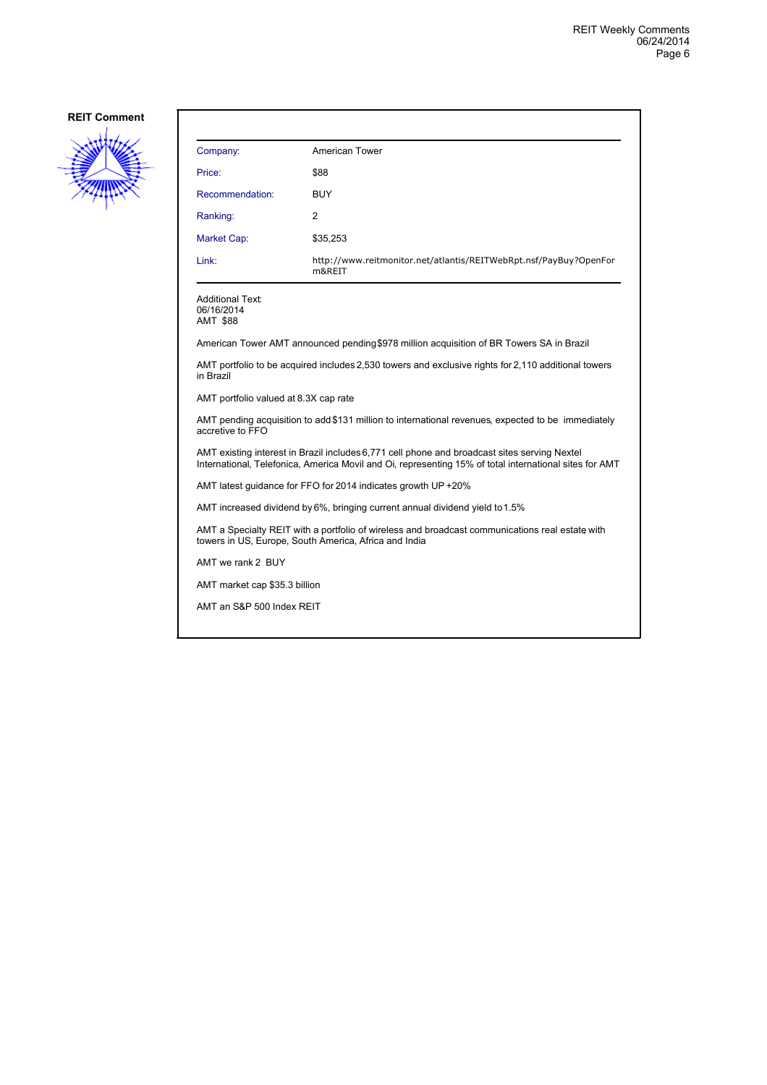

| Company:                                                                                                                                                                                               | American Tower                                                                                      |  |
|--------------------------------------------------------------------------------------------------------------------------------------------------------------------------------------------------------|-----------------------------------------------------------------------------------------------------|--|
| Price:                                                                                                                                                                                                 | \$88                                                                                                |  |
| Recommendation:                                                                                                                                                                                        | <b>BUY</b>                                                                                          |  |
| Ranking:                                                                                                                                                                                               | 2                                                                                                   |  |
| Market Cap:                                                                                                                                                                                            | \$35,253                                                                                            |  |
| Link:                                                                                                                                                                                                  | http://www.reitmonitor.net/atlantis/REITWebRpt.nsf/PayBuy?OpenFor<br>m&REIT                         |  |
| <b>Additional Text:</b><br>06/16/2014<br><b>AMT \$88</b>                                                                                                                                               |                                                                                                     |  |
|                                                                                                                                                                                                        | American Tower AMT announced pending \$978 million acquisition of BR Towers SA in Brazil            |  |
| in Brazil                                                                                                                                                                                              | AMT portfolio to be acquired includes 2,530 towers and exclusive rights for 2,110 additional towers |  |
| AMT portfolio valued at 8.3X cap rate                                                                                                                                                                  |                                                                                                     |  |
| AMT pending acquisition to add \$131 million to international revenues, expected to be immediately<br>accretive to FFO                                                                                 |                                                                                                     |  |
| AMT existing interest in Brazil includes 6,771 cell phone and broadcast sites serving Nextel<br>International, Telefonica, America Movil and Oi, representing 15% of total international sites for AMT |                                                                                                     |  |
| AMT latest guidance for FFO for 2014 indicates growth UP +20%                                                                                                                                          |                                                                                                     |  |
| AMT increased dividend by 6%, bringing current annual dividend yield to 1.5%                                                                                                                           |                                                                                                     |  |
| AMT a Specialty REIT with a portfolio of wireless and broadcast communications real estate with<br>towers in US, Europe, South America, Africa and India                                               |                                                                                                     |  |
| AMT we rank 2 BUY                                                                                                                                                                                      |                                                                                                     |  |
| AMT market cap \$35.3 billion                                                                                                                                                                          |                                                                                                     |  |

AMT an S&P 500 Index REIT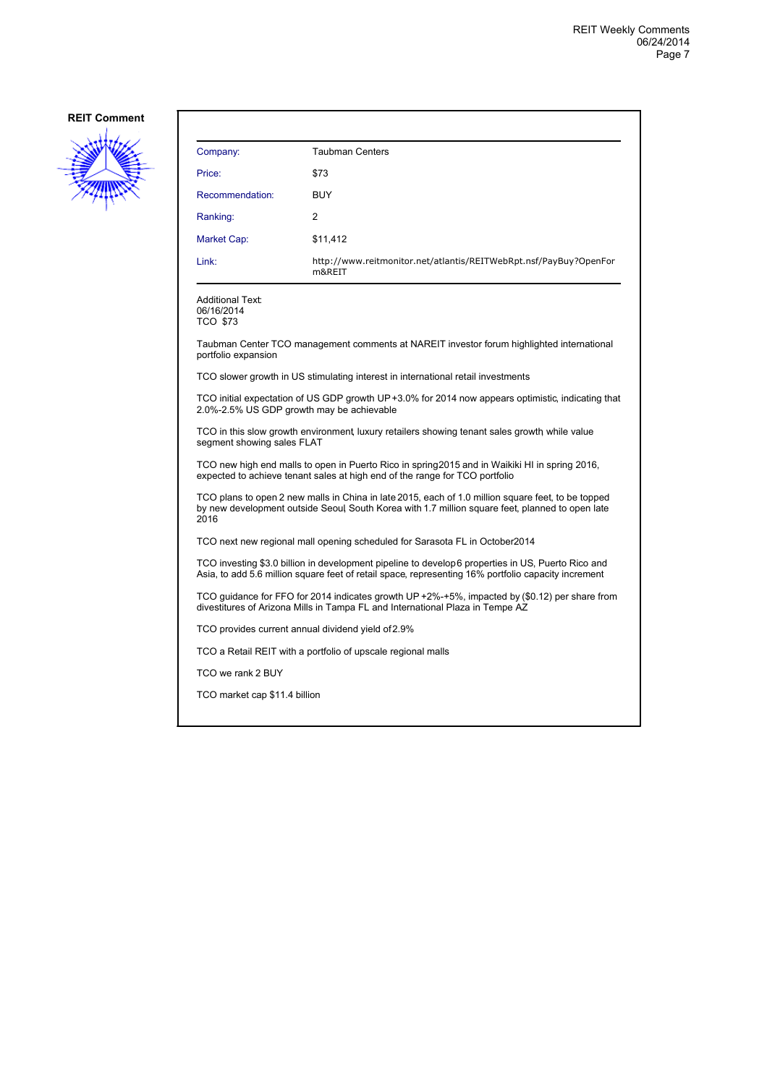

| Company:        | <b>Taubman Centers</b>                                                      |
|-----------------|-----------------------------------------------------------------------------|
| Price:          | \$73                                                                        |
| Recommendation: | <b>BUY</b>                                                                  |
| Ranking:        | 2                                                                           |
| Market Cap:     | \$11,412                                                                    |
| Link:           | http://www.reitmonitor.net/atlantis/REITWebRpt.nsf/PayBuy?OpenFor<br>m&REIT |
|                 |                                                                             |

Additional Text: 06/16/2014 TCO \$73

Taubman Center TCO management comments at NAREIT investor forum highlighted international portfolio expansion

TCO slower growth in US stimulating interest in international retail investments

TCO initial expectation of US GDP growth UP +3.0% for 2014 now appears optimistic, indicating that 2.0%-2.5% US GDP growth may be achievable

TCO in this slow growth environment, luxury retailers showing tenant sales growth, while value segment showing sales FLAT

TCO new high end malls to open in Puerto Rico in spring 2015 and in Waikiki HI in spring 2016, expected to achieve tenant sales at high end of the range for TCO portfolio

TCO plans to open 2 new malls in China in late 2015, each of 1.0 million square feet, to be topped by new development outside Seoul, South Korea with 1.7 million square feet, planned to open late 2016

TCO next new regional mall opening scheduled for Sarasota FL in October 2014

TCO investing \$3.0 billion in development pipeline to develop 6 properties in US, Puerto Rico and Asia, to add 5.6 million square feet of retail space, representing 16% portfolio capacity increment

TCO guidance for FFO for 2014 indicates growth UP +2%-+5%, impacted by (\$0.12) per share from divestitures of Arizona Mills in Tampa FL and International Plaza in Tempe AZ

TCO provides current annual dividend yield of 2.9%

TCO a Retail REIT with a portfolio of upscale regional malls

TCO we rank 2 BUY

TCO market cap \$11.4 billion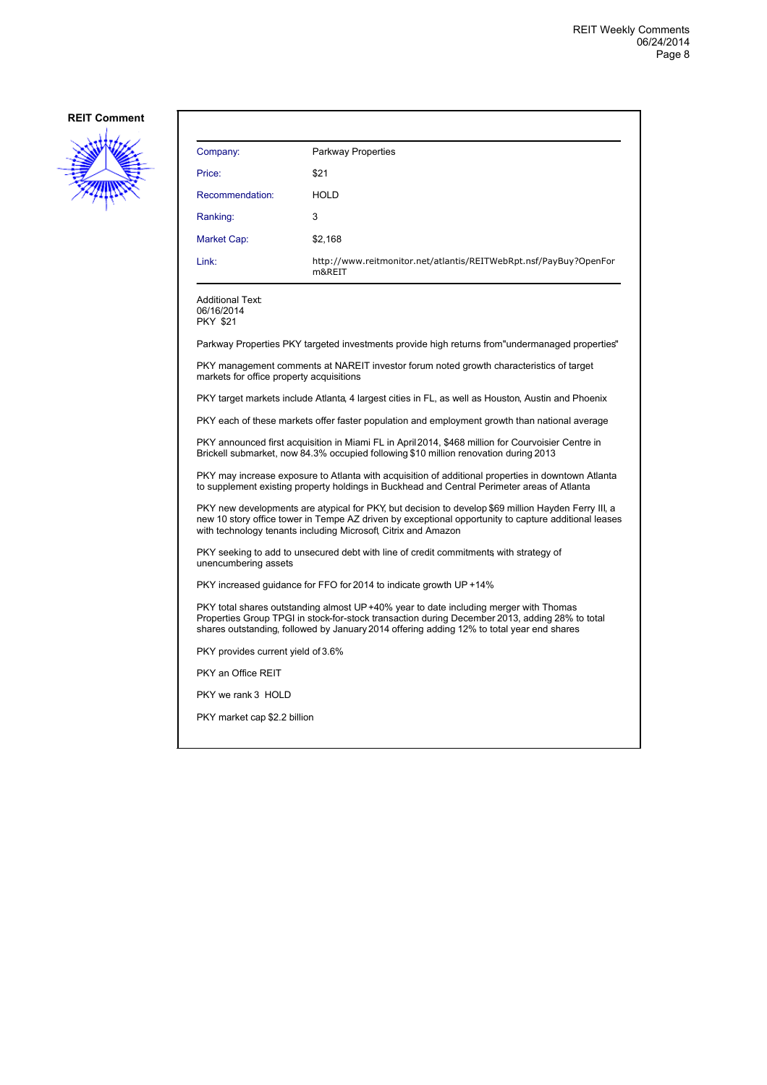

| Company:                                                                                                                                                                                                                                                                      | <b>Parkway Properties</b>                                                                          |  |
|-------------------------------------------------------------------------------------------------------------------------------------------------------------------------------------------------------------------------------------------------------------------------------|----------------------------------------------------------------------------------------------------|--|
| Price:                                                                                                                                                                                                                                                                        | \$21                                                                                               |  |
| Recommendation:                                                                                                                                                                                                                                                               | <b>HOLD</b>                                                                                        |  |
| Ranking:                                                                                                                                                                                                                                                                      | 3                                                                                                  |  |
| <b>Market Cap:</b>                                                                                                                                                                                                                                                            | \$2,168                                                                                            |  |
| Link:                                                                                                                                                                                                                                                                         | http://www.reitmonitor.net/atlantis/REITWebRpt.nsf/PayBuy?OpenFor<br>m&REIT                        |  |
| <b>Additional Text:</b><br>06/16/2014<br><b>PKY \$21</b>                                                                                                                                                                                                                      |                                                                                                    |  |
|                                                                                                                                                                                                                                                                               | Parkway Properties PKY targeted investments provide high returns from"undermanaged properties"     |  |
| markets for office property acquisitions                                                                                                                                                                                                                                      | PKY management comments at NAREIT investor forum noted growth characteristics of target            |  |
|                                                                                                                                                                                                                                                                               | PKY target markets include Atlanta, 4 largest cities in FL, as well as Houston, Austin and Phoenix |  |
|                                                                                                                                                                                                                                                                               | PKY each of these markets offer faster population and employment growth than national average      |  |
| PKY announced first acquisition in Miami FL in April 2014, \$468 million for Courvoisier Centre in<br>Brickell submarket, now 84.3% occupied following \$10 million renovation during 2013                                                                                    |                                                                                                    |  |
| PKY may increase exposure to Atlanta with acquisition of additional properties in downtown Atlanta<br>to supplement existing property holdings in Buckhead and Central Perimeter areas of Atlanta                                                                             |                                                                                                    |  |
| PKY new developments are atypical for PKY, but decision to develop \$69 million Hayden Ferry III, a<br>new 10 story office tower in Tempe AZ driven by exceptional opportunity to capture additional leases<br>with technology tenants including Microsoft, Citrix and Amazon |                                                                                                    |  |
| PKY seeking to add to unsecured debt with line of credit commitments with strategy of<br>unencumbering assets                                                                                                                                                                 |                                                                                                    |  |
| PKY increased quidance for FFO for 2014 to indicate growth UP +14%                                                                                                                                                                                                            |                                                                                                    |  |

PKY total shares outstanding almost UP +40% year to date including merger with Thomas Properties Group TPGI in stock-for-stock transaction during December 2013, adding 28% to total shares outstanding, followed by January 2014 offering adding 12% to total year end shares

PKY provides current yield of 3.6%

PKY an Office REIT

PKY we rank 3 HOLD

PKY market cap \$2.2 billion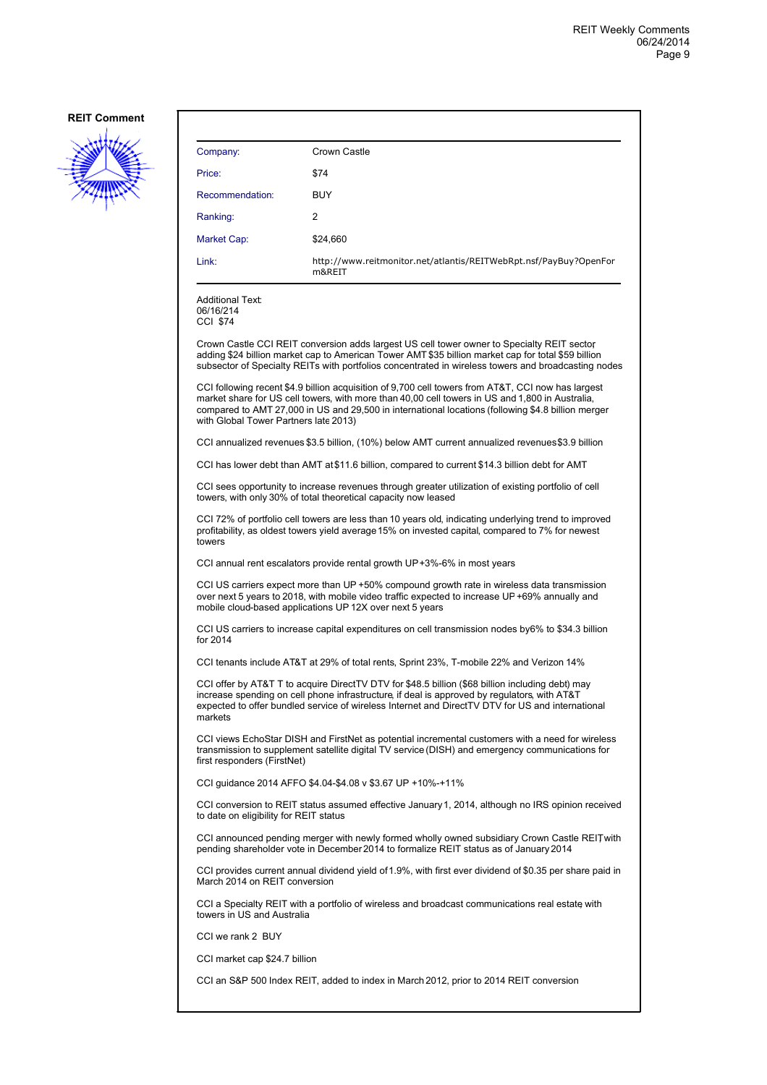

| Company:                                         | Crown Castle                                                                                                                                                                                                                                                                                                |
|--------------------------------------------------|-------------------------------------------------------------------------------------------------------------------------------------------------------------------------------------------------------------------------------------------------------------------------------------------------------------|
| Price:                                           | \$74                                                                                                                                                                                                                                                                                                        |
| Recommendation:                                  | <b>BUY</b>                                                                                                                                                                                                                                                                                                  |
| Ranking:                                         | 2                                                                                                                                                                                                                                                                                                           |
| Market Cap:                                      | \$24,660                                                                                                                                                                                                                                                                                                    |
| Link:                                            | http://www.reitmonitor.net/atlantis/REITWebRpt.nsf/PayBuy?OpenFor<br>m&REIT                                                                                                                                                                                                                                 |
| <b>Additional Text:</b><br>06/16/214<br>CCI \$74 |                                                                                                                                                                                                                                                                                                             |
|                                                  | Crown Castle CCI REIT conversion adds largest US cell tower owner to Specialty REIT sector<br>adding \$24 billion market cap to American Tower AMT \$35 billion market cap for total \$59 billion<br>subsector of Specialty REITs with portfolios concentrated in wireless towers and broadcasting nodes    |
| with Global Tower Partners late 2013)            | CCI following recent \$4.9 billion acquisition of 9,700 cell towers from AT&T, CCI now has largest<br>market share for US cell towers, with more than 40,00 cell towers in US and 1,800 in Australia,<br>compared to AMT 27,000 in US and 29,500 in international locations (following \$4.8 billion merger |
|                                                  | CCI annualized revenues \$3.5 billion, (10%) below AMT current annualized revenues \$3.9 billion                                                                                                                                                                                                            |
|                                                  | CCI has lower debt than AMT at \$11.6 billion, compared to current \$14.3 billion debt for AMT                                                                                                                                                                                                              |
|                                                  | CCI sees opportunity to increase revenues through greater utilization of existing portfolio of cell<br>towers, with only 30% of total theoretical capacity now leased                                                                                                                                       |
| towers                                           | CCI 72% of portfolio cell towers are less than 10 years old, indicating underlying trend to improved<br>profitability, as oldest towers yield average 15% on invested capital, compared to 7% for newest                                                                                                    |
|                                                  | CCI annual rent escalators provide rental growth $UP+3\%-6\%$ in most years                                                                                                                                                                                                                                 |
|                                                  | CCI US carriers expect more than UP +50% compound growth rate in wireless data transmission<br>over next 5 years to 2018, with mobile video traffic expected to increase UP +69% annually and<br>mobile cloud-based applications UP 12X over next 5 years                                                   |
| for 2014                                         | CCI US carriers to increase capital expenditures on cell transmission nodes by6% to \$34.3 billion                                                                                                                                                                                                          |
|                                                  | CCI tenants include AT&T at 29% of total rents, Sprint 23%, T-mobile 22% and Verizon 14%                                                                                                                                                                                                                    |
| markets                                          | CCI offer by AT&T T to acquire DirectTV DTV for \$48.5 billion (\$68 billion including debt) may<br>increase spending on cell phone infrastructure, if deal is approved by regulators, with AT&T<br>expected to offer bundled service of wireless Internet and DirectTV DTV for US and international        |
| first responders (FirstNet)                      | CCI views EchoStar DISH and FirstNet as potential incremental customers with a need for wireless<br>transmission to supplement satellite digital TV service (DISH) and emergency communications for                                                                                                         |
|                                                  | CCI guidance 2014 AFFO \$4.04-\$4.08 v \$3.67 UP +10%-+11%                                                                                                                                                                                                                                                  |
| to date on eligibility for REIT status           | CCI conversion to REIT status assumed effective January 1, 2014, although no IRS opinion received                                                                                                                                                                                                           |
|                                                  | CCI announced pending merger with newly formed wholly owned subsidiary Crown Castle REIT with<br>pending shareholder vote in December 2014 to formalize REIT status as of January 2014                                                                                                                      |
| March 2014 on REIT conversion                    | CCI provides current annual dividend yield of 1.9%, with first ever dividend of \$0.35 per share paid in                                                                                                                                                                                                    |
| towers in US and Australia                       | CCI a Specialty REIT with a portfolio of wireless and broadcast communications real estate with                                                                                                                                                                                                             |
| CCI we rank 2 BUY                                |                                                                                                                                                                                                                                                                                                             |
| CCI market cap \$24.7 billion                    |                                                                                                                                                                                                                                                                                                             |
|                                                  | CCI an S&P 500 Index REIT, added to index in March 2012, prior to 2014 REIT conversion                                                                                                                                                                                                                      |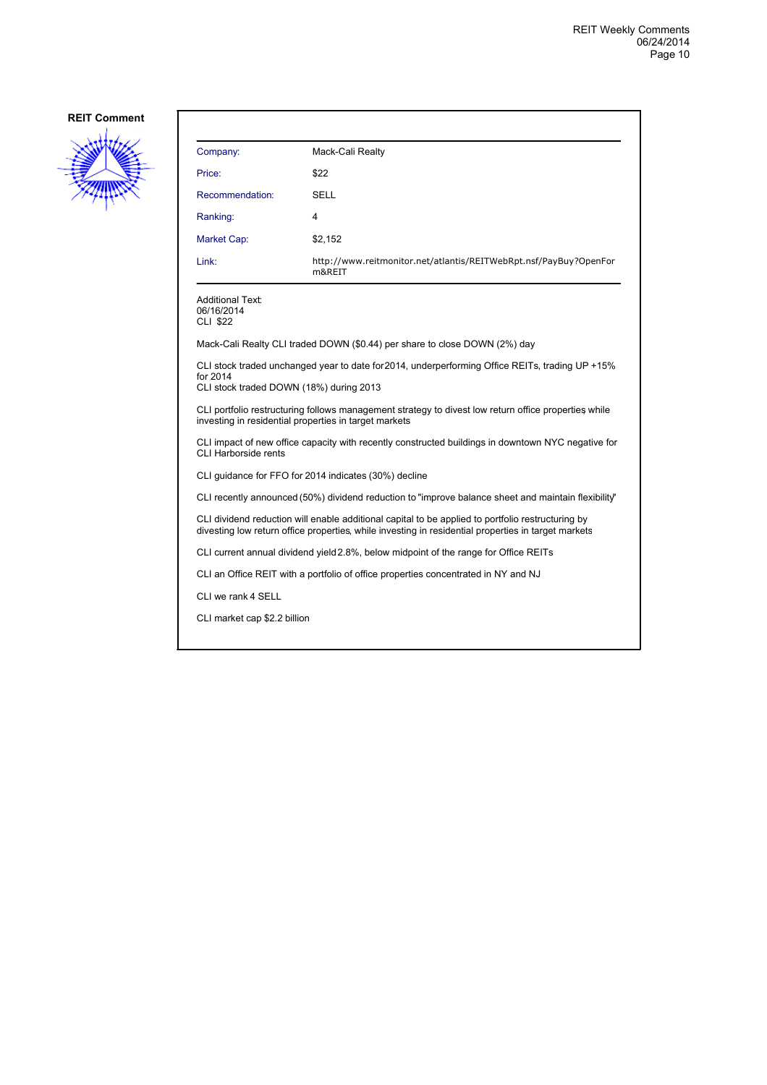

| Company:                                                                                                                                                                                                 | Mack-Cali Realty                                                                                                                                              |  |
|----------------------------------------------------------------------------------------------------------------------------------------------------------------------------------------------------------|---------------------------------------------------------------------------------------------------------------------------------------------------------------|--|
| Price:                                                                                                                                                                                                   | \$22                                                                                                                                                          |  |
| Recommendation:                                                                                                                                                                                          | SELL                                                                                                                                                          |  |
| Ranking:                                                                                                                                                                                                 | 4                                                                                                                                                             |  |
| Market Cap:                                                                                                                                                                                              | \$2,152                                                                                                                                                       |  |
| Link:                                                                                                                                                                                                    | http://www.reitmonitor.net/atlantis/REITWebRpt.nsf/PayBuy?OpenFor<br>m&REIT                                                                                   |  |
| <b>Additional Text:</b><br>06/16/2014<br><b>CLI \$22</b>                                                                                                                                                 |                                                                                                                                                               |  |
|                                                                                                                                                                                                          | Mack-Cali Realty CLI traded DOWN (\$0.44) per share to close DOWN (2%) day                                                                                    |  |
| for 2014<br>CLI stock traded DOWN (18%) during 2013                                                                                                                                                      | CLI stock traded unchanged year to date for 2014, underperforming Office REITs, trading UP +15%                                                               |  |
|                                                                                                                                                                                                          | CLI portfolio restructuring follows management strategy to divest low return office properties while<br>investing in residential properties in target markets |  |
| CLI impact of new office capacity with recently constructed buildings in downtown NYC negative for<br><b>CLI Harborside rents</b>                                                                        |                                                                                                                                                               |  |
|                                                                                                                                                                                                          | CLI guidance for FFO for 2014 indicates (30%) decline                                                                                                         |  |
|                                                                                                                                                                                                          | CLI recently announced (50%) dividend reduction to "improve balance sheet and maintain flexibility"                                                           |  |
| CLI dividend reduction will enable additional capital to be applied to portfolio restructuring by<br>divesting low return office properties, while investing in residential properties in target markets |                                                                                                                                                               |  |
|                                                                                                                                                                                                          | CLI current annual dividend yield 2.8%, below midpoint of the range for Office REITs                                                                          |  |
| CLI an Office REIT with a portfolio of office properties concentrated in NY and NJ                                                                                                                       |                                                                                                                                                               |  |
| CLI we rank 4 SELL                                                                                                                                                                                       |                                                                                                                                                               |  |
| CLI market cap \$2.2 billion                                                                                                                                                                             |                                                                                                                                                               |  |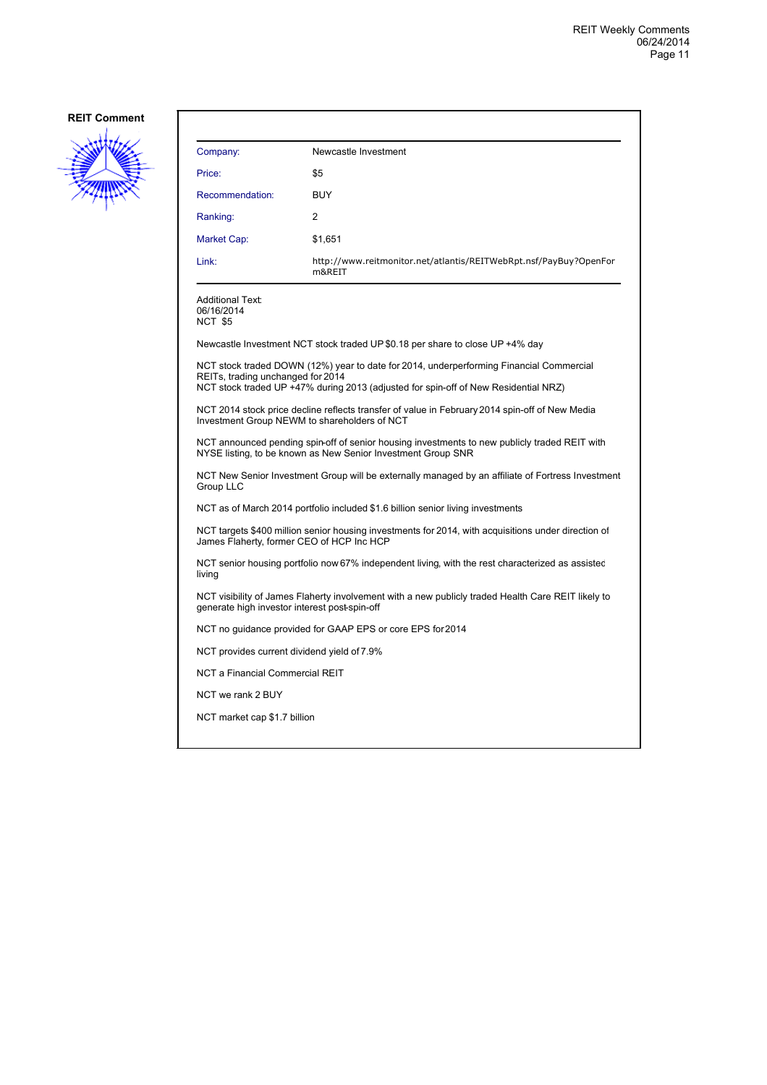

| Company:                                      | Newcastle Investment                                                                                                                                                           |  |
|-----------------------------------------------|--------------------------------------------------------------------------------------------------------------------------------------------------------------------------------|--|
| Price:                                        | \$5                                                                                                                                                                            |  |
| Recommendation:                               | <b>BUY</b>                                                                                                                                                                     |  |
| Ranking:                                      | 2                                                                                                                                                                              |  |
| Market Cap:                                   | \$1,651                                                                                                                                                                        |  |
| Link:                                         | http://www.reitmonitor.net/atlantis/REITWebRpt.nsf/PayBuy?OpenFor<br>m&REIT                                                                                                    |  |
| Additional Text:<br>06/16/2014<br>NCT \$5     |                                                                                                                                                                                |  |
|                                               | Newcastle Investment NCT stock traded UP \$0.18 per share to close UP +4% day                                                                                                  |  |
| REITs, trading unchanged for 2014             | NCT stock traded DOWN (12%) year to date for 2014, underperforming Financial Commercial<br>NCT stock traded UP +47% during 2013 (adjusted for spin-off of New Residential NRZ) |  |
| Investment Group NEWM to shareholders of NCT  | NCT 2014 stock price decline reflects transfer of value in February 2014 spin-off of New Media                                                                                 |  |
|                                               | NCT announced pending spin-off of senior housing investments to new publicly traded REIT with<br>NYSE listing, to be known as New Senior Investment Group SNR                  |  |
| Group LLC                                     | NCT New Senior Investment Group will be externally managed by an affiliate of Fortress Investment                                                                              |  |
|                                               | NCT as of March 2014 portfolio included \$1.6 billion senior living investments                                                                                                |  |
| James Flaherty, former CEO of HCP Inc HCP     | NCT targets \$400 million senior housing investments for 2014, with acquisitions under direction of                                                                            |  |
| living                                        | NCT senior housing portfolio now 67% independent living, with the rest characterized as assisted                                                                               |  |
| generate high investor interest post-spin-off | NCT visibility of James Flaherty involvement with a new publicly traded Health Care REIT likely to                                                                             |  |
|                                               | NCT no guidance provided for GAAP EPS or core EPS for 2014                                                                                                                     |  |
| NCT provides current dividend yield of 7.9%   |                                                                                                                                                                                |  |
| NCT a Financial Commercial REIT               |                                                                                                                                                                                |  |
| NCT we rank 2 BUY                             |                                                                                                                                                                                |  |

NCT market cap \$1.7 billion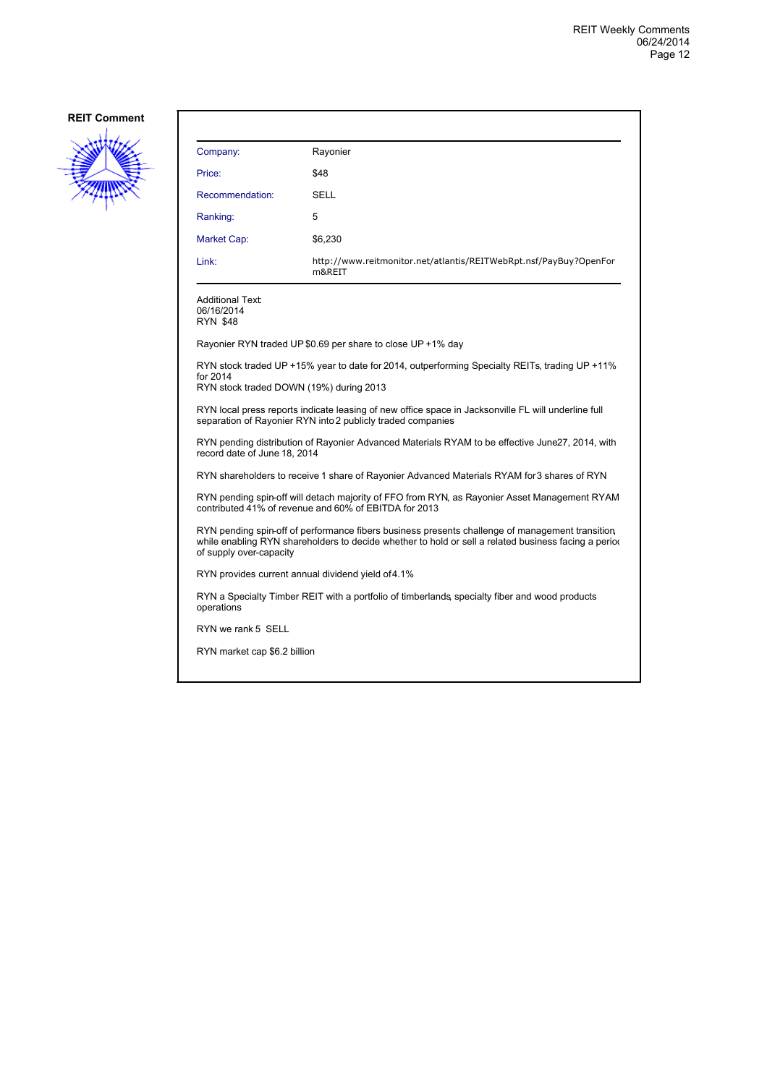

| Company:                                                                                                                                              | Rayonier                                                                                                                                                                                                |  |
|-------------------------------------------------------------------------------------------------------------------------------------------------------|---------------------------------------------------------------------------------------------------------------------------------------------------------------------------------------------------------|--|
| Price:                                                                                                                                                | \$48                                                                                                                                                                                                    |  |
| Recommendation:                                                                                                                                       | SELL                                                                                                                                                                                                    |  |
| Ranking:                                                                                                                                              | 5                                                                                                                                                                                                       |  |
| Market Cap:                                                                                                                                           | \$6,230                                                                                                                                                                                                 |  |
| Link:                                                                                                                                                 | http://www.reitmonitor.net/atlantis/REITWebRpt.nsf/PayBuy?OpenFor<br>m&REIT                                                                                                                             |  |
| Additional Text:<br>06/16/2014<br><b>RYN \$48</b>                                                                                                     |                                                                                                                                                                                                         |  |
|                                                                                                                                                       | Rayonier RYN traded UP \$0.69 per share to close UP +1% day                                                                                                                                             |  |
| for 2014<br>RYN stock traded DOWN (19%) during 2013                                                                                                   | RYN stock traded UP +15% year to date for 2014, outperforming Specialty REITs, trading UP +11%                                                                                                          |  |
|                                                                                                                                                       | RYN local press reports indicate leasing of new office space in Jacksonville FL will underline full<br>separation of Rayonier RYN into 2 publicly traded companies                                      |  |
| record date of June 18, 2014                                                                                                                          | RYN pending distribution of Rayonier Advanced Materials RYAM to be effective June27, 2014, with                                                                                                         |  |
|                                                                                                                                                       | RYN shareholders to receive 1 share of Rayonier Advanced Materials RYAM for 3 shares of RYN                                                                                                             |  |
| RYN pending spin-off will detach majority of FFO from RYN, as Rayonier Asset Management RYAM<br>contributed 41% of revenue and 60% of EBITDA for 2013 |                                                                                                                                                                                                         |  |
| of supply over-capacity                                                                                                                               | RYN pending spin-off of performance fibers business presents challenge of management transition<br>while enabling RYN shareholders to decide whether to hold or sell a related business facing a period |  |
|                                                                                                                                                       | RYN provides current annual dividend yield of 4.1%                                                                                                                                                      |  |
| operations                                                                                                                                            | RYN a Specialty Timber REIT with a portfolio of timberlands specialty fiber and wood products                                                                                                           |  |
| RYN we rank 5 SELL                                                                                                                                    |                                                                                                                                                                                                         |  |

RYN market cap \$6.2 billion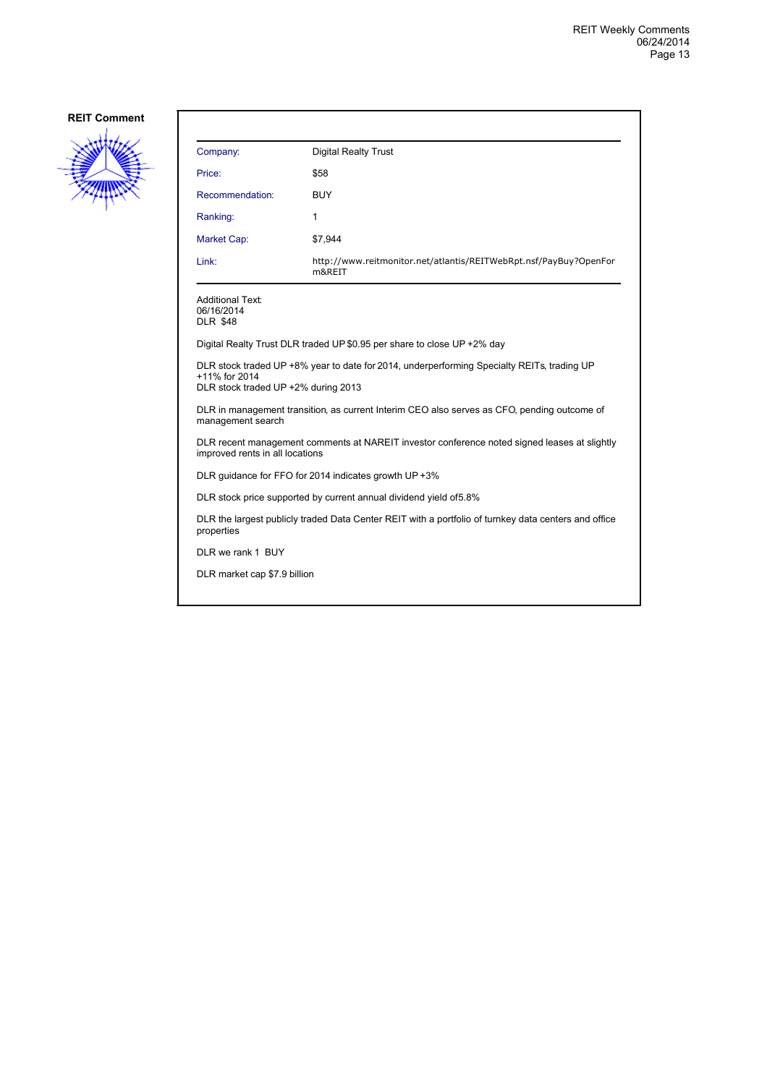

| Company:                                                                                                                        | <b>Digital Realty Trust</b>                                                                |  |
|---------------------------------------------------------------------------------------------------------------------------------|--------------------------------------------------------------------------------------------|--|
| Price:                                                                                                                          | \$58                                                                                       |  |
| Recommendation:                                                                                                                 | <b>BUY</b>                                                                                 |  |
| Ranking:                                                                                                                        | 1                                                                                          |  |
| Market Cap:                                                                                                                     | \$7,944                                                                                    |  |
| Link:                                                                                                                           | http://www.reitmonitor.net/atlantis/REITWebRpt.nsf/PayBuy?OpenFor<br>m&REIT                |  |
| <b>Additional Text:</b><br>06/16/2014<br><b>DLR \$48</b>                                                                        |                                                                                            |  |
|                                                                                                                                 | Digital Realty Trust DLR traded UP \$0.95 per share to close UP +2% day                    |  |
| +11% for 2014<br>DLR stock traded UP +2% during 2013                                                                            | DLR stock traded UP +8% year to date for 2014, underperforming Specialty REITs, trading UP |  |
| DLR in management transition, as current Interim CEO also serves as CFO, pending outcome of<br>management search                |                                                                                            |  |
| DLR recent management comments at NAREIT investor conference noted signed leases at slightly<br>improved rents in all locations |                                                                                            |  |
| DLR guidance for FFO for 2014 indicates growth UP +3%                                                                           |                                                                                            |  |
| DLR stock price supported by current annual dividend yield of 5.8%                                                              |                                                                                            |  |
| DLR the largest publicly traded Data Center REIT with a portfolio of turnkey data centers and office<br>properties              |                                                                                            |  |
| DLR we rank 1 BUY                                                                                                               |                                                                                            |  |
| DLR market cap \$7.9 billion                                                                                                    |                                                                                            |  |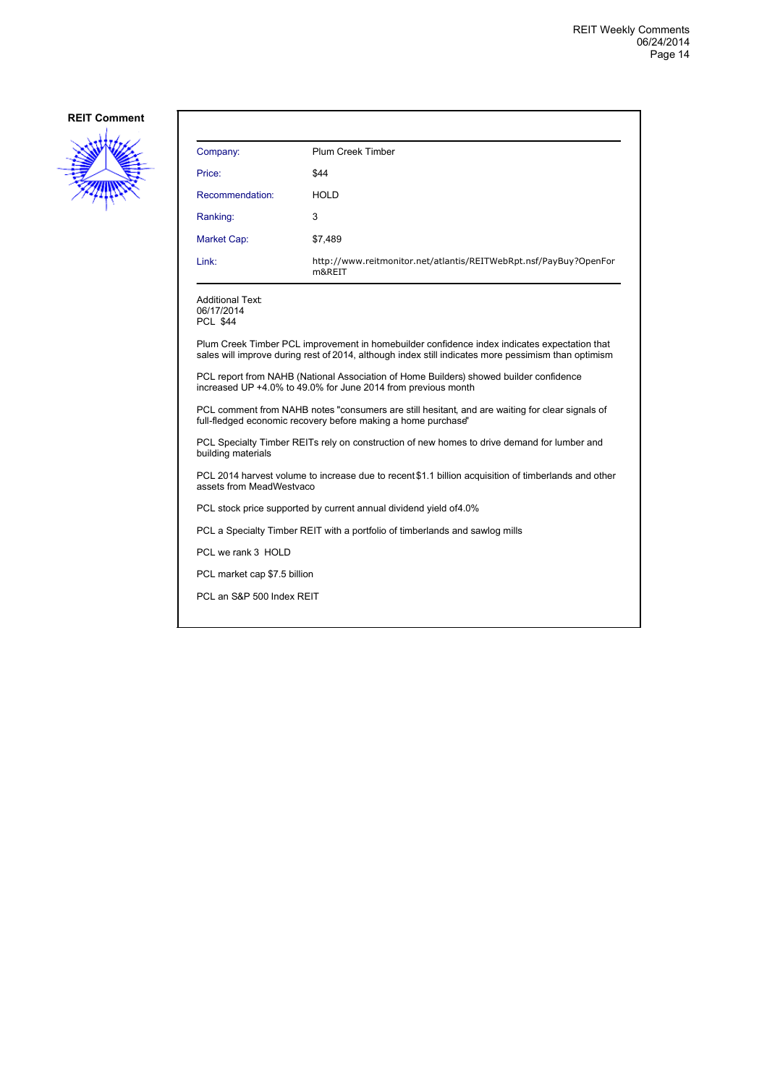

| Company:                                                                                                          | <b>Plum Creek Timber</b>                                                                                                                                                                            |  |
|-------------------------------------------------------------------------------------------------------------------|-----------------------------------------------------------------------------------------------------------------------------------------------------------------------------------------------------|--|
| Price:                                                                                                            | \$44                                                                                                                                                                                                |  |
| Recommendation:                                                                                                   | HOLD                                                                                                                                                                                                |  |
| Ranking:                                                                                                          | 3                                                                                                                                                                                                   |  |
| Market Cap:                                                                                                       | \$7,489                                                                                                                                                                                             |  |
| Link:                                                                                                             | http://www.reitmonitor.net/atlantis/REITWebRpt.nsf/PayBuy?OpenFor<br>m&REIT                                                                                                                         |  |
| <b>Additional Text:</b><br>06/17/2014<br><b>PCL \$44</b>                                                          |                                                                                                                                                                                                     |  |
|                                                                                                                   | Plum Creek Timber PCL improvement in homebuilder confidence index indicates expectation that<br>sales will improve during rest of 2014, although index still indicates more pessimism than optimism |  |
|                                                                                                                   | PCL report from NAHB (National Association of Home Builders) showed builder confidence<br>increased UP +4.0% to 49.0% for June 2014 from previous month                                             |  |
|                                                                                                                   | PCL comment from NAHB notes "consumers are still hesitant, and are waiting for clear signals of<br>full-fledged economic recovery before making a home purchase"                                    |  |
| PCL Specialty Timber REITs rely on construction of new homes to drive demand for lumber and<br>building materials |                                                                                                                                                                                                     |  |
| assets from MeadWestvaco                                                                                          | PCL 2014 harvest volume to increase due to recent \$1.1 billion acquisition of timberlands and other                                                                                                |  |
| PCL stock price supported by current annual dividend yield of 4.0%                                                |                                                                                                                                                                                                     |  |
| PCL a Specialty Timber REIT with a portfolio of timberlands and sawlog mills                                      |                                                                                                                                                                                                     |  |
| PCL we rank 3 HOLD                                                                                                |                                                                                                                                                                                                     |  |
| PCL market cap \$7.5 billion                                                                                      |                                                                                                                                                                                                     |  |
| PCL an S&P 500 Index REIT                                                                                         |                                                                                                                                                                                                     |  |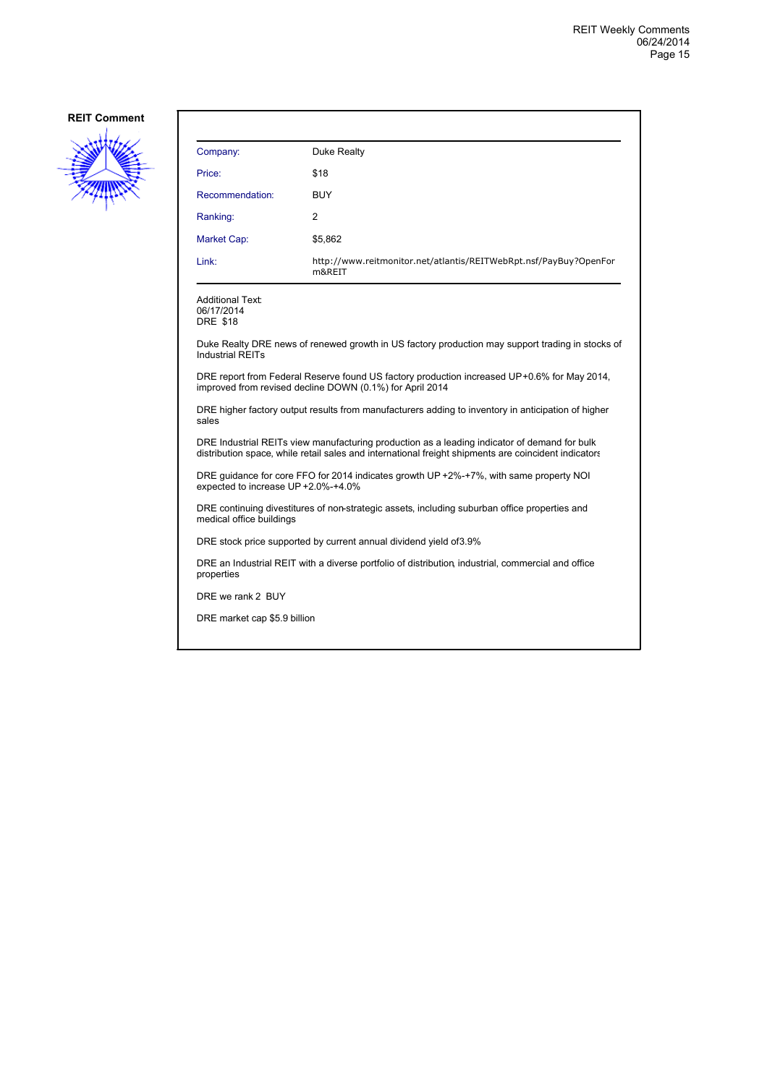

| Company:                                                                                                                                                                                             | Duke Realty                                                                                                                                             |  |
|------------------------------------------------------------------------------------------------------------------------------------------------------------------------------------------------------|---------------------------------------------------------------------------------------------------------------------------------------------------------|--|
| Price:                                                                                                                                                                                               | \$18                                                                                                                                                    |  |
| Recommendation:                                                                                                                                                                                      | <b>BUY</b>                                                                                                                                              |  |
| Ranking:                                                                                                                                                                                             | 2                                                                                                                                                       |  |
| Market Cap:                                                                                                                                                                                          | \$5,862                                                                                                                                                 |  |
| Link:                                                                                                                                                                                                | http://www.reitmonitor.net/atlantis/REITWebRpt.nsf/PayBuy?OpenFor<br>m&REIT                                                                             |  |
| <b>Additional Text:</b><br>06/17/2014<br><b>DRE \$18</b>                                                                                                                                             |                                                                                                                                                         |  |
| <b>Industrial REITs</b>                                                                                                                                                                              | Duke Realty DRE news of renewed growth in US factory production may support trading in stocks of                                                        |  |
|                                                                                                                                                                                                      | DRE report from Federal Reserve found US factory production increased UP+0.6% for May 2014,<br>improved from revised decline DOWN (0.1%) for April 2014 |  |
| sales                                                                                                                                                                                                | DRE higher factory output results from manufacturers adding to inventory in anticipation of higher                                                      |  |
| DRE Industrial REITs view manufacturing production as a leading indicator of demand for bulk<br>distribution space, while retail sales and international freight shipments are coincident indicators |                                                                                                                                                         |  |
| DRE quidance for core FFO for 2014 indicates growth UP +2%-+7%, with same property NOI<br>expected to increase UP +2.0%-+4.0%                                                                        |                                                                                                                                                         |  |
| DRE continuing divestitures of non-strategic assets, including suburban office properties and<br>medical office buildings                                                                            |                                                                                                                                                         |  |
| DRE stock price supported by current annual dividend yield of 3.9%                                                                                                                                   |                                                                                                                                                         |  |
| DRE an Industrial REIT with a diverse portfolio of distribution, industrial, commercial and office<br>properties                                                                                     |                                                                                                                                                         |  |
| DRE we rank 2 BUY                                                                                                                                                                                    |                                                                                                                                                         |  |
| DRE market cap \$5.9 billion                                                                                                                                                                         |                                                                                                                                                         |  |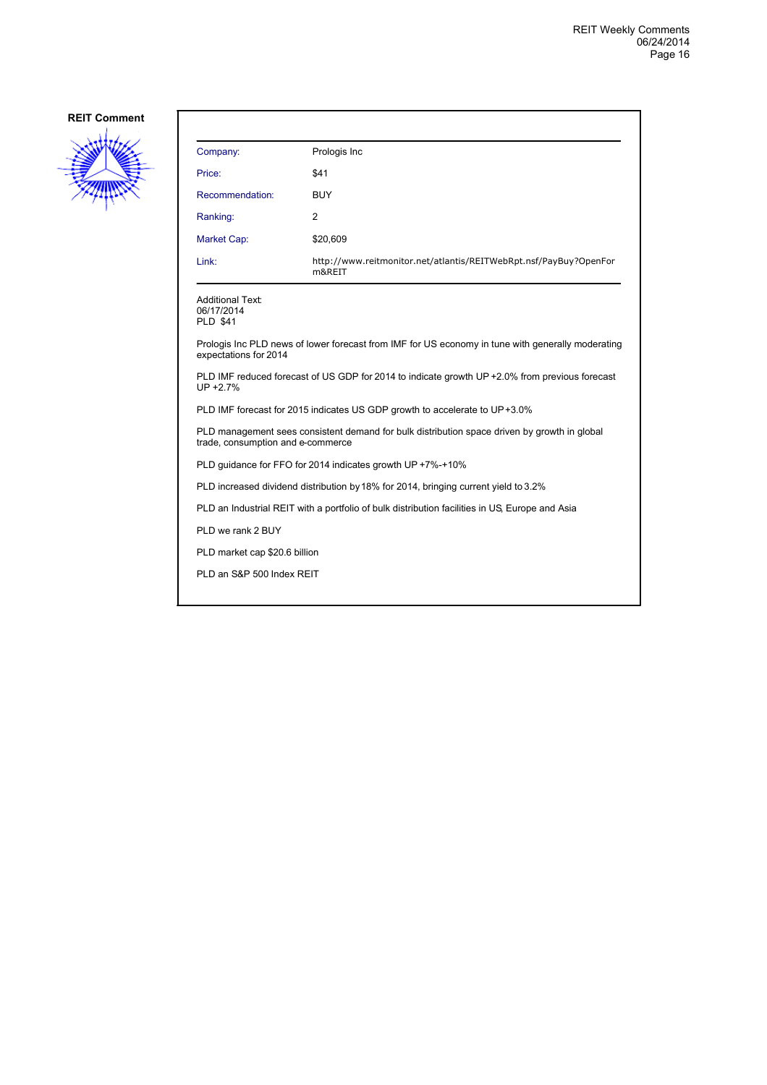

| Company:                                                                                                                          | Prologis Inc                                                                        |  |
|-----------------------------------------------------------------------------------------------------------------------------------|-------------------------------------------------------------------------------------|--|
| Price:                                                                                                                            | \$41                                                                                |  |
| Recommendation:                                                                                                                   | <b>BUY</b>                                                                          |  |
| Ranking:                                                                                                                          | 2                                                                                   |  |
| Market Cap:                                                                                                                       | \$20,609                                                                            |  |
| Link:                                                                                                                             | http://www.reitmonitor.net/atlantis/REITWebRpt.nsf/PayBuy?OpenFor<br>m&REIT         |  |
| <b>Additional Text:</b><br>06/17/2014<br><b>PLD \$41</b>                                                                          |                                                                                     |  |
| Prologis Inc PLD news of lower forecast from IMF for US economy in tune with generally moderating<br>expectations for 2014        |                                                                                     |  |
| PLD IMF reduced forecast of US GDP for 2014 to indicate growth UP +2.0% from previous forecast<br>$UP + 2.7%$                     |                                                                                     |  |
| PLD IMF forecast for 2015 indicates US GDP growth to accelerate to UP+3.0%                                                        |                                                                                     |  |
| PLD management sees consistent demand for bulk distribution space driven by growth in global<br>trade, consumption and e-commerce |                                                                                     |  |
| PLD quidance for FFO for 2014 indicates growth UP +7%-+10%                                                                        |                                                                                     |  |
|                                                                                                                                   | PLD increased dividend distribution by 18% for 2014, bringing current yield to 3.2% |  |
| PLD an Industrial REIT with a portfolio of bulk distribution facilities in US, Europe and Asia                                    |                                                                                     |  |
| PLD we rank 2 BUY                                                                                                                 |                                                                                     |  |
|                                                                                                                                   | PLD market cap \$20.6 billion                                                       |  |
| PLD an S&P 500 Index REIT                                                                                                         |                                                                                     |  |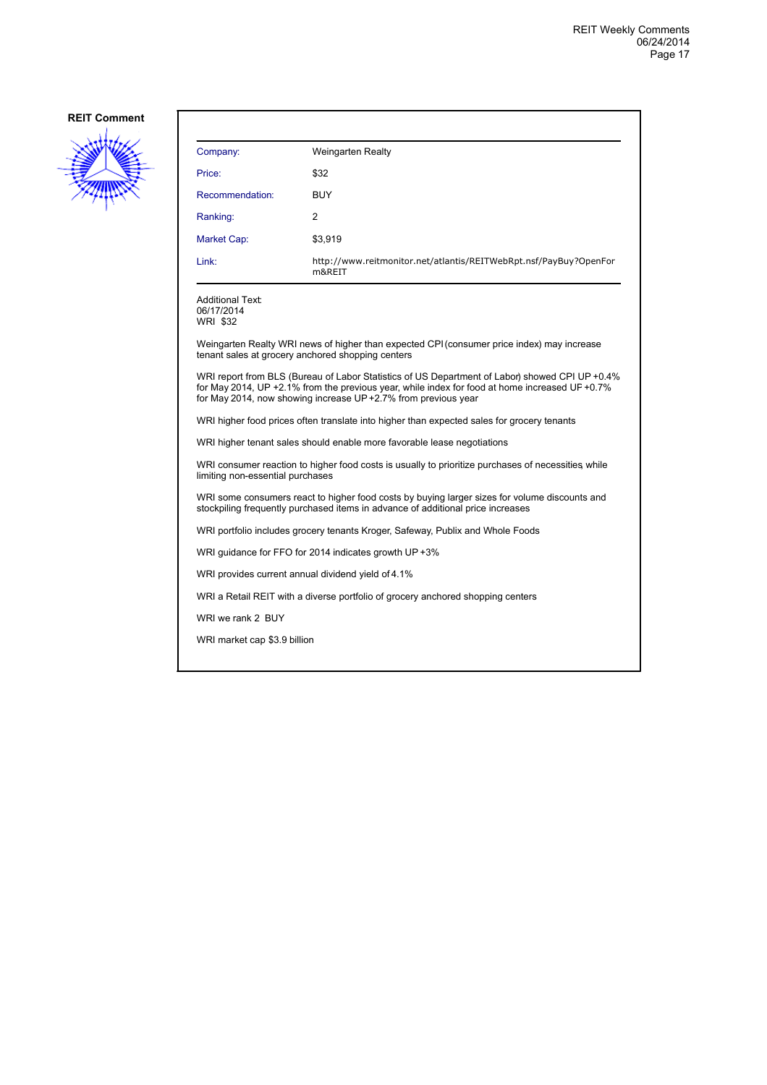

| Company:                                                                                                                               | <b>Weingarten Realty</b>                                                                                                                                                                                                                                           |  |
|----------------------------------------------------------------------------------------------------------------------------------------|--------------------------------------------------------------------------------------------------------------------------------------------------------------------------------------------------------------------------------------------------------------------|--|
| Price:                                                                                                                                 | \$32                                                                                                                                                                                                                                                               |  |
| Recommendation:                                                                                                                        | <b>BUY</b>                                                                                                                                                                                                                                                         |  |
| Ranking:                                                                                                                               | 2                                                                                                                                                                                                                                                                  |  |
| Market Cap:                                                                                                                            | \$3,919                                                                                                                                                                                                                                                            |  |
| Link:                                                                                                                                  | http://www.reitmonitor.net/atlantis/REITWebRpt.nsf/PayBuy?OpenFor<br>m&REIT                                                                                                                                                                                        |  |
| <b>Additional Text:</b><br>06/17/2014<br><b>WRI \$32</b>                                                                               |                                                                                                                                                                                                                                                                    |  |
|                                                                                                                                        | Weingarten Realty WRI news of higher than expected CPI (consumer price index) may increase<br>tenant sales at grocery anchored shopping centers                                                                                                                    |  |
|                                                                                                                                        | WRI report from BLS (Bureau of Labor Statistics of US Department of Labor) showed CPI UP +0.4%<br>for May 2014, UP +2.1% from the previous year, while index for food at home increased UP +0.7%<br>for May 2014, now showing increase UP +2.7% from previous year |  |
| WRI higher food prices often translate into higher than expected sales for grocery tenants                                             |                                                                                                                                                                                                                                                                    |  |
| WRI higher tenant sales should enable more favorable lease negotiations                                                                |                                                                                                                                                                                                                                                                    |  |
| WRI consumer reaction to higher food costs is usually to prioritize purchases of necessities while<br>limiting non-essential purchases |                                                                                                                                                                                                                                                                    |  |
|                                                                                                                                        | WRI some consumers react to higher food costs by buying larger sizes for volume discounts and<br>stockpiling frequently purchased items in advance of additional price increases                                                                                   |  |
| WRI portfolio includes grocery tenants Kroger, Safeway, Publix and Whole Foods                                                         |                                                                                                                                                                                                                                                                    |  |
|                                                                                                                                        | WRI guidance for FFO for 2014 indicates growth UP +3%                                                                                                                                                                                                              |  |
| WRI provides current annual dividend yield of 4.1%                                                                                     |                                                                                                                                                                                                                                                                    |  |
|                                                                                                                                        | WRI a Retail REIT with a diverse portfolio of grocery anchored shopping centers                                                                                                                                                                                    |  |
| WRI we rank 2 BUY                                                                                                                      |                                                                                                                                                                                                                                                                    |  |
| WRI market cap \$3.9 billion                                                                                                           |                                                                                                                                                                                                                                                                    |  |
|                                                                                                                                        |                                                                                                                                                                                                                                                                    |  |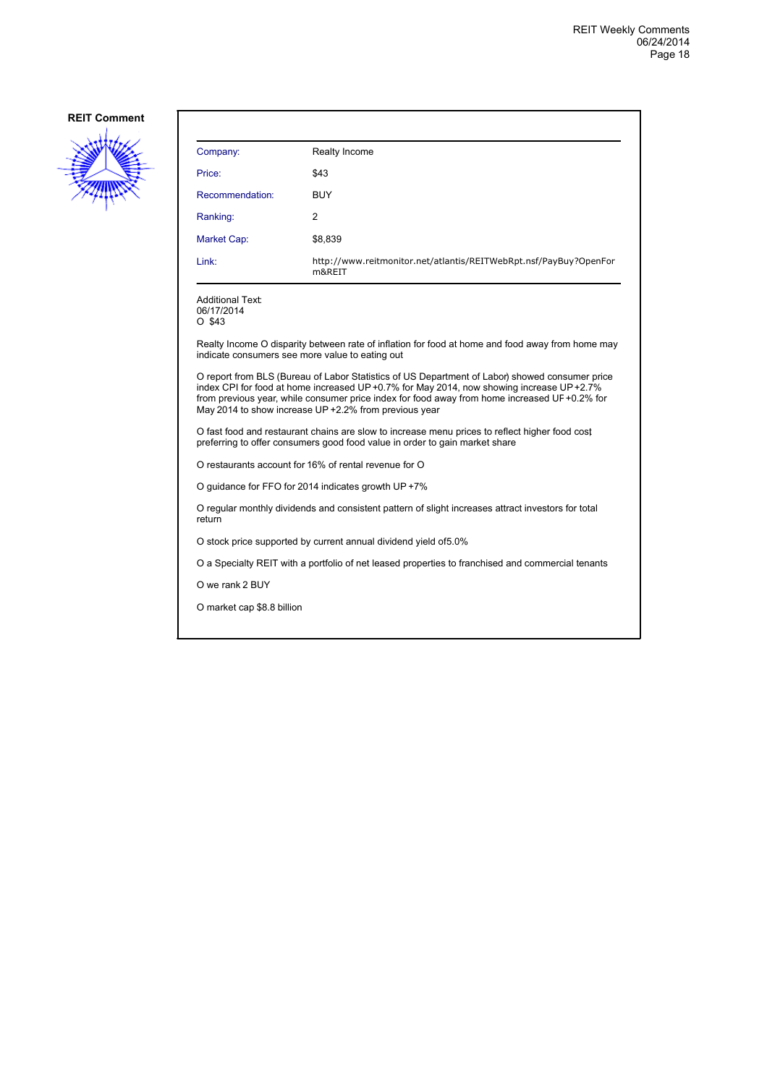

| Company:                                          | Realty Income                                                                                                                                                                                                                                                                                                                                       |
|---------------------------------------------------|-----------------------------------------------------------------------------------------------------------------------------------------------------------------------------------------------------------------------------------------------------------------------------------------------------------------------------------------------------|
| Price:                                            | \$43                                                                                                                                                                                                                                                                                                                                                |
| Recommendation:                                   | <b>BUY</b>                                                                                                                                                                                                                                                                                                                                          |
| Ranking:                                          | 2                                                                                                                                                                                                                                                                                                                                                   |
| Market Cap:                                       | \$8,839                                                                                                                                                                                                                                                                                                                                             |
| Link:                                             | http://www.reitmonitor.net/atlantis/REITWebRpt.nsf/PayBuy?OpenFor<br>m&REIT                                                                                                                                                                                                                                                                         |
| <b>Additional Text:</b><br>06/17/2014<br>$O$ \$43 |                                                                                                                                                                                                                                                                                                                                                     |
|                                                   | Realty Income O disparity between rate of inflation for food at home and food away from home may<br>indicate consumers see more value to eating out                                                                                                                                                                                                 |
|                                                   | O report from BLS (Bureau of Labor Statistics of US Department of Labor) showed consumer price<br>index CPI for food at home increased UP+0.7% for May 2014, now showing increase UP+2.7%<br>from previous year, while consumer price index for food away from home increased UF +0.2% for<br>May 2014 to show increase UP +2.2% from previous year |
|                                                   | O fast food and restaurant chains are slow to increase menu prices to reflect higher food cost<br>preferring to offer consumers good food value in order to gain market share                                                                                                                                                                       |
|                                                   | O restaurants account for 16% of rental revenue for O                                                                                                                                                                                                                                                                                               |
|                                                   | O guidance for FFO for 2014 indicates growth UP +7%                                                                                                                                                                                                                                                                                                 |
| return                                            | O regular monthly dividends and consistent pattern of slight increases attract investors for total                                                                                                                                                                                                                                                  |
|                                                   | O stock price supported by current annual dividend yield of 5.0%                                                                                                                                                                                                                                                                                    |
|                                                   | O a Specialty REIT with a portfolio of net leased properties to franchised and commercial tenants                                                                                                                                                                                                                                                   |
| O we rank 2 BUY                                   |                                                                                                                                                                                                                                                                                                                                                     |
| O market cap \$8.8 billion                        |                                                                                                                                                                                                                                                                                                                                                     |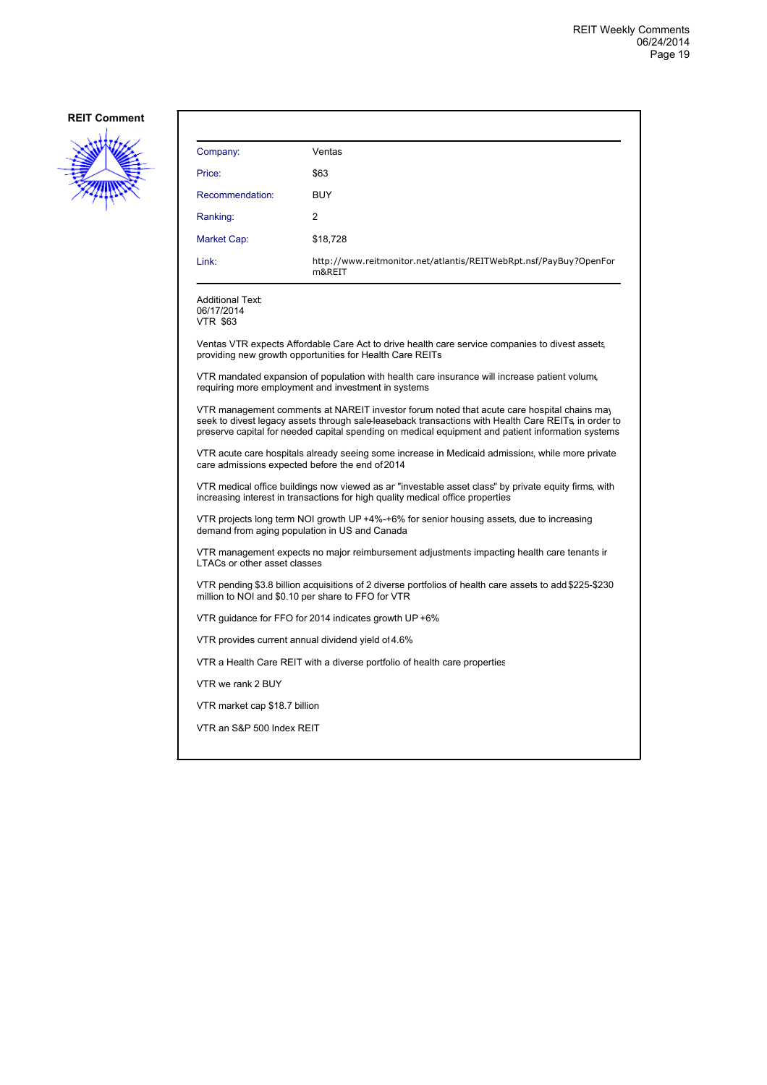

| Company:                                                 | Ventas                                                                                                                                                                                                                                                                                                  |  |
|----------------------------------------------------------|---------------------------------------------------------------------------------------------------------------------------------------------------------------------------------------------------------------------------------------------------------------------------------------------------------|--|
| Price:                                                   | \$63                                                                                                                                                                                                                                                                                                    |  |
| Recommendation:                                          | <b>BUY</b>                                                                                                                                                                                                                                                                                              |  |
| Ranking:                                                 | 2                                                                                                                                                                                                                                                                                                       |  |
| Market Cap:                                              | \$18,728                                                                                                                                                                                                                                                                                                |  |
| Link:                                                    | http://www.reitmonitor.net/atlantis/REITWebRpt.nsf/PayBuy?OpenFor<br>m&REIT                                                                                                                                                                                                                             |  |
| <b>Additional Text:</b><br>06/17/2014<br><b>VTR \$63</b> |                                                                                                                                                                                                                                                                                                         |  |
|                                                          | Ventas VTR expects Affordable Care Act to drive health care service companies to divest assets,<br>providing new growth opportunities for Health Care REITs                                                                                                                                             |  |
|                                                          | VTR mandated expansion of population with health care insurance will increase patient volume<br>requiring more employment and investment in systems                                                                                                                                                     |  |
|                                                          | VTR management comments at NAREIT investor forum noted that acute care hospital chains may<br>seek to divest legacy assets through sale-leaseback transactions with Health Care REITs, in order to<br>preserve capital for needed capital spending on medical equipment and patient information systems |  |
|                                                          | VTR acute care hospitals already seeing some increase in Medicaid admissions, while more private<br>care admissions expected before the end of 2014                                                                                                                                                     |  |
|                                                          | VTR medical office buildings now viewed as an "investable asset class" by private equity firms, with<br>increasing interest in transactions for high quality medical office properties                                                                                                                  |  |
|                                                          | VTR projects long term NOI growth UP +4%-+6% for senior housing assets, due to increasing<br>demand from aging population in US and Canada                                                                                                                                                              |  |
| <b>LTACs or other asset classes</b>                      | VTR management expects no major reimbursement adjustments impacting health care tenants ir                                                                                                                                                                                                              |  |
|                                                          | VTR pending \$3.8 billion acquisitions of 2 diverse portfolios of health care assets to add \$225-\$230<br>million to NOI and \$0.10 per share to FFO for VTR                                                                                                                                           |  |
|                                                          | VTR guidance for FFO for 2014 indicates growth UP +6%                                                                                                                                                                                                                                                   |  |
|                                                          | VTR provides current annual dividend yield of 4.6%                                                                                                                                                                                                                                                      |  |
|                                                          | VTR a Health Care REIT with a diverse portfolio of health care properties                                                                                                                                                                                                                               |  |
| VTR we rank 2 BUY                                        |                                                                                                                                                                                                                                                                                                         |  |
| VTR market cap \$18.7 billion                            |                                                                                                                                                                                                                                                                                                         |  |
| VTR an S&P 500 Index REIT                                |                                                                                                                                                                                                                                                                                                         |  |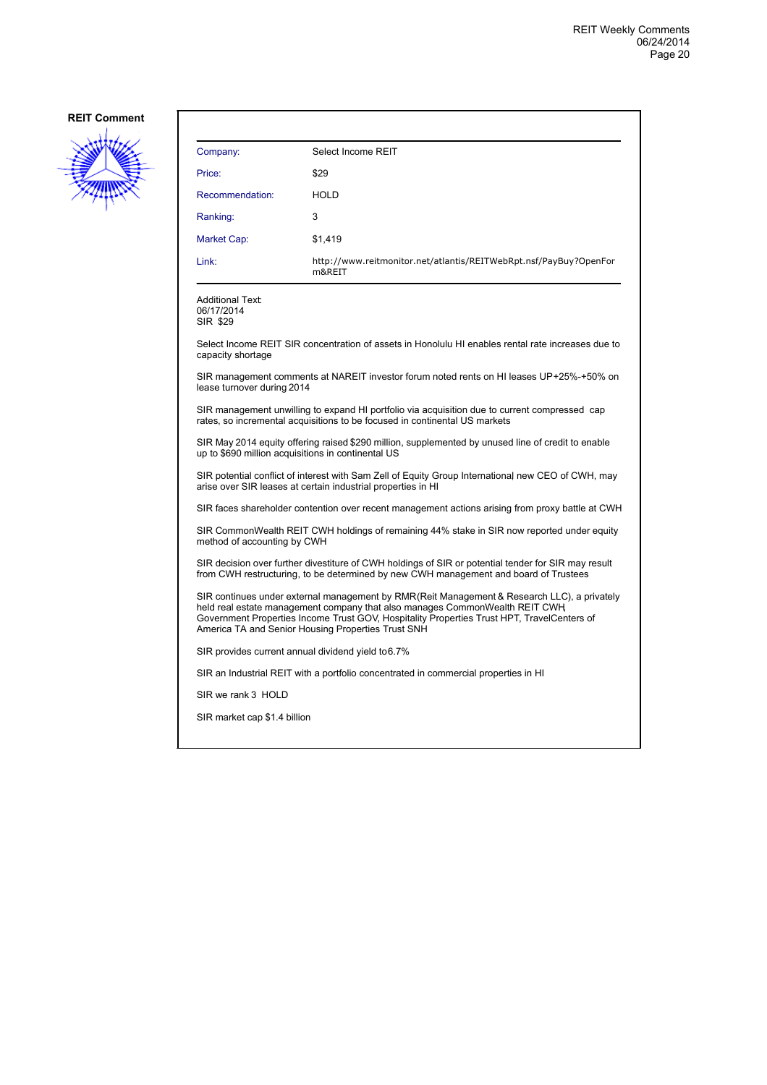

| Company:                                                                                                                                                 | Select Income REIT                                                                                                                                                                                                                                                                                                             |  |
|----------------------------------------------------------------------------------------------------------------------------------------------------------|--------------------------------------------------------------------------------------------------------------------------------------------------------------------------------------------------------------------------------------------------------------------------------------------------------------------------------|--|
| Price:                                                                                                                                                   | \$29                                                                                                                                                                                                                                                                                                                           |  |
| Recommendation:                                                                                                                                          | <b>HOLD</b>                                                                                                                                                                                                                                                                                                                    |  |
| Ranking:                                                                                                                                                 | 3                                                                                                                                                                                                                                                                                                                              |  |
| Market Cap:                                                                                                                                              | \$1,419                                                                                                                                                                                                                                                                                                                        |  |
| Link:                                                                                                                                                    | http://www.reitmonitor.net/atlantis/REITWebRpt.nsf/PayBuy?OpenFor<br>m&REIT                                                                                                                                                                                                                                                    |  |
| <b>Additional Text:</b><br>06/17/2014<br>SIR \$29                                                                                                        |                                                                                                                                                                                                                                                                                                                                |  |
| capacity shortage                                                                                                                                        | Select Income REIT SIR concentration of assets in Honolulu HI enables rental rate increases due to                                                                                                                                                                                                                             |  |
| lease turnover during 2014                                                                                                                               | SIR management comments at NAREIT investor forum noted rents on HI leases UP+25%-+50% on                                                                                                                                                                                                                                       |  |
|                                                                                                                                                          | SIR management unwilling to expand HI portfolio via acquisition due to current compressed cap<br>rates, so incremental acquisitions to be focused in continental US markets                                                                                                                                                    |  |
| SIR May 2014 equity offering raised \$290 million, supplemented by unused line of credit to enable<br>up to \$690 million acquisitions in continental US |                                                                                                                                                                                                                                                                                                                                |  |
|                                                                                                                                                          | SIR potential conflict of interest with Sam Zell of Equity Group International new CEO of CWH, may<br>arise over SIR leases at certain industrial properties in HI                                                                                                                                                             |  |
|                                                                                                                                                          | SIR faces shareholder contention over recent management actions arising from proxy battle at CWH                                                                                                                                                                                                                               |  |
| method of accounting by CWH                                                                                                                              | SIR CommonWealth REIT CWH holdings of remaining 44% stake in SIR now reported under equity                                                                                                                                                                                                                                     |  |
|                                                                                                                                                          | SIR decision over further divestiture of CWH holdings of SIR or potential tender for SIR may result<br>from CWH restructuring, to be determined by new CWH management and board of Trustees                                                                                                                                    |  |
|                                                                                                                                                          | SIR continues under external management by RMR(Reit Management & Research LLC), a privately<br>held real estate management company that also manages CommonWealth REIT CWH<br>Government Properties Income Trust GOV, Hospitality Properties Trust HPT, TravelCenters of<br>America TA and Senior Housing Properties Trust SNH |  |
| SIR provides current annual dividend yield to 6.7%                                                                                                       |                                                                                                                                                                                                                                                                                                                                |  |
|                                                                                                                                                          | SIR an Industrial REIT with a portfolio concentrated in commercial properties in HI                                                                                                                                                                                                                                            |  |
| SIR we rank 3 HOLD                                                                                                                                       |                                                                                                                                                                                                                                                                                                                                |  |
| SIR market cap \$1.4 billion                                                                                                                             |                                                                                                                                                                                                                                                                                                                                |  |
|                                                                                                                                                          |                                                                                                                                                                                                                                                                                                                                |  |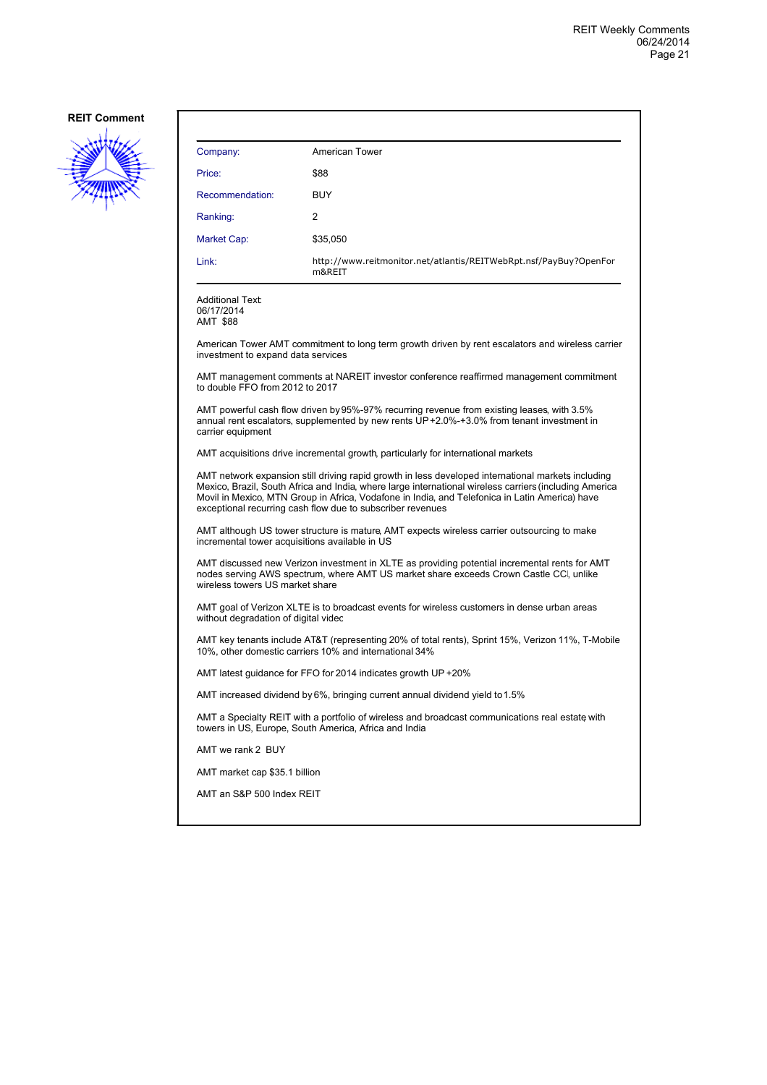

| Company:                                                                     | <b>American Tower</b>                                                                                                                                                                                                                                                                                                                                                        |
|------------------------------------------------------------------------------|------------------------------------------------------------------------------------------------------------------------------------------------------------------------------------------------------------------------------------------------------------------------------------------------------------------------------------------------------------------------------|
|                                                                              |                                                                                                                                                                                                                                                                                                                                                                              |
| Price:                                                                       | \$88                                                                                                                                                                                                                                                                                                                                                                         |
| Recommendation:                                                              | <b>BUY</b>                                                                                                                                                                                                                                                                                                                                                                   |
| Ranking:                                                                     | 2                                                                                                                                                                                                                                                                                                                                                                            |
| Market Cap:                                                                  | \$35,050                                                                                                                                                                                                                                                                                                                                                                     |
| Link:                                                                        | http://www.reitmonitor.net/atlantis/REITWebRpt.nsf/PayBuy?OpenFor<br>m&RFIT                                                                                                                                                                                                                                                                                                  |
| <b>Additional Text:</b><br>06/17/2014<br>AMT \$88                            |                                                                                                                                                                                                                                                                                                                                                                              |
| investment to expand data services                                           | American Tower AMT commitment to long term growth driven by rent escalators and wireless carrier                                                                                                                                                                                                                                                                             |
| to double FFO from 2012 to 2017                                              | AMT management comments at NAREIT investor conference reaffirmed management commitment                                                                                                                                                                                                                                                                                       |
| carrier equipment                                                            | AMT powerful cash flow driven by 95%-97% recurring revenue from existing leases, with 3.5%<br>annual rent escalators, supplemented by new rents UP+2.0%-+3.0% from tenant investment in                                                                                                                                                                                      |
|                                                                              | AMT acquisitions drive incremental growth, particularly for international markets                                                                                                                                                                                                                                                                                            |
|                                                                              | AMT network expansion still driving rapid growth in less developed international markets including<br>Mexico, Brazil, South Africa and India, where large international wireless carriers (including America<br>Movil in Mexico, MTN Group in Africa, Vodafone in India, and Telefonica in Latin America) have<br>exceptional recurring cash flow due to subscriber revenues |
|                                                                              | AMT although US tower structure is mature, AMT expects wireless carrier outsourcing to make<br>incremental tower acquisitions available in US                                                                                                                                                                                                                                |
| wireless towers US market share                                              | AMT discussed new Verizon investment in XLTE as providing potential incremental rents for AMT<br>nodes serving AWS spectrum, where AMT US market share exceeds Crown Castle CC, unlike                                                                                                                                                                                       |
| without degradation of digital video                                         | AMT goal of Verizon XLTE is to broadcast events for wireless customers in dense urban areas                                                                                                                                                                                                                                                                                  |
|                                                                              | AMT key tenants include AT&T (representing 20% of total rents), Sprint 15%, Verizon 11%, T-Mobile<br>10%, other domestic carriers 10% and international 34%                                                                                                                                                                                                                  |
| AMT latest guidance for FFO for 2014 indicates growth UP +20%                |                                                                                                                                                                                                                                                                                                                                                                              |
| AMT increased dividend by 6%, bringing current annual dividend yield to 1.5% |                                                                                                                                                                                                                                                                                                                                                                              |
|                                                                              | AMT a Specialty REIT with a portfolio of wireless and broadcast communications real estate with<br>towers in US, Europe, South America, Africa and India                                                                                                                                                                                                                     |
| AMT we rank 2 BUY                                                            |                                                                                                                                                                                                                                                                                                                                                                              |
|                                                                              |                                                                                                                                                                                                                                                                                                                                                                              |
| AMT market cap \$35.1 billion                                                |                                                                                                                                                                                                                                                                                                                                                                              |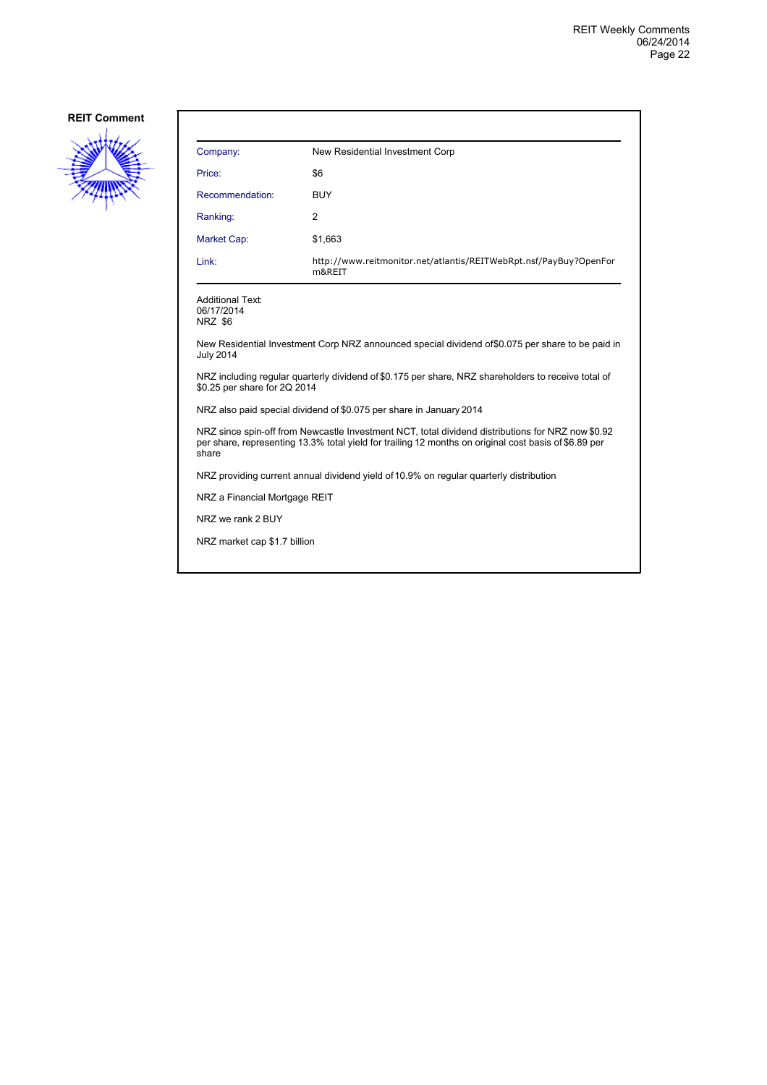

| Company:                                                                                                                                                                                                            | New Residential Investment Corp                                             |  |
|---------------------------------------------------------------------------------------------------------------------------------------------------------------------------------------------------------------------|-----------------------------------------------------------------------------|--|
| Price:                                                                                                                                                                                                              | \$6                                                                         |  |
| Recommendation:                                                                                                                                                                                                     | <b>BUY</b>                                                                  |  |
| Ranking:                                                                                                                                                                                                            | 2                                                                           |  |
| Market Cap:                                                                                                                                                                                                         | \$1,663                                                                     |  |
| Link:                                                                                                                                                                                                               | http://www.reitmonitor.net/atlantis/REITWebRpt.nsf/PayBuy?OpenFor<br>m&REIT |  |
| <b>Additional Text:</b><br>06/17/2014<br>NRZ \$6                                                                                                                                                                    |                                                                             |  |
| New Residential Investment Corp NRZ announced special dividend of \$0.075 per share to be paid in<br><b>July 2014</b>                                                                                               |                                                                             |  |
| NRZ including regular quarterly dividend of \$0.175 per share, NRZ shareholders to receive total of<br>\$0.25 per share for 2Q 2014                                                                                 |                                                                             |  |
| NRZ also paid special dividend of \$0.075 per share in January 2014                                                                                                                                                 |                                                                             |  |
| NRZ since spin-off from Newcastle Investment NCT, total dividend distributions for NRZ now \$0.92<br>per share, representing 13.3% total yield for trailing 12 months on original cost basis of \$6.89 per<br>share |                                                                             |  |
| NRZ providing current annual dividend yield of 10.9% on regular quarterly distribution                                                                                                                              |                                                                             |  |
| NRZ a Financial Mortgage REIT                                                                                                                                                                                       |                                                                             |  |
| NRZ we rank 2 BUY                                                                                                                                                                                                   |                                                                             |  |
| NRZ market cap \$1.7 billion                                                                                                                                                                                        |                                                                             |  |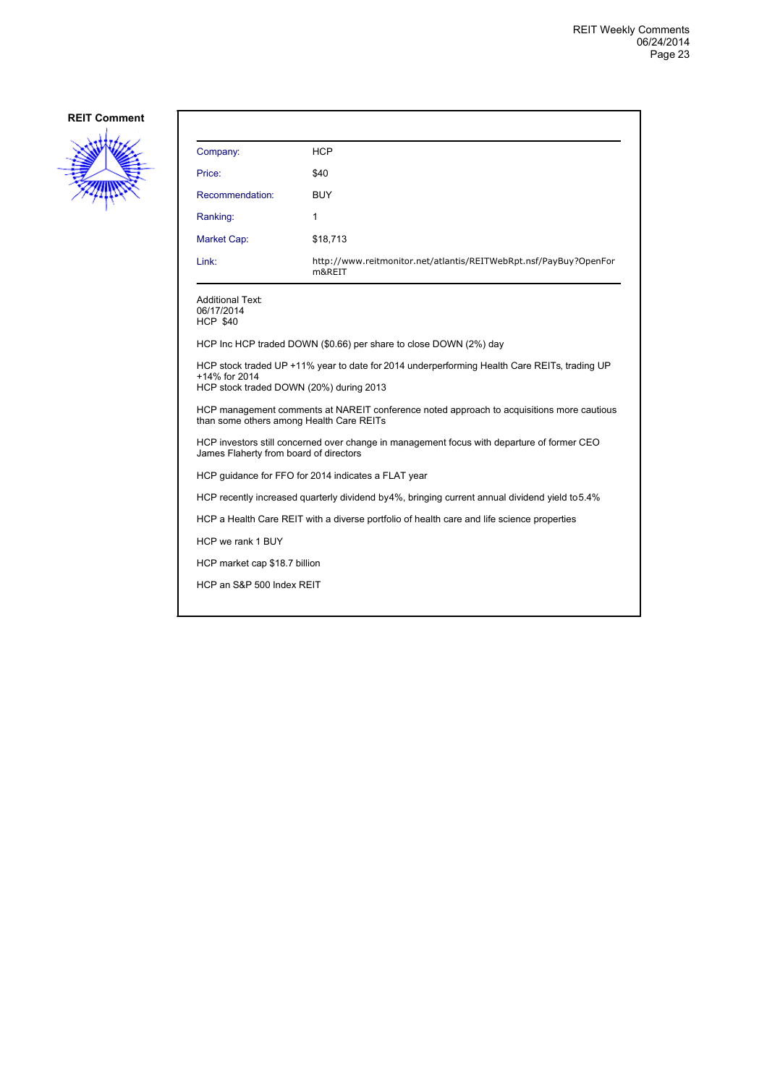

| Company:                                                                                                                             | <b>HCP</b>                                                                                     |  |
|--------------------------------------------------------------------------------------------------------------------------------------|------------------------------------------------------------------------------------------------|--|
| Price:                                                                                                                               | \$40                                                                                           |  |
| Recommendation:                                                                                                                      | <b>BUY</b>                                                                                     |  |
| Ranking:                                                                                                                             | 1                                                                                              |  |
| Market Cap:                                                                                                                          | \$18,713                                                                                       |  |
| Link:                                                                                                                                | http://www.reitmonitor.net/atlantis/REITWebRpt.nsf/PayBuy?OpenFor<br>m&REIT                    |  |
| Additional Text:<br>06/17/2014<br><b>HCP \$40</b>                                                                                    |                                                                                                |  |
|                                                                                                                                      | HCP Inc HCP traded DOWN (\$0.66) per share to close DOWN (2%) day                              |  |
| +14% for 2014<br>HCP stock traded DOWN (20%) during 2013                                                                             | HCP stock traded UP +11% year to date for 2014 underperforming Health Care REITs, trading UP   |  |
| than some others among Health Care REITs                                                                                             | HCP management comments at NAREIT conference noted approach to acquisitions more cautious      |  |
| HCP investors still concerned over change in management focus with departure of former CEO<br>James Flaherty from board of directors |                                                                                                |  |
|                                                                                                                                      | HCP guidance for FFO for 2014 indicates a FLAT year                                            |  |
|                                                                                                                                      | HCP recently increased quarterly dividend by4%, bringing current annual dividend yield to 5.4% |  |
|                                                                                                                                      | HCP a Health Care REIT with a diverse portfolio of health care and life science properties     |  |
| HCP we rank 1 BUY                                                                                                                    |                                                                                                |  |
|                                                                                                                                      | HCP market cap \$18.7 billion                                                                  |  |
| HCP an S&P 500 Index REIT                                                                                                            |                                                                                                |  |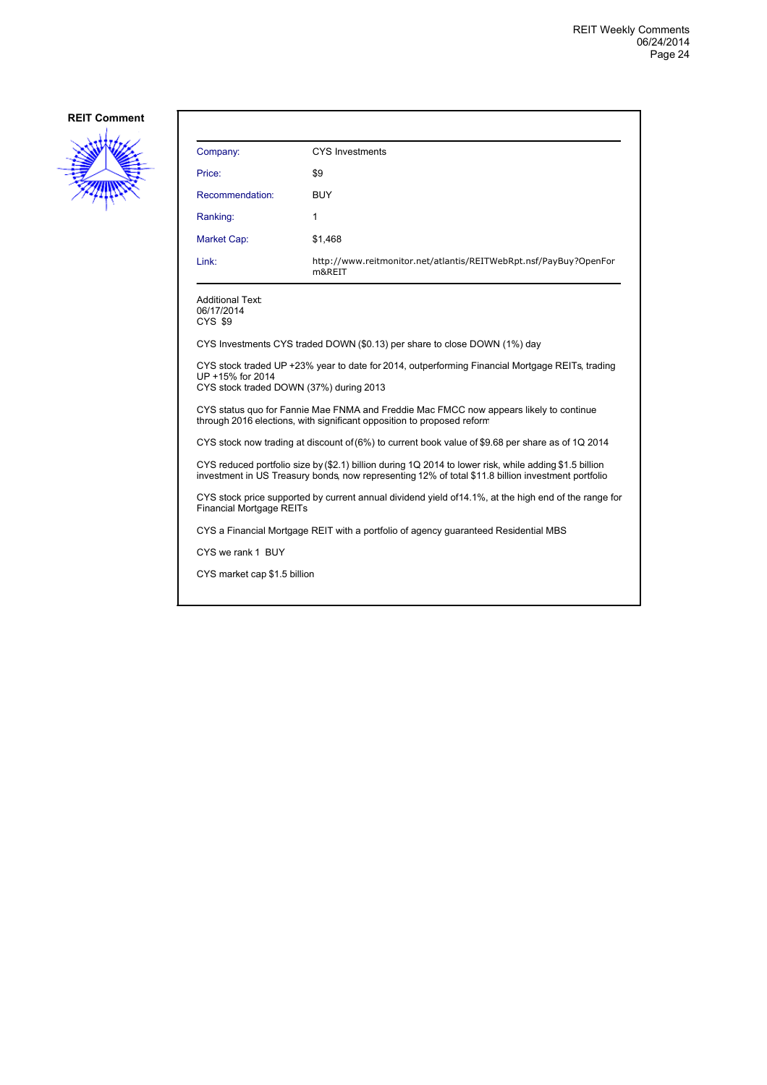

| Company:                                                                                                                                                                                                     | <b>CYS Investments</b>                                                      |  |
|--------------------------------------------------------------------------------------------------------------------------------------------------------------------------------------------------------------|-----------------------------------------------------------------------------|--|
| Price:                                                                                                                                                                                                       | \$9                                                                         |  |
| Recommendation:                                                                                                                                                                                              | <b>BUY</b>                                                                  |  |
| Ranking:                                                                                                                                                                                                     | 1                                                                           |  |
| Market Cap:                                                                                                                                                                                                  | \$1,468                                                                     |  |
| Link:                                                                                                                                                                                                        | http://www.reitmonitor.net/atlantis/REITWebRpt.nsf/PayBuy?OpenFor<br>m&REIT |  |
| <b>Additional Text:</b><br>06/17/2014<br>CYS \$9                                                                                                                                                             |                                                                             |  |
|                                                                                                                                                                                                              | CYS Investments CYS traded DOWN (\$0.13) per share to close DOWN (1%) day   |  |
| CYS stock traded UP +23% year to date for 2014, outperforming Financial Mortgage REITs, trading<br>UP +15% for 2014<br>CYS stock traded DOWN (37%) during 2013                                               |                                                                             |  |
| CYS status quo for Fannie Mae FNMA and Freddie Mac FMCC now appears likely to continue<br>through 2016 elections, with significant opposition to proposed reform                                             |                                                                             |  |
| CYS stock now trading at discount of (6%) to current book value of \$9.68 per share as of 1Q 2014                                                                                                            |                                                                             |  |
| CYS reduced portfolio size by (\$2.1) billion during 1Q 2014 to lower risk, while adding \$1.5 billion<br>investment in US Treasury bonds, now representing 12% of total \$11.8 billion investment portfolio |                                                                             |  |
| CYS stock price supported by current annual dividend yield of 14.1%, at the high end of the range for<br><b>Financial Mortgage REITs</b>                                                                     |                                                                             |  |
| CYS a Financial Mortgage REIT with a portfolio of agency guaranteed Residential MBS                                                                                                                          |                                                                             |  |
| CYS we rank 1 BUY                                                                                                                                                                                            |                                                                             |  |
| CYS market cap \$1.5 billion                                                                                                                                                                                 |                                                                             |  |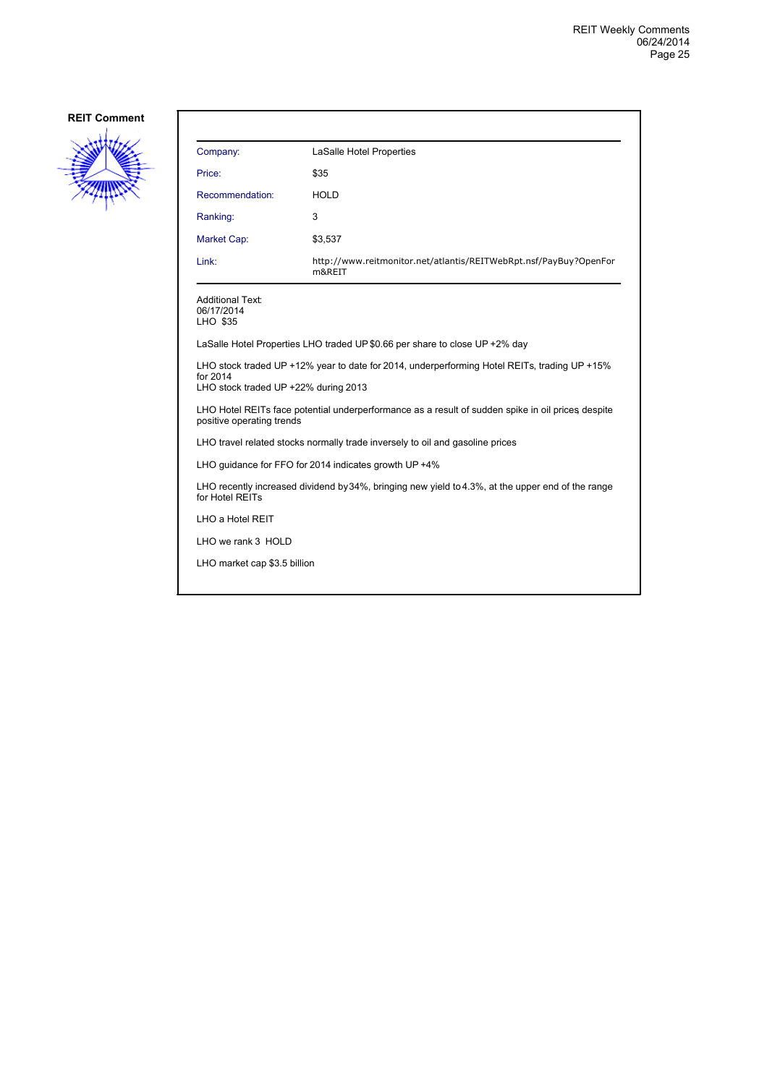

| Company:                                                                                                                                         | LaSalle Hotel Properties                                                    |  |
|--------------------------------------------------------------------------------------------------------------------------------------------------|-----------------------------------------------------------------------------|--|
| Price:                                                                                                                                           | \$35                                                                        |  |
| Recommendation:                                                                                                                                  | <b>HOLD</b>                                                                 |  |
| Ranking:                                                                                                                                         | 3                                                                           |  |
| Market Cap:                                                                                                                                      | \$3,537                                                                     |  |
| Link:                                                                                                                                            | http://www.reitmonitor.net/atlantis/REITWebRpt.nsf/PayBuy?OpenFor<br>m&REIT |  |
| <b>Additional Text:</b><br>06/17/2014<br>LHO \$35                                                                                                |                                                                             |  |
| LaSalle Hotel Properties LHO traded UP \$0.66 per share to close UP +2% day                                                                      |                                                                             |  |
| LHO stock traded UP +12% year to date for 2014, underperforming Hotel REITs, trading UP +15%<br>for 2014<br>LHO stock traded UP +22% during 2013 |                                                                             |  |
| LHO Hotel REITs face potential underperformance as a result of sudden spike in oil prices despite<br>positive operating trends                   |                                                                             |  |
| LHO travel related stocks normally trade inversely to oil and gasoline prices                                                                    |                                                                             |  |
| LHO guidance for FFO for 2014 indicates growth UP +4%                                                                                            |                                                                             |  |
| LHO recently increased dividend by 34%, bringing new yield to 4.3%, at the upper end of the range<br>for Hotel REITs                             |                                                                             |  |
| LHO a Hotel REIT                                                                                                                                 |                                                                             |  |
| LHO we rank 3 HOLD                                                                                                                               |                                                                             |  |
| LHO market cap \$3.5 billion                                                                                                                     |                                                                             |  |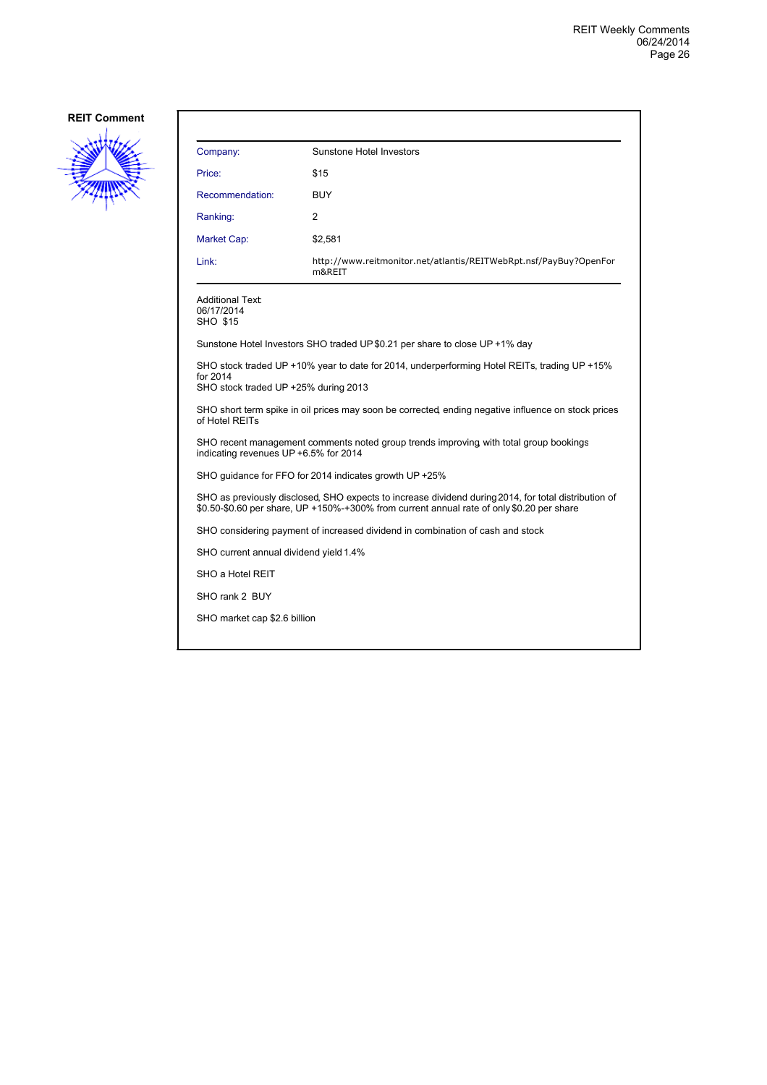

| Company:                                                                                                                                                                                          | Sunstone Hotel Investors                                                    |  |  |
|---------------------------------------------------------------------------------------------------------------------------------------------------------------------------------------------------|-----------------------------------------------------------------------------|--|--|
| Price:                                                                                                                                                                                            | \$15                                                                        |  |  |
| Recommendation:                                                                                                                                                                                   | <b>BUY</b>                                                                  |  |  |
| Ranking:                                                                                                                                                                                          | 2                                                                           |  |  |
| Market Cap:                                                                                                                                                                                       | \$2,581                                                                     |  |  |
| Link:                                                                                                                                                                                             | http://www.reitmonitor.net/atlantis/REITWebRpt.nsf/PayBuy?OpenFor<br>m&REIT |  |  |
| <b>Additional Text:</b><br>06/17/2014<br><b>SHO \$15</b>                                                                                                                                          |                                                                             |  |  |
|                                                                                                                                                                                                   | Sunstone Hotel Investors SHO traded UP \$0.21 per share to close UP +1% day |  |  |
| SHO stock traded UP +10% year to date for 2014, underperforming Hotel REITs, trading UP +15%<br>for 2014<br>SHO stock traded UP +25% during 2013                                                  |                                                                             |  |  |
| SHO short term spike in oil prices may soon be corrected ending negative influence on stock prices<br>of Hotel REITs                                                                              |                                                                             |  |  |
| SHO recent management comments noted group trends improving with total group bookings<br>indicating revenues UP +6.5% for 2014                                                                    |                                                                             |  |  |
|                                                                                                                                                                                                   | SHO guidance for FFO for 2014 indicates growth UP +25%                      |  |  |
| SHO as previously disclosed, SHO expects to increase dividend during 2014, for total distribution of<br>\$0.50-\$0.60 per share, UP +150%-+300% from current annual rate of only \$0.20 per share |                                                                             |  |  |
| SHO considering payment of increased dividend in combination of cash and stock                                                                                                                    |                                                                             |  |  |
| SHO current annual dividend yield 1.4%                                                                                                                                                            |                                                                             |  |  |
| SHO a Hotel REIT                                                                                                                                                                                  |                                                                             |  |  |

SHO rank 2 BUY

SHO market cap \$2.6 billion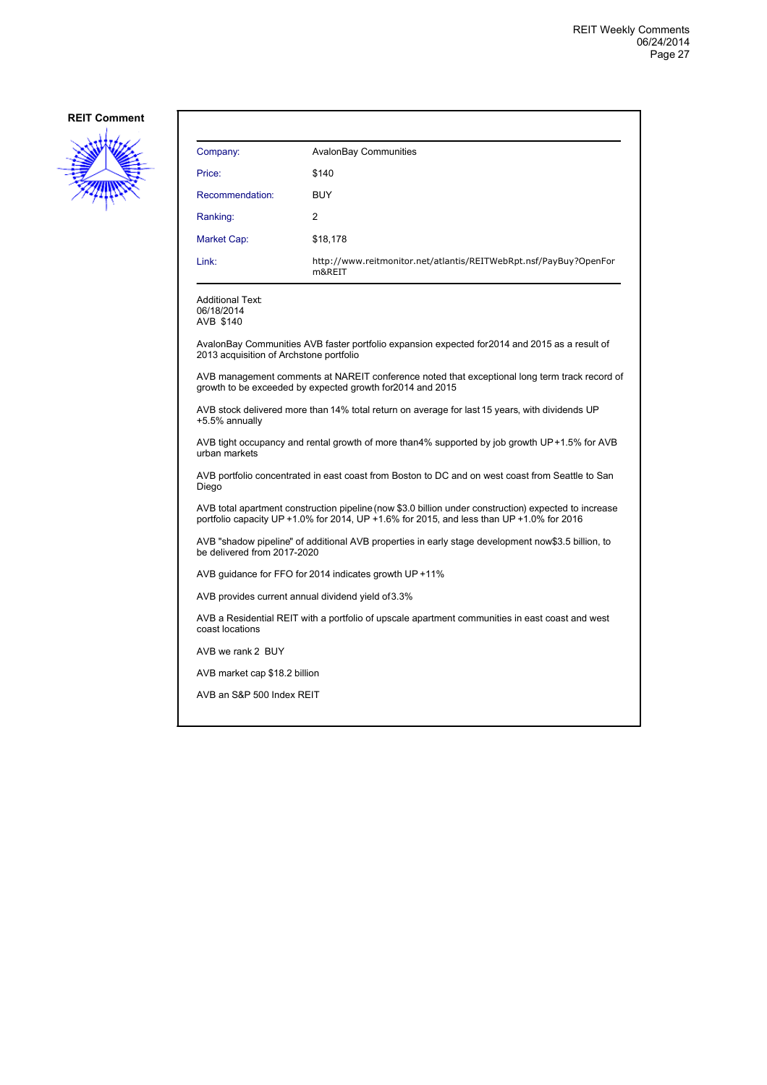

| Company:                                                                                                                                                                                          | <b>AvalonBay Communities</b>                                                                                                                                |  |
|---------------------------------------------------------------------------------------------------------------------------------------------------------------------------------------------------|-------------------------------------------------------------------------------------------------------------------------------------------------------------|--|
| Price:                                                                                                                                                                                            | \$140                                                                                                                                                       |  |
| Recommendation:                                                                                                                                                                                   | <b>BUY</b>                                                                                                                                                  |  |
| Ranking:                                                                                                                                                                                          | 2                                                                                                                                                           |  |
| Market Cap:                                                                                                                                                                                       | \$18,178                                                                                                                                                    |  |
| Link:                                                                                                                                                                                             | http://www.reitmonitor.net/atlantis/REITWebRpt.nsf/PayBuy?OpenFor<br>m&REIT                                                                                 |  |
| <b>Additional Text:</b><br>06/18/2014<br>AVB \$140                                                                                                                                                |                                                                                                                                                             |  |
| 2013 acquisition of Archstone portfolio                                                                                                                                                           | AvalonBay Communities AVB faster portfolio expansion expected for 2014 and 2015 as a result of                                                              |  |
|                                                                                                                                                                                                   | AVB management comments at NAREIT conference noted that exceptional long term track record of<br>growth to be exceeded by expected growth for 2014 and 2015 |  |
| +5.5% annually                                                                                                                                                                                    | AVB stock delivered more than 14% total return on average for last 15 years, with dividends UP                                                              |  |
| urban markets                                                                                                                                                                                     | AVB tight occupancy and rental growth of more than4% supported by job growth UP+1.5% for AVB                                                                |  |
| AVB portfolio concentrated in east coast from Boston to DC and on west coast from Seattle to San<br>Diego                                                                                         |                                                                                                                                                             |  |
| AVB total apartment construction pipeline (now \$3.0 billion under construction) expected to increase<br>portfolio capacity UP +1.0% for 2014, UP +1.6% for 2015, and less than UP +1.0% for 2016 |                                                                                                                                                             |  |
| be delivered from 2017-2020                                                                                                                                                                       | AVB "shadow pipeline" of additional AVB properties in early stage development now\$3.5 billion, to                                                          |  |
|                                                                                                                                                                                                   | AVB guidance for FFO for 2014 indicates growth UP +11%                                                                                                      |  |
|                                                                                                                                                                                                   | AVB provides current annual dividend yield of 3.3%                                                                                                          |  |
| coast locations                                                                                                                                                                                   | AVB a Residential REIT with a portfolio of upscale apartment communities in east coast and west                                                             |  |
| AVB we rank 2 BUY                                                                                                                                                                                 |                                                                                                                                                             |  |
|                                                                                                                                                                                                   | AVB market cap \$18.2 billion                                                                                                                               |  |
| AVB an S&P 500 Index REIT                                                                                                                                                                         |                                                                                                                                                             |  |
|                                                                                                                                                                                                   |                                                                                                                                                             |  |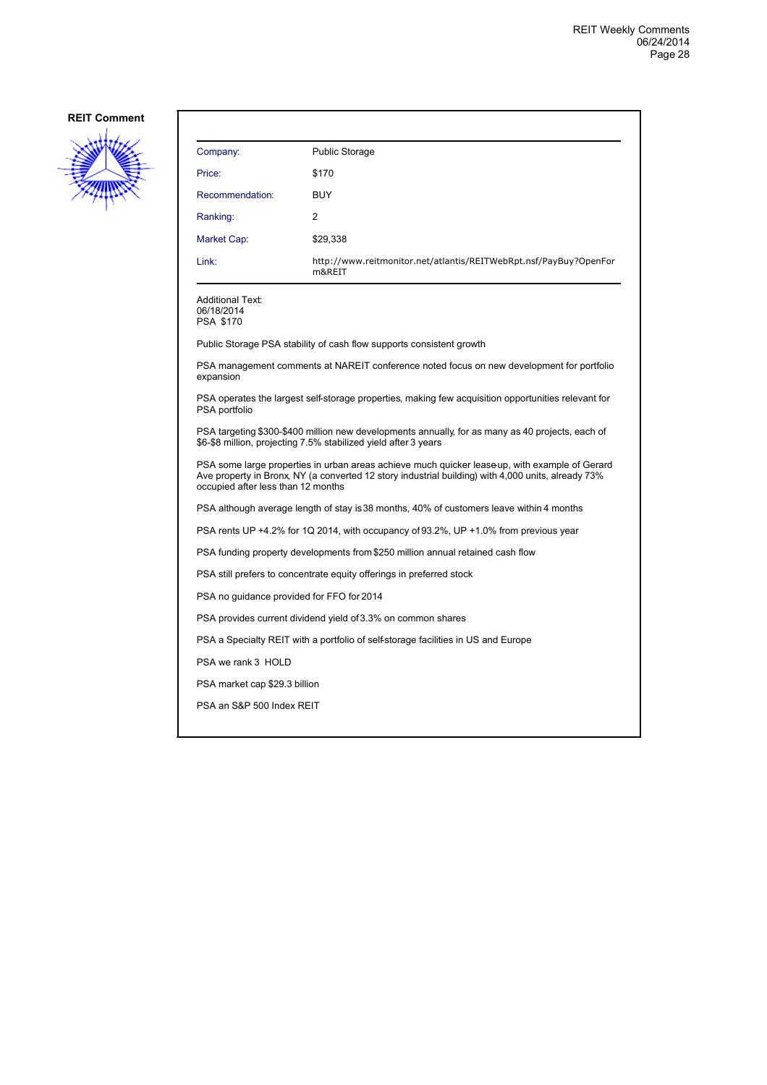

| Company:                                                                                                                                                                                                                                  | <b>Public Storage</b>                                                                                                                                               |  |  |
|-------------------------------------------------------------------------------------------------------------------------------------------------------------------------------------------------------------------------------------------|---------------------------------------------------------------------------------------------------------------------------------------------------------------------|--|--|
| Price:                                                                                                                                                                                                                                    | \$170                                                                                                                                                               |  |  |
| Recommendation:                                                                                                                                                                                                                           | <b>BUY</b>                                                                                                                                                          |  |  |
| Ranking:                                                                                                                                                                                                                                  | 2                                                                                                                                                                   |  |  |
| Market Cap:                                                                                                                                                                                                                               | \$29,338                                                                                                                                                            |  |  |
| Link:                                                                                                                                                                                                                                     | http://www.reitmonitor.net/atlantis/REITWebRpt.nsf/PayBuy?OpenFor<br>m&REIT                                                                                         |  |  |
| <b>Additional Text:</b><br>06/18/2014<br><b>PSA \$170</b>                                                                                                                                                                                 |                                                                                                                                                                     |  |  |
|                                                                                                                                                                                                                                           | Public Storage PSA stability of cash flow supports consistent growth                                                                                                |  |  |
| expansion                                                                                                                                                                                                                                 | PSA management comments at NAREIT conference noted focus on new development for portfolio                                                                           |  |  |
| PSA operates the largest self-storage properties, making few acquisition opportunities relevant for<br>PSA portfolio                                                                                                                      |                                                                                                                                                                     |  |  |
|                                                                                                                                                                                                                                           | PSA targeting \$300-\$400 million new developments annually, for as many as 40 projects, each of<br>\$6-\$8 million, projecting 7.5% stabilized yield after 3 years |  |  |
| PSA some large properties in urban areas achieve much quicker leaseup, with example of Gerard<br>Ave property in Bronx, NY (a converted 12 story industrial building) with 4,000 units, already 73%<br>occupied after less than 12 months |                                                                                                                                                                     |  |  |
| PSA although average length of stay is 38 months, 40% of customers leave within 4 months                                                                                                                                                  |                                                                                                                                                                     |  |  |
| PSA rents UP +4.2% for 1Q 2014, with occupancy of 93.2%, UP +1.0% from previous year                                                                                                                                                      |                                                                                                                                                                     |  |  |
|                                                                                                                                                                                                                                           | PSA funding property developments from \$250 million annual retained cash flow                                                                                      |  |  |
|                                                                                                                                                                                                                                           | PSA still prefers to concentrate equity offerings in preferred stock                                                                                                |  |  |
|                                                                                                                                                                                                                                           | PSA no guidance provided for FFO for 2014                                                                                                                           |  |  |
| PSA provides current dividend yield of 3.3% on common shares                                                                                                                                                                              |                                                                                                                                                                     |  |  |
| PSA a Specialty REIT with a portfolio of self-storage facilities in US and Europe                                                                                                                                                         |                                                                                                                                                                     |  |  |
| PSA we rank 3 HOLD                                                                                                                                                                                                                        |                                                                                                                                                                     |  |  |
|                                                                                                                                                                                                                                           | PSA market cap \$29.3 billion                                                                                                                                       |  |  |
| PSA an S&P 500 Index REIT                                                                                                                                                                                                                 |                                                                                                                                                                     |  |  |
|                                                                                                                                                                                                                                           |                                                                                                                                                                     |  |  |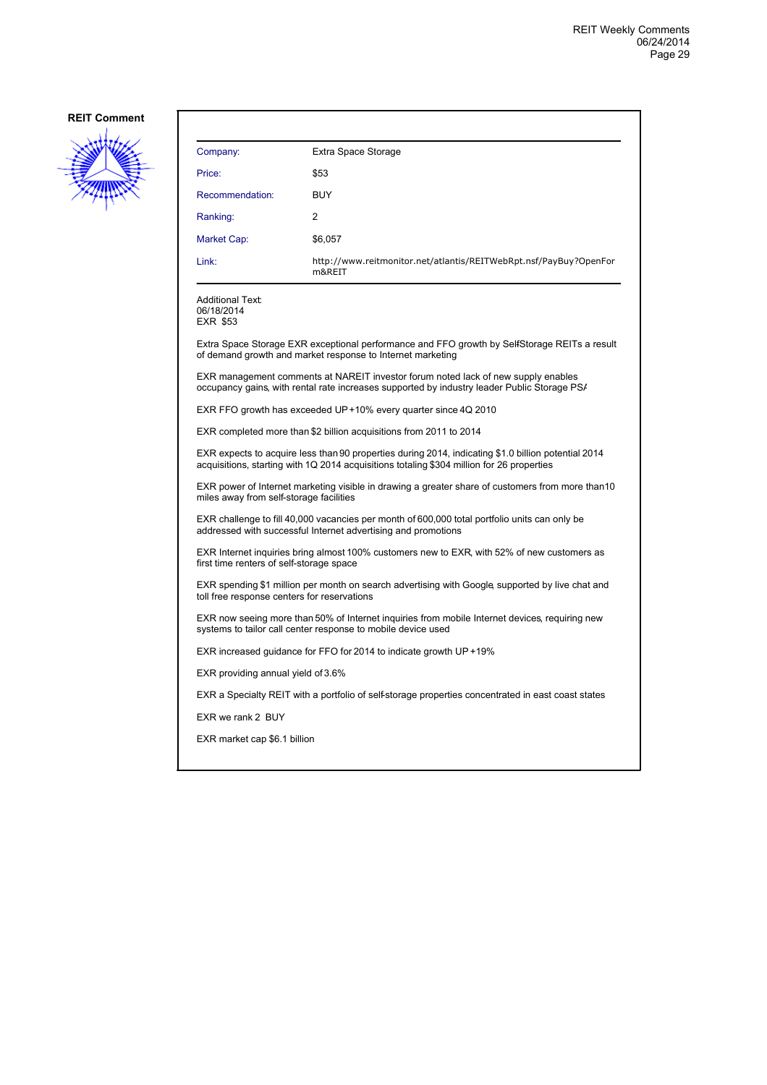

| Company:                                                                                                                                                                                         | Extra Space Storage                                                                                                                                                              |  |
|--------------------------------------------------------------------------------------------------------------------------------------------------------------------------------------------------|----------------------------------------------------------------------------------------------------------------------------------------------------------------------------------|--|
| Price:                                                                                                                                                                                           | \$53                                                                                                                                                                             |  |
| Recommendation:                                                                                                                                                                                  | <b>BUY</b>                                                                                                                                                                       |  |
| Ranking:                                                                                                                                                                                         | 2                                                                                                                                                                                |  |
| Market Cap:                                                                                                                                                                                      | \$6,057                                                                                                                                                                          |  |
| Link:                                                                                                                                                                                            | http://www.reitmonitor.net/atlantis/REITWebRpt.nsf/PayBuy?OpenFor<br>m&REIT                                                                                                      |  |
| <b>Additional Text:</b><br>06/18/2014<br><b>EXR \$53</b>                                                                                                                                         |                                                                                                                                                                                  |  |
|                                                                                                                                                                                                  | Extra Space Storage EXR exceptional performance and FFO growth by SelfStorage REITs a result<br>of demand growth and market response to Internet marketing                       |  |
|                                                                                                                                                                                                  | EXR management comments at NAREIT investor forum noted lack of new supply enables<br>occupancy gains, with rental rate increases supported by industry leader Public Storage PS/ |  |
| EXR FFO growth has exceeded UP+10% every quarter since 4Q 2010                                                                                                                                   |                                                                                                                                                                                  |  |
| EXR completed more than \$2 billion acquisitions from 2011 to 2014                                                                                                                               |                                                                                                                                                                                  |  |
| EXR expects to acquire less than 90 properties during 2014, indicating \$1.0 billion potential 2014<br>acquisitions, starting with 1Q 2014 acquisitions totaling \$304 million for 26 properties |                                                                                                                                                                                  |  |
| EXR power of Internet marketing visible in drawing a greater share of customers from more than 10<br>miles away from self-storage facilities                                                     |                                                                                                                                                                                  |  |
| EXR challenge to fill 40,000 vacancies per month of 600,000 total portfolio units can only be<br>addressed with successful Internet advertising and promotions                                   |                                                                                                                                                                                  |  |
| EXR Internet inquiries bring almost 100% customers new to EXR, with 52% of new customers as<br>first time renters of self-storage space                                                          |                                                                                                                                                                                  |  |
| EXR spending \$1 million per month on search advertising with Google, supported by live chat and<br>toll free response centers for reservations                                                  |                                                                                                                                                                                  |  |
| EXR now seeing more than 50% of Internet inquiries from mobile Internet devices, requiring new<br>systems to tailor call center response to mobile device used                                   |                                                                                                                                                                                  |  |
| EXR increased guidance for FFO for 2014 to indicate growth UP +19%                                                                                                                               |                                                                                                                                                                                  |  |
| EXR providing annual yield of 3.6%                                                                                                                                                               |                                                                                                                                                                                  |  |
|                                                                                                                                                                                                  | EXR a Specialty REIT with a portfolio of self-storage properties concentrated in east coast states                                                                               |  |
| EXR we rank 2 BUY                                                                                                                                                                                |                                                                                                                                                                                  |  |
| EXR market cap \$6.1 billion                                                                                                                                                                     |                                                                                                                                                                                  |  |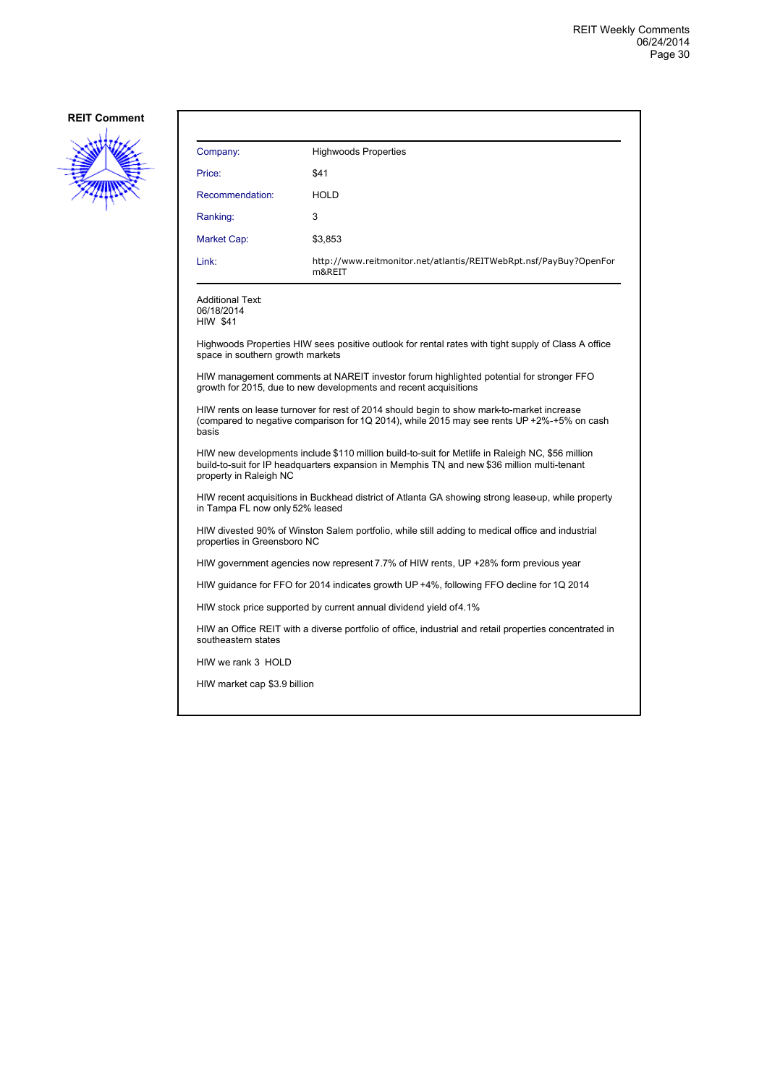

| Company:                                                                                                                                                                                                                  | <b>Highwoods Properties</b>                                                                         |  |
|---------------------------------------------------------------------------------------------------------------------------------------------------------------------------------------------------------------------------|-----------------------------------------------------------------------------------------------------|--|
| Price:                                                                                                                                                                                                                    | \$41                                                                                                |  |
| Recommendation:                                                                                                                                                                                                           | <b>HOLD</b>                                                                                         |  |
| Ranking:                                                                                                                                                                                                                  | 3                                                                                                   |  |
| Market Cap:                                                                                                                                                                                                               | \$3,853                                                                                             |  |
| Link:                                                                                                                                                                                                                     | http://www.reitmonitor.net/atlantis/REITWebRpt.nsf/PayBuy?OpenFor<br>m&REIT                         |  |
| <b>Additional Text:</b><br>06/18/2014<br><b>HIW \$41</b>                                                                                                                                                                  |                                                                                                     |  |
| space in southern growth markets                                                                                                                                                                                          | Highwoods Properties HIW sees positive outlook for rental rates with tight supply of Class A office |  |
| HIW management comments at NAREIT investor forum highlighted potential for stronger FFO<br>growth for 2015, due to new developments and recent acquisitions                                                               |                                                                                                     |  |
| HIW rents on lease turnover for rest of 2014 should begin to show mark-to-market increase<br>(compared to negative comparison for 1Q 2014), while 2015 may see rents UP +2%-+5% on cash<br>basis                          |                                                                                                     |  |
| HIW new developments include \$110 million build-to-suit for Metlife in Raleigh NC, \$56 million<br>build-to-suit for IP headquarters expansion in Memphis TN and new \$36 million multi-tenant<br>property in Raleigh NC |                                                                                                     |  |
| HIW recent acquisitions in Buckhead district of Atlanta GA showing strong leaseup, while property<br>in Tampa FL now only 52% leased                                                                                      |                                                                                                     |  |
| HIW divested 90% of Winston Salem portfolio, while still adding to medical office and industrial<br>properties in Greensboro NC                                                                                           |                                                                                                     |  |
| HIW government agencies now represent 7.7% of HIW rents, UP +28% form previous year                                                                                                                                       |                                                                                                     |  |
| HIW quidance for FFO for 2014 indicates growth UP +4%, following FFO decline for 1Q 2014                                                                                                                                  |                                                                                                     |  |
| HIW stock price supported by current annual dividend yield of 4.1%                                                                                                                                                        |                                                                                                     |  |
| HIW an Office REIT with a diverse portfolio of office, industrial and retail properties concentrated in<br>southeastern states                                                                                            |                                                                                                     |  |
| HIW we rank 3 HOLD                                                                                                                                                                                                        |                                                                                                     |  |
| HIW market cap \$3.9 billion                                                                                                                                                                                              |                                                                                                     |  |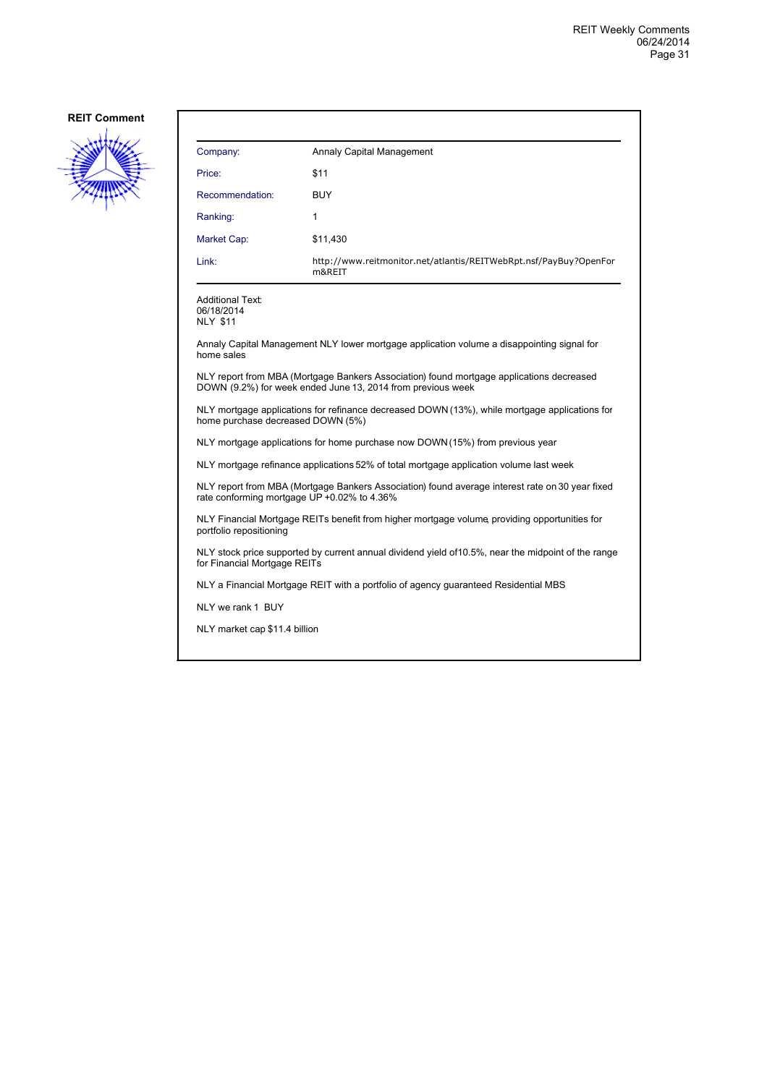

| Company:        | Annaly Capital Management                                                   |
|-----------------|-----------------------------------------------------------------------------|
| Price:          | \$11                                                                        |
| Recommendation: | <b>BUY</b>                                                                  |
| Ranking:        | 1                                                                           |
| Market Cap:     | \$11,430                                                                    |
| Link:           | http://www.reitmonitor.net/atlantis/REITWebRpt.nsf/PayBuy?OpenFor<br>m&REIT |

Additional Text: 06/18/2014 NLY \$11

Annaly Capital Management NLY lower mortgage application volume a disappointing signal for home sales

NLY report from MBA (Mortgage Bankers Association) found mortgage applications decreased DOWN (9.2%) for week ended June 13, 2014 from previous week

NLY mortgage applications for refinance decreased DOWN (13%), while mortgage applications for home purchase decreased DOWN (5%)

NLY mortgage applications for home purchase now DOWN (15%) from previous year

NLY mortgage refinance applications 52% of total mortgage application volume last week

NLY report from MBA (Mortgage Bankers Association) found average interest rate on 30 year fixed rate conforming mortgage UP +0.02% to 4.36%

NLY Financial Mortgage REITs benefit from higher mortgage volume, providing opportunities for portfolio repositioning

NLY stock price supported by current annual dividend yield of 10.5%, near the midpoint of the range for Financial Mortgage REITs

NLY a Financial Mortgage REIT with a portfolio of agency guaranteed Residential MBS

NLY we rank 1 BUY

NLY market cap \$11.4 billion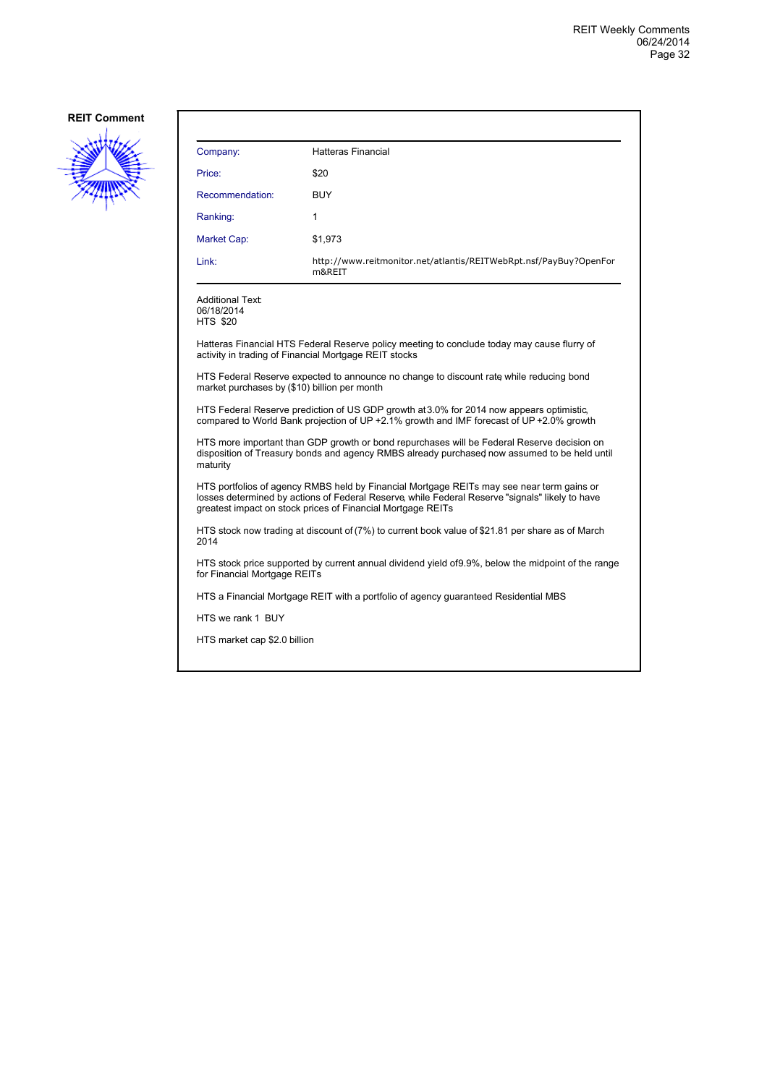

| Company:                                                                                                                                                                                               | <b>Hatteras Financial</b>                                                                                                                                                                                                                                   |  |
|--------------------------------------------------------------------------------------------------------------------------------------------------------------------------------------------------------|-------------------------------------------------------------------------------------------------------------------------------------------------------------------------------------------------------------------------------------------------------------|--|
| Price:                                                                                                                                                                                                 | \$20                                                                                                                                                                                                                                                        |  |
| Recommendation:                                                                                                                                                                                        | <b>BUY</b>                                                                                                                                                                                                                                                  |  |
| Ranking:                                                                                                                                                                                               | 1                                                                                                                                                                                                                                                           |  |
| Market Cap:                                                                                                                                                                                            | \$1,973                                                                                                                                                                                                                                                     |  |
| Link:                                                                                                                                                                                                  | http://www.reitmonitor.net/atlantis/REITWebRpt.nsf/PayBuy?OpenFor<br>m&REIT                                                                                                                                                                                 |  |
| Additional Text:<br>06/18/2014<br><b>HTS \$20</b>                                                                                                                                                      |                                                                                                                                                                                                                                                             |  |
|                                                                                                                                                                                                        | Hatteras Financial HTS Federal Reserve policy meeting to conclude today may cause flurry of<br>activity in trading of Financial Mortgage REIT stocks                                                                                                        |  |
| market purchases by (\$10) billion per month                                                                                                                                                           | HTS Federal Reserve expected to announce no change to discount rate while reducing bond                                                                                                                                                                     |  |
|                                                                                                                                                                                                        | HTS Federal Reserve prediction of US GDP growth at 3.0% for 2014 now appears optimistic,<br>compared to World Bank projection of UP +2.1% growth and IMF forecast of UP +2.0% growth                                                                        |  |
| HTS more important than GDP growth or bond repurchases will be Federal Reserve decision on<br>disposition of Treasury bonds and agency RMBS already purchased now assumed to be held until<br>maturity |                                                                                                                                                                                                                                                             |  |
|                                                                                                                                                                                                        | HTS portfolios of agency RMBS held by Financial Mortgage REITs may see near term gains or<br>losses determined by actions of Federal Reserve, while Federal Reserve "signals" likely to have<br>greatest impact on stock prices of Financial Mortgage REITs |  |
| 2014                                                                                                                                                                                                   | HTS stock now trading at discount of (7%) to current book value of \$21.81 per share as of March                                                                                                                                                            |  |
|                                                                                                                                                                                                        | HTS stock price supported by current annual dividend yield of 9.9%, below the midpoint of the range<br>for Financial Mortgage REITs                                                                                                                         |  |
|                                                                                                                                                                                                        | HTS a Financial Mortgage REIT with a portfolio of agency guaranteed Residential MBS                                                                                                                                                                         |  |
| HTS we rank 1 BUY                                                                                                                                                                                      |                                                                                                                                                                                                                                                             |  |
| HTS market cap \$2.0 billion                                                                                                                                                                           |                                                                                                                                                                                                                                                             |  |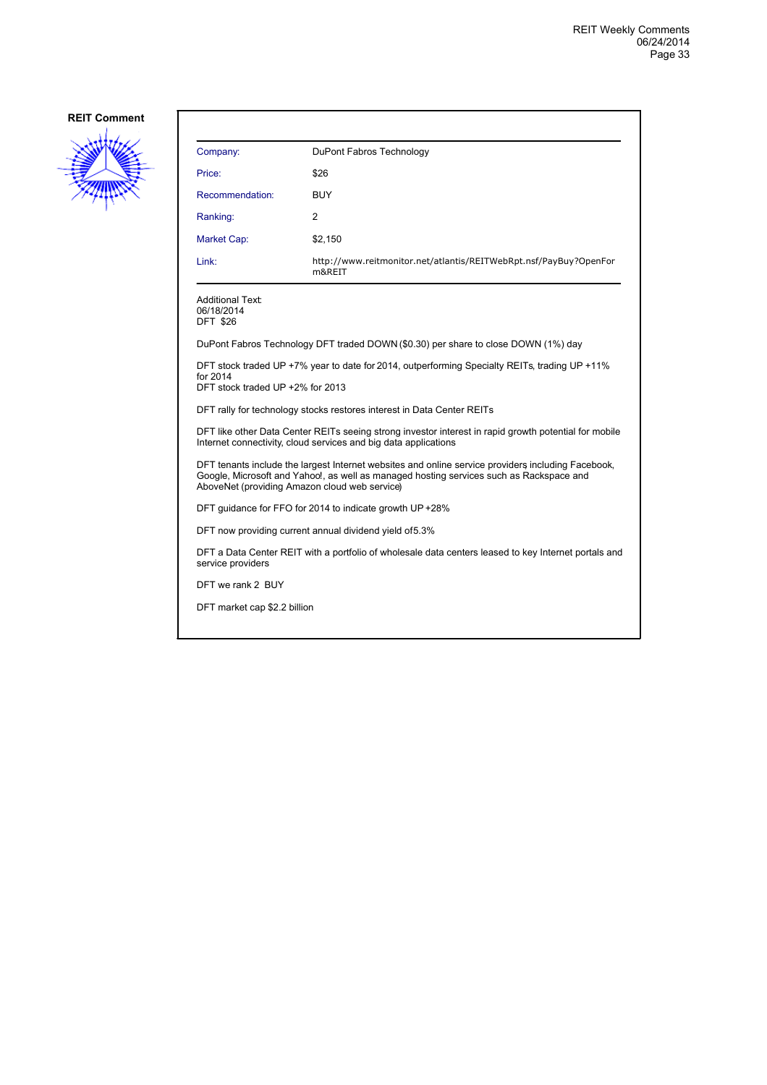

| Company:                                                 | DuPont Fabros Technology                                                                                                                                                                                                                       |
|----------------------------------------------------------|------------------------------------------------------------------------------------------------------------------------------------------------------------------------------------------------------------------------------------------------|
| Price:                                                   | \$26                                                                                                                                                                                                                                           |
| Recommendation:                                          | <b>BUY</b>                                                                                                                                                                                                                                     |
| Ranking:                                                 | $\overline{2}$                                                                                                                                                                                                                                 |
| Market Cap:                                              | \$2,150                                                                                                                                                                                                                                        |
| Link:                                                    | http://www.reitmonitor.net/atlantis/REITWebRpt.nsf/PayBuy?OpenFor<br>m&REIT                                                                                                                                                                    |
| <b>Additional Text:</b><br>06/18/2014<br><b>DFT \$26</b> |                                                                                                                                                                                                                                                |
|                                                          | DuPont Fabros Technology DFT traded DOWN (\$0.30) per share to close DOWN (1%) day                                                                                                                                                             |
| for 2014<br>DFT stock traded UP +2% for 2013             | DFT stock traded UP +7% year to date for 2014, outperforming Specialty REITs, trading UP +11%                                                                                                                                                  |
|                                                          | DFT rally for technology stocks restores interest in Data Center REITs                                                                                                                                                                         |
|                                                          | DFT like other Data Center REITs seeing strong investor interest in rapid growth potential for mobile<br>Internet connectivity, cloud services and big data applications                                                                       |
|                                                          | DFT tenants include the largest Internet websites and online service providers including Facebook,<br>Google, Microsoft and Yahoo!, as well as managed hosting services such as Rackspace and<br>AboveNet (providing Amazon cloud web service) |
|                                                          | DFT quidance for FFO for 2014 to indicate growth UP +28%                                                                                                                                                                                       |
|                                                          | DFT now providing current annual dividend yield of 5.3%                                                                                                                                                                                        |

DFT a Data Center REIT with a portfolio of wholesale data centers leased to key Internet portals and service providers

DFT we rank 2 BUY

DFT market cap \$2.2 billion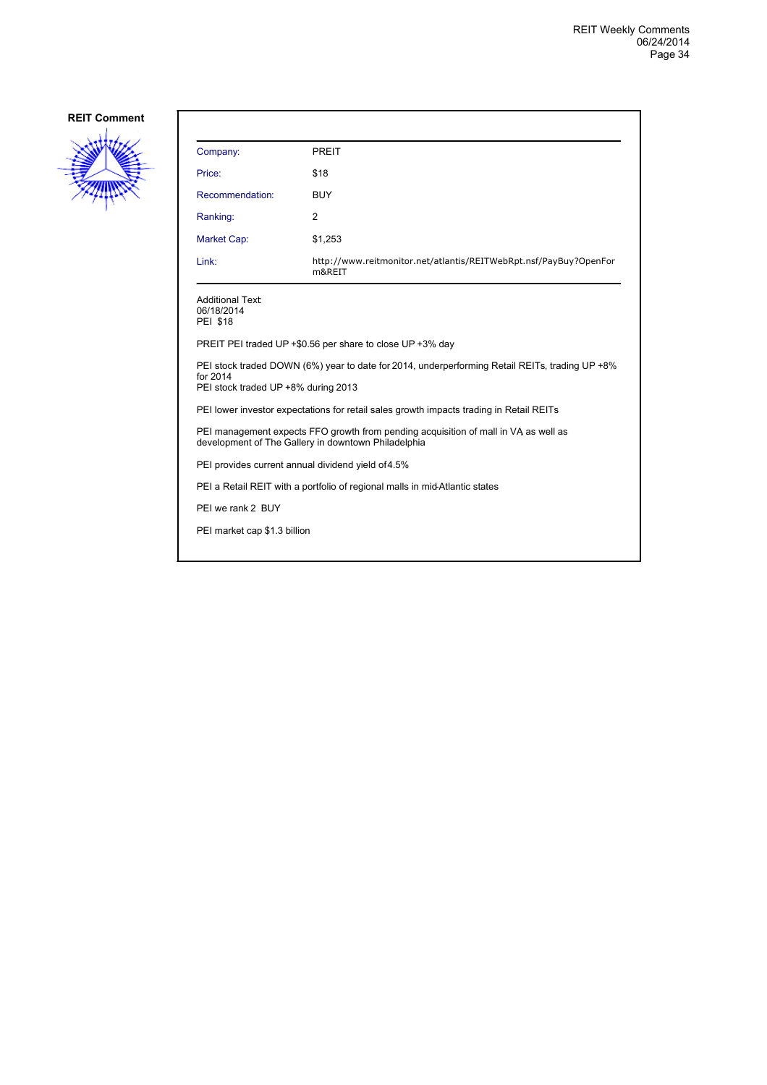

| Company:                                                                                                                                          | <b>PREIT</b>                                                                |  |
|---------------------------------------------------------------------------------------------------------------------------------------------------|-----------------------------------------------------------------------------|--|
| Price:                                                                                                                                            | \$18                                                                        |  |
| Recommendation:                                                                                                                                   | <b>BUY</b>                                                                  |  |
| Ranking:                                                                                                                                          | 2                                                                           |  |
| Market Cap:                                                                                                                                       | \$1,253                                                                     |  |
| Link:                                                                                                                                             | http://www.reitmonitor.net/atlantis/REITWebRpt.nsf/PayBuy?OpenFor<br>m&REIT |  |
| <b>Additional Text:</b><br>06/18/2014<br><b>PEI \$18</b>                                                                                          |                                                                             |  |
|                                                                                                                                                   | PREIT PEI traded UP +\$0.56 per share to close UP +3% day                   |  |
| PEI stock traded DOWN (6%) year to date for 2014, underperforming Retail REITs, trading UP +8%<br>for 2014<br>PEI stock traded UP +8% during 2013 |                                                                             |  |
| PEI lower investor expectations for retail sales growth impacts trading in Retail REITs                                                           |                                                                             |  |
| PEI management expects FFO growth from pending acquisition of mall in VA as well as<br>development of The Gallery in downtown Philadelphia        |                                                                             |  |
| PEI provides current annual dividend yield of 4.5%                                                                                                |                                                                             |  |
| PEI a Retail REIT with a portfolio of regional malls in mid-Atlantic states                                                                       |                                                                             |  |
| PEI we rank 2 BUY                                                                                                                                 |                                                                             |  |
| PEI market cap \$1.3 billion                                                                                                                      |                                                                             |  |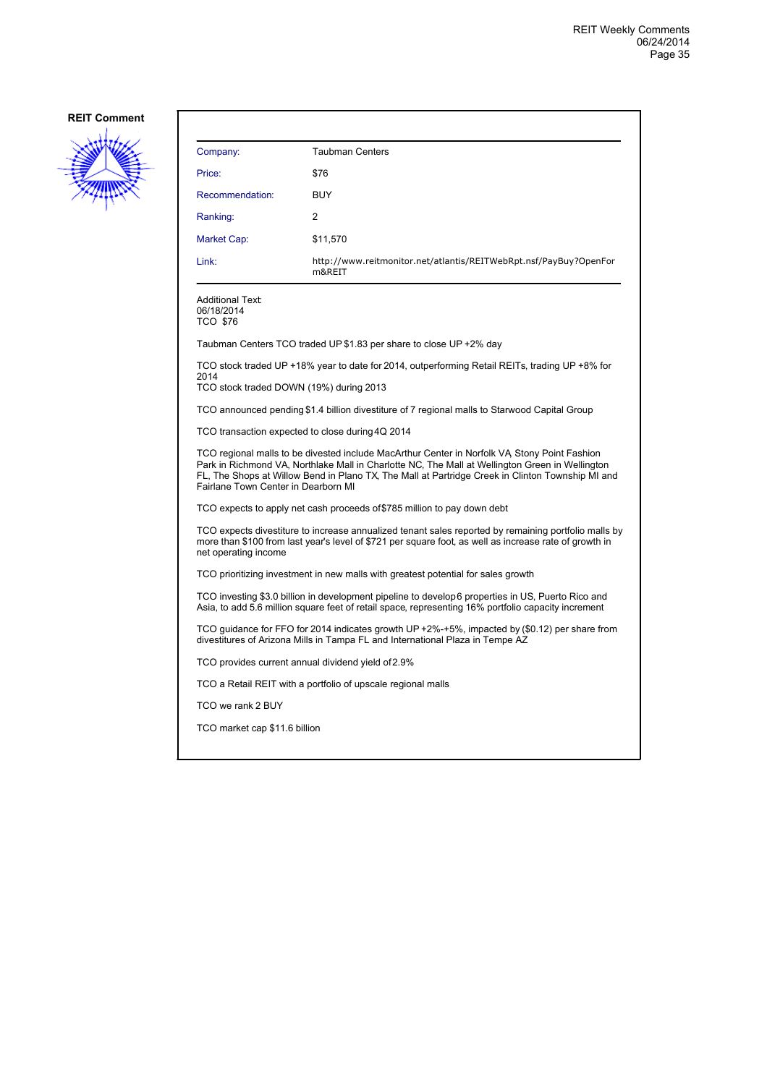

| Company:                                                                                                                                                                                                                                                                                                                                   | <b>Taubman Centers</b>                                                                        |  |
|--------------------------------------------------------------------------------------------------------------------------------------------------------------------------------------------------------------------------------------------------------------------------------------------------------------------------------------------|-----------------------------------------------------------------------------------------------|--|
| Price:                                                                                                                                                                                                                                                                                                                                     | \$76                                                                                          |  |
| Recommendation:                                                                                                                                                                                                                                                                                                                            | <b>BUY</b>                                                                                    |  |
| Ranking:                                                                                                                                                                                                                                                                                                                                   | 2                                                                                             |  |
| Market Cap:                                                                                                                                                                                                                                                                                                                                | \$11,570                                                                                      |  |
| Link:                                                                                                                                                                                                                                                                                                                                      | http://www.reitmonitor.net/atlantis/REITWebRpt.nsf/PayBuy?OpenFor<br>m&REIT                   |  |
| <b>Additional Text:</b><br>06/18/2014<br><b>TCO \$76</b>                                                                                                                                                                                                                                                                                   |                                                                                               |  |
|                                                                                                                                                                                                                                                                                                                                            | Taubman Centers TCO traded UP \$1.83 per share to close UP +2% day                            |  |
| TCO stock traded UP +18% year to date for 2014, outperforming Retail REITs, trading UP +8% for<br>2014<br>TCO stock traded DOWN (19%) during 2013                                                                                                                                                                                          |                                                                                               |  |
|                                                                                                                                                                                                                                                                                                                                            | TCO announced pending \$1.4 billion divestiture of 7 regional malls to Starwood Capital Group |  |
| TCO transaction expected to close during 4Q 2014                                                                                                                                                                                                                                                                                           |                                                                                               |  |
| TCO regional malls to be divested include MacArthur Center in Norfolk VA Stony Point Fashion<br>Park in Richmond VA, Northlake Mall in Charlotte NC, The Mall at Wellington Green in Wellington<br>FL, The Shops at Willow Bend in Plano TX, The Mall at Partridge Creek in Clinton Township MI and<br>Fairlane Town Center in Dearborn MI |                                                                                               |  |
| TCO expects to apply net cash proceeds of \$785 million to pay down debt                                                                                                                                                                                                                                                                   |                                                                                               |  |
| TCO expects divestiture to increase annualized tenant sales reported by remaining portfolio malls by<br>more than \$100 from last year's level of \$721 per square foot, as well as increase rate of growth in<br>net operating income                                                                                                     |                                                                                               |  |
| TCO prioritizing investment in new malls with greatest potential for sales growth                                                                                                                                                                                                                                                          |                                                                                               |  |
| TCO investing \$3.0 billion in development pipeline to develop 6 properties in US, Puerto Rico and<br>Asia, to add 5.6 million square feet of retail space, representing 16% portfolio capacity increment                                                                                                                                  |                                                                                               |  |
| TCO guidance for FFO for 2014 indicates growth UP +2%-+5%, impacted by (\$0.12) per share from<br>divestitures of Arizona Mills in Tampa FL and International Plaza in Tempe AZ                                                                                                                                                            |                                                                                               |  |
|                                                                                                                                                                                                                                                                                                                                            | TCO provides current annual dividend yield of 2.9%                                            |  |
|                                                                                                                                                                                                                                                                                                                                            | TCO a Retail REIT with a portfolio of upscale regional malls                                  |  |
| TCO we rank 2 BUY                                                                                                                                                                                                                                                                                                                          |                                                                                               |  |
| TCO market cap \$11.6 billion                                                                                                                                                                                                                                                                                                              |                                                                                               |  |
|                                                                                                                                                                                                                                                                                                                                            |                                                                                               |  |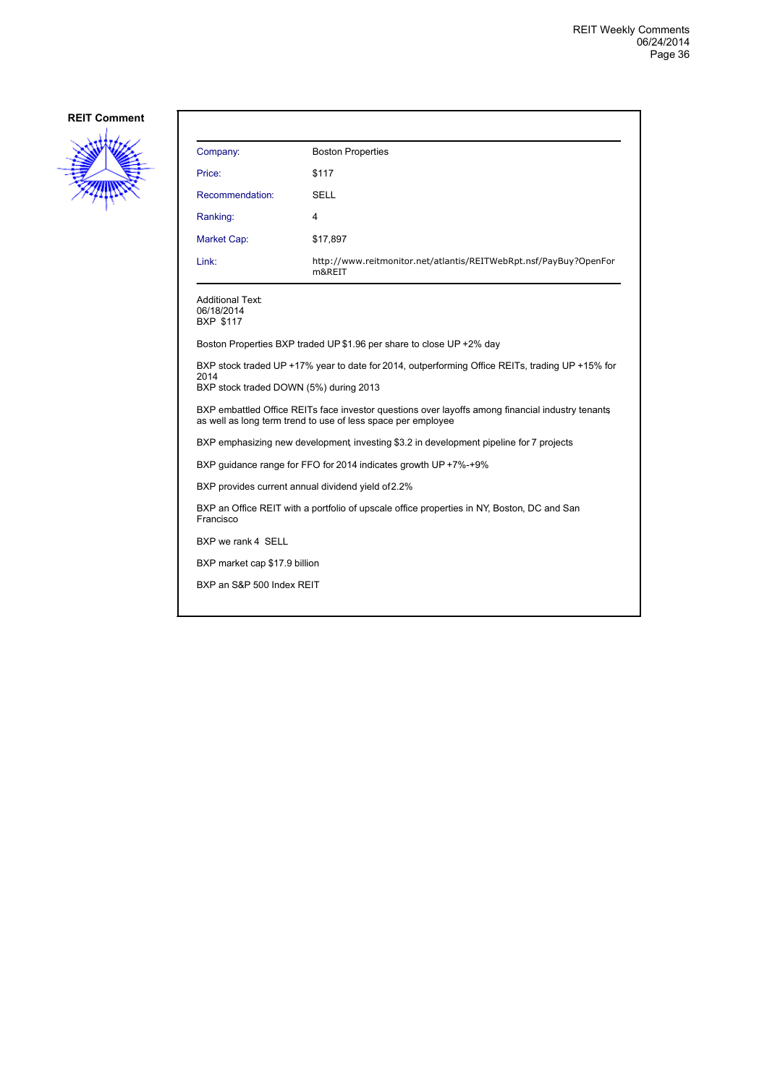

| Company:                                                                                                | <b>Boston Properties</b>                                                                                                                                         |  |
|---------------------------------------------------------------------------------------------------------|------------------------------------------------------------------------------------------------------------------------------------------------------------------|--|
| Price:                                                                                                  | \$117                                                                                                                                                            |  |
| Recommendation:                                                                                         | <b>SELL</b>                                                                                                                                                      |  |
| Ranking:                                                                                                | 4                                                                                                                                                                |  |
| Market Cap:                                                                                             | \$17,897                                                                                                                                                         |  |
| Link:                                                                                                   | http://www.reitmonitor.net/atlantis/REITWebRpt.nsf/PayBuy?OpenFor<br>m&REIT                                                                                      |  |
| Additional Text:<br>06/18/2014<br><b>BXP \$117</b>                                                      |                                                                                                                                                                  |  |
|                                                                                                         | Boston Properties BXP traded UP \$1.96 per share to close UP +2% day                                                                                             |  |
| 2014<br>BXP stock traded DOWN (5%) during 2013                                                          | BXP stock traded UP +17% year to date for 2014, outperforming Office REITs, trading UP +15% for                                                                  |  |
|                                                                                                         | BXP embattled Office REITs face investor questions over layoffs among financial industry tenants<br>as well as long term trend to use of less space per employee |  |
| BXP emphasizing new development investing \$3.2 in development pipeline for 7 projects                  |                                                                                                                                                                  |  |
|                                                                                                         | BXP guidance range for FFO for 2014 indicates growth UP +7%-+9%                                                                                                  |  |
| BXP provides current annual dividend yield of 2.2%                                                      |                                                                                                                                                                  |  |
| BXP an Office REIT with a portfolio of upscale office properties in NY, Boston, DC and San<br>Francisco |                                                                                                                                                                  |  |
| BXP we rank 4 SELL                                                                                      |                                                                                                                                                                  |  |
| BXP market cap \$17.9 billion                                                                           |                                                                                                                                                                  |  |
| BXP an S&P 500 Index REIT                                                                               |                                                                                                                                                                  |  |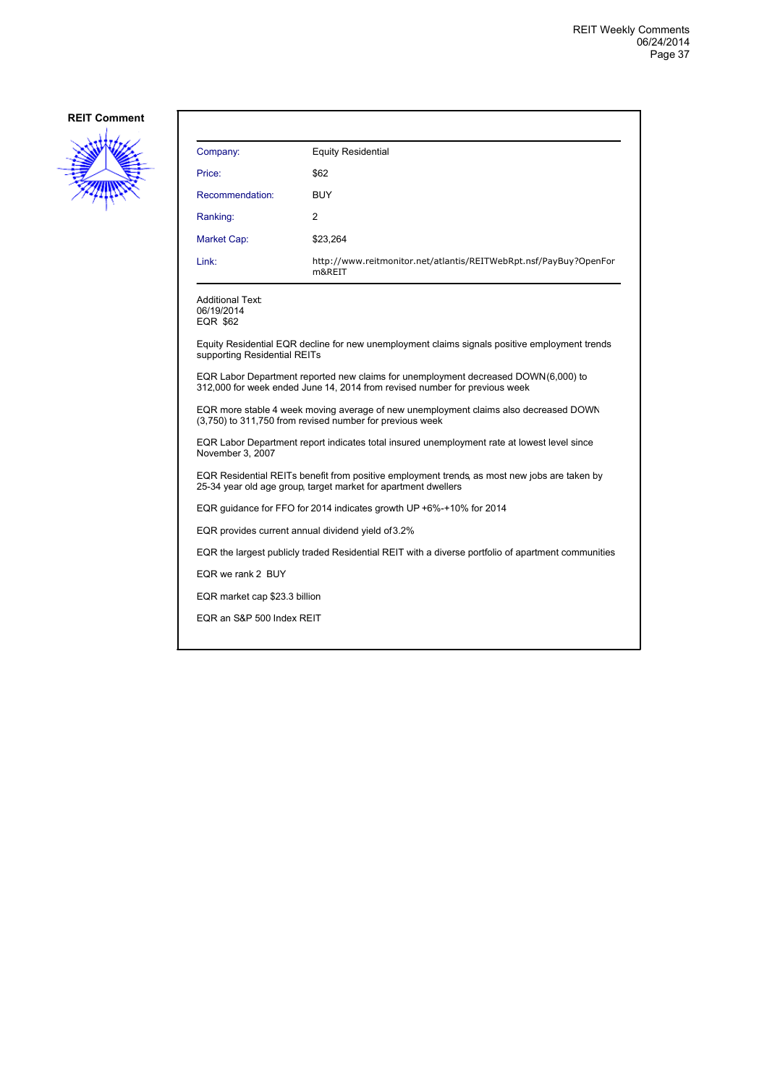

| Company:                                                 | <b>Equity Residential</b>                                                                                                                                        |
|----------------------------------------------------------|------------------------------------------------------------------------------------------------------------------------------------------------------------------|
| Price:                                                   | \$62                                                                                                                                                             |
| Recommendation:                                          | BUY                                                                                                                                                              |
| Ranking:                                                 | 2                                                                                                                                                                |
| Market Cap:                                              | \$23,264                                                                                                                                                         |
| Link:                                                    | http://www.reitmonitor.net/atlantis/REITWebRpt.nsf/PayBuy?OpenFor<br>m&REIT                                                                                      |
| <b>Additional Text:</b><br>06/19/2014<br><b>EQR \$62</b> |                                                                                                                                                                  |
| supporting Residential REITs                             | Equity Residential EQR decline for new unemployment claims signals positive employment trends                                                                    |
|                                                          | EQR Labor Department reported new claims for unemployment decreased DOWN(6,000) to<br>312,000 for week ended June 14, 2014 from revised number for previous week |
|                                                          | EQR more stable 4 week moving average of new unemployment claims also decreased DOWN<br>(3,750) to 311,750 from revised number for previous week                 |
| November 3, 2007                                         | EQR Labor Department report indicates total insured unemployment rate at lowest level since                                                                      |
|                                                          | EQR Residential REITs benefit from positive employment trends, as most new jobs are taken by<br>25-34 year old age group, target market for apartment dwellers   |
|                                                          | EQR quidance for FFO for 2014 indicates growth UP +6%-+10% for 2014                                                                                              |
|                                                          | EQR provides current annual dividend yield of 3.2%                                                                                                               |
|                                                          | EQR the largest publicly traded Residential REIT with a diverse portfolio of apartment communities                                                               |
| EQR we rank 2 BUY                                        |                                                                                                                                                                  |
| EQR market cap \$23.3 billion                            |                                                                                                                                                                  |
| EQR an S&P 500 Index REIT                                |                                                                                                                                                                  |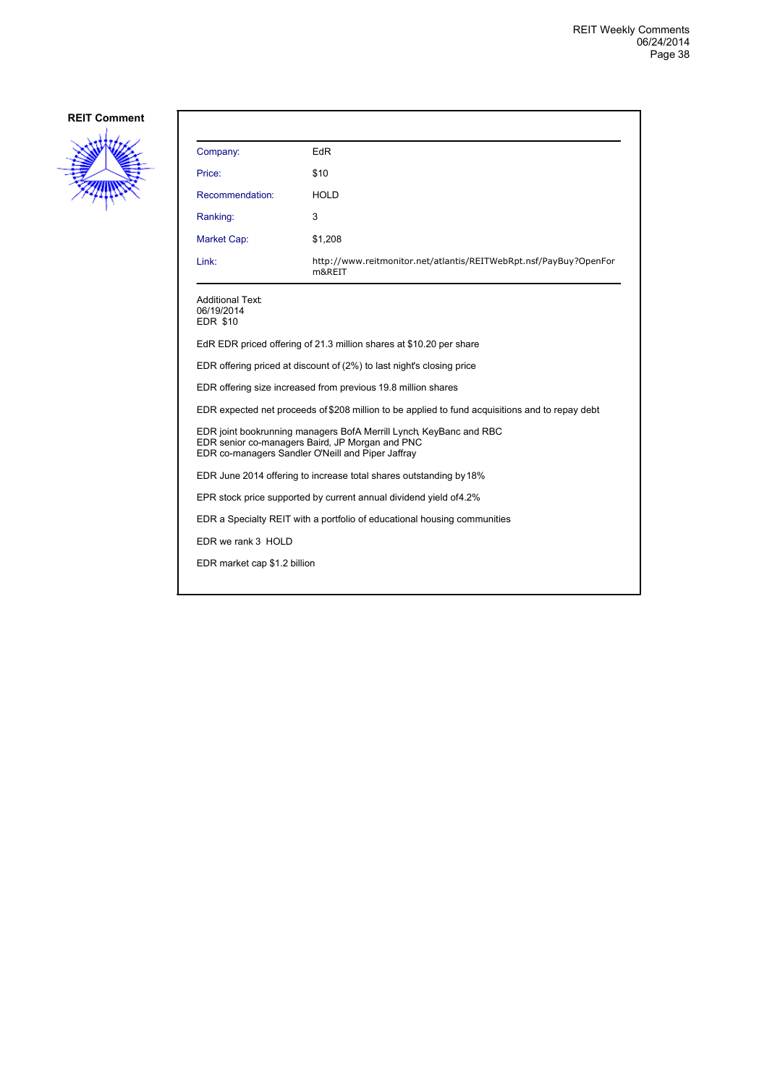

| Company:                                                                                                                                                                   | EdR                                                                         |  |
|----------------------------------------------------------------------------------------------------------------------------------------------------------------------------|-----------------------------------------------------------------------------|--|
| Price:                                                                                                                                                                     | \$10                                                                        |  |
| Recommendation:                                                                                                                                                            | <b>HOLD</b>                                                                 |  |
| Ranking:                                                                                                                                                                   | 3                                                                           |  |
| Market Cap:                                                                                                                                                                | \$1,208                                                                     |  |
| Link:                                                                                                                                                                      | http://www.reitmonitor.net/atlantis/REITWebRpt.nsf/PayBuy?OpenFor<br>m&REIT |  |
| <b>Additional Text:</b><br>06/19/2014<br><b>EDR \$10</b>                                                                                                                   |                                                                             |  |
|                                                                                                                                                                            | EdR EDR priced offering of 21.3 million shares at \$10.20 per share         |  |
| EDR offering priced at discount of (2%) to last night's closing price                                                                                                      |                                                                             |  |
| EDR offering size increased from previous 19.8 million shares                                                                                                              |                                                                             |  |
| EDR expected net proceeds of \$208 million to be applied to fund acquisitions and to repay debt                                                                            |                                                                             |  |
| EDR joint bookrunning managers BofA Merrill Lynch, KeyBanc and RBC<br>EDR senior co-managers Baird, JP Morgan and PNC<br>EDR co-managers Sandler O'Neill and Piper Jaffray |                                                                             |  |
|                                                                                                                                                                            | EDR June 2014 offering to increase total shares outstanding by 18%          |  |
| EPR stock price supported by current annual dividend yield of 4.2%                                                                                                         |                                                                             |  |
| EDR a Specialty REIT with a portfolio of educational housing communities                                                                                                   |                                                                             |  |
| EDR we rank 3 HOLD                                                                                                                                                         |                                                                             |  |
| EDR market cap \$1.2 billion                                                                                                                                               |                                                                             |  |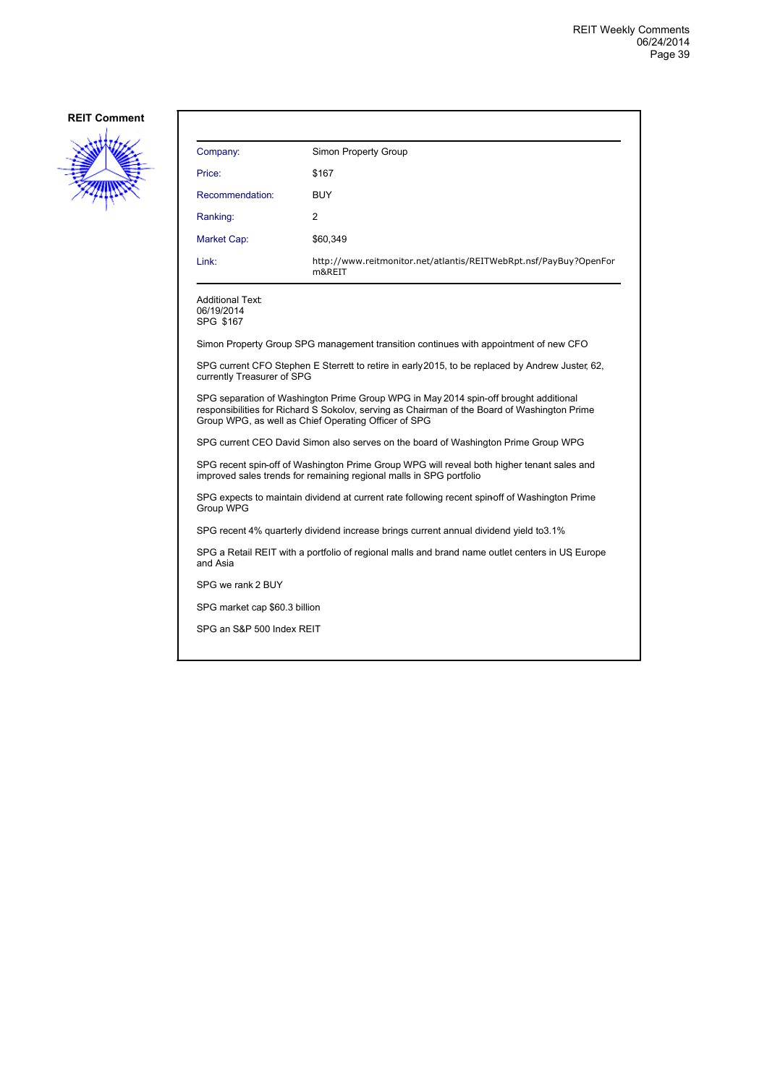

| Company:        | Simon Property Group                                                        |
|-----------------|-----------------------------------------------------------------------------|
| Price:          | \$167                                                                       |
| Recommendation: | <b>BUY</b>                                                                  |
| Ranking:        | $\overline{2}$                                                              |
| Market Cap:     | \$60,349                                                                    |
| Link:           | http://www.reitmonitor.net/atlantis/REITWebRpt.nsf/PayBuy?OpenFor<br>m&REIT |
|                 |                                                                             |

#### Additional Text: 06/19/2014 SPG \$167

Simon Property Group SPG management transition continues with appointment of new CFO

SPG current CFO Stephen E Sterrett to retire in early 2015, to be replaced by Andrew Juster, 62, currently Treasurer of SPG

SPG separation of Washington Prime Group WPG in May 2014 spin-off brought additional responsibilities for Richard S Sokolov, serving as Chairman of the Board of Washington Prime Group WPG, as well as Chief Operating Officer of SPG

SPG current CEO David Simon also serves on the board of Washington Prime Group WPG

SPG recent spin-off of Washington Prime Group WPG will reveal both higher tenant sales and improved sales trends for remaining regional malls in SPG portfolio

SPG expects to maintain dividend at current rate following recent spin-off of Washington Prime Group WPG

SPG recent 4% quarterly dividend increase brings current annual dividend yield to 3.1%

SPG a Retail REIT with a portfolio of regional malls and brand name outlet centers in US, Europe and Asia

SPG we rank 2 BUY

SPG market cap \$60.3 billion

SPG an S&P 500 Index REIT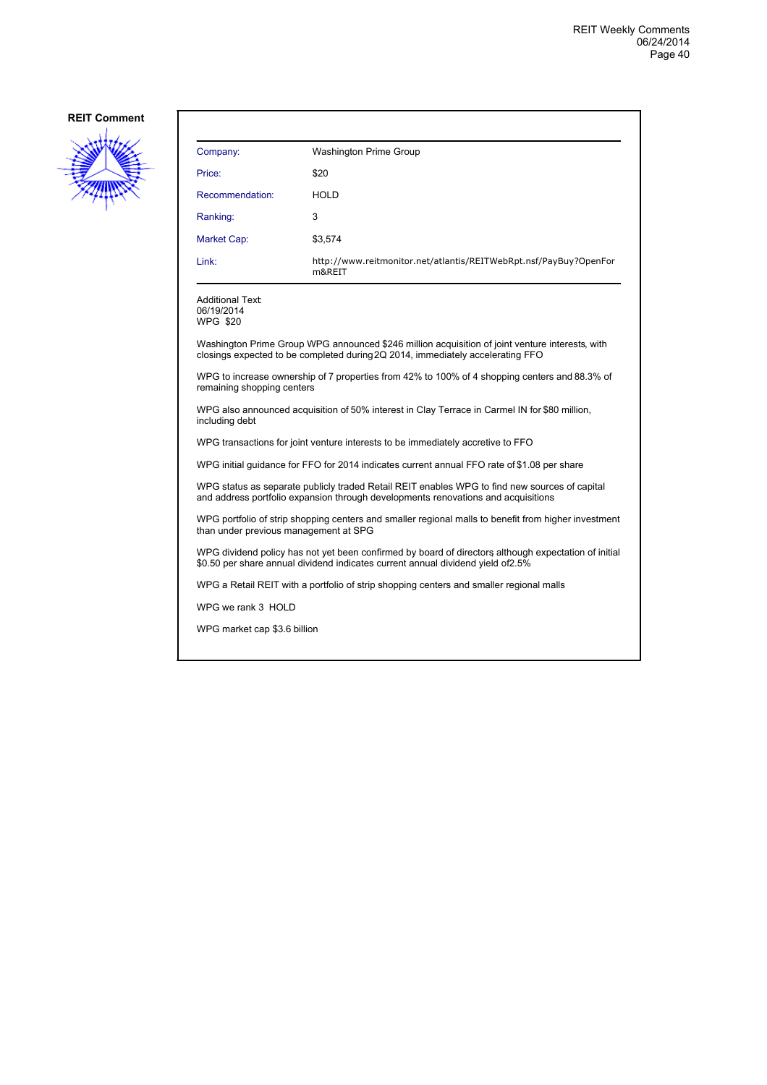

| Company:                                                                                                                                                                                | Washington Prime Group                                                                                                                                                            |  |
|-----------------------------------------------------------------------------------------------------------------------------------------------------------------------------------------|-----------------------------------------------------------------------------------------------------------------------------------------------------------------------------------|--|
| Price:                                                                                                                                                                                  | \$20                                                                                                                                                                              |  |
| Recommendation:                                                                                                                                                                         | <b>HOLD</b>                                                                                                                                                                       |  |
| Ranking:                                                                                                                                                                                | 3                                                                                                                                                                                 |  |
| <b>Market Cap:</b>                                                                                                                                                                      | \$3,574                                                                                                                                                                           |  |
| Link:                                                                                                                                                                                   | http://www.reitmonitor.net/atlantis/REITWebRpt.nsf/PayBuy?OpenFor<br>m&REIT                                                                                                       |  |
| Additional Text:<br>06/19/2014<br>WPG \$20                                                                                                                                              |                                                                                                                                                                                   |  |
|                                                                                                                                                                                         | Washington Prime Group WPG announced \$246 million acquisition of joint venture interests, with<br>closings expected to be completed during 2Q 2014, immediately accelerating FFO |  |
| WPG to increase ownership of 7 properties from 42% to 100% of 4 shopping centers and 88.3% of<br>remaining shopping centers                                                             |                                                                                                                                                                                   |  |
| WPG also announced acquisition of 50% interest in Clay Terrace in Carmel IN for \$80 million,<br>including debt                                                                         |                                                                                                                                                                                   |  |
| WPG transactions for joint venture interests to be immediately accretive to FFO                                                                                                         |                                                                                                                                                                                   |  |
| WPG initial guidance for FFO for 2014 indicates current annual FFO rate of \$1.08 per share                                                                                             |                                                                                                                                                                                   |  |
| WPG status as separate publicly traded Retail REIT enables WPG to find new sources of capital<br>and address portfolio expansion through developments renovations and acquisitions      |                                                                                                                                                                                   |  |
| WPG portfolio of strip shopping centers and smaller regional malls to benefit from higher investment<br>than under previous management at SPG                                           |                                                                                                                                                                                   |  |
| WPG dividend policy has not yet been confirmed by board of directors although expectation of initial<br>\$0.50 per share annual dividend indicates current annual dividend vield of2.5% |                                                                                                                                                                                   |  |
| WPG a Retail REIT with a portfolio of strip shopping centers and smaller regional malls                                                                                                 |                                                                                                                                                                                   |  |
| WPG we rank 3 HOLD                                                                                                                                                                      |                                                                                                                                                                                   |  |
| WPG market cap \$3.6 billion                                                                                                                                                            |                                                                                                                                                                                   |  |
|                                                                                                                                                                                         |                                                                                                                                                                                   |  |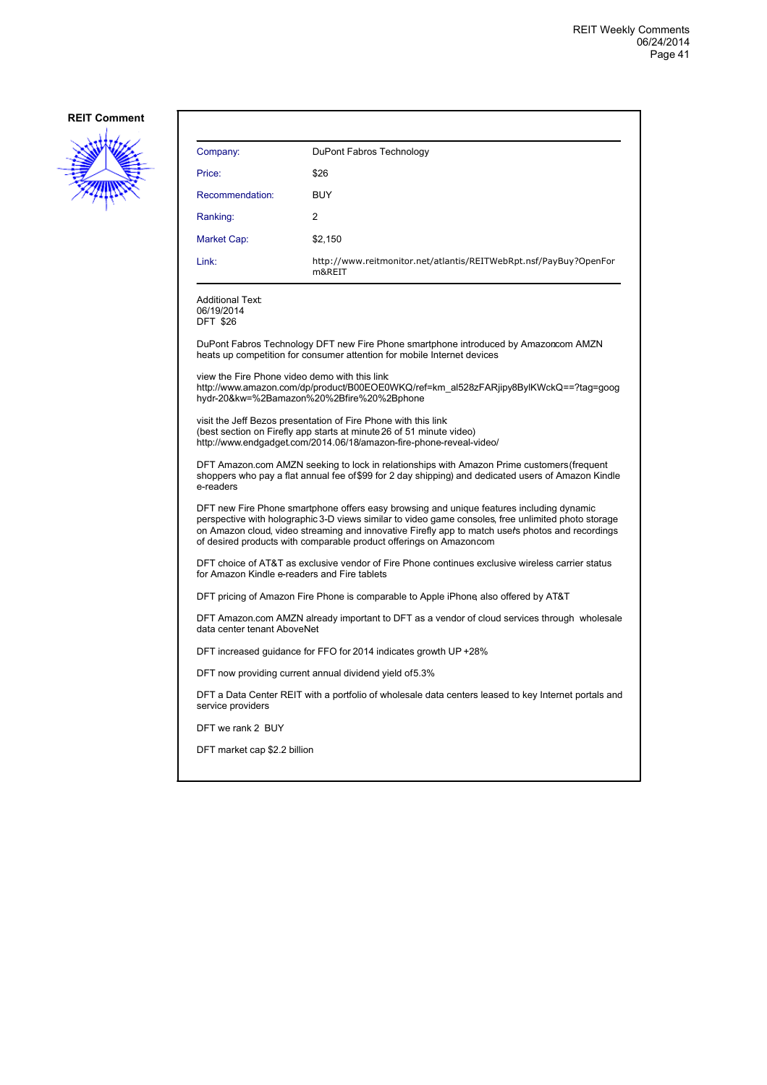

| Company:                                                                                                                                                                                                                                                                                                                                                                   | DuPont Fabros Technology                                                                                                                                                                                      |  |
|----------------------------------------------------------------------------------------------------------------------------------------------------------------------------------------------------------------------------------------------------------------------------------------------------------------------------------------------------------------------------|---------------------------------------------------------------------------------------------------------------------------------------------------------------------------------------------------------------|--|
| Price:                                                                                                                                                                                                                                                                                                                                                                     | \$26                                                                                                                                                                                                          |  |
| Recommendation:                                                                                                                                                                                                                                                                                                                                                            | <b>BUY</b>                                                                                                                                                                                                    |  |
| Ranking:                                                                                                                                                                                                                                                                                                                                                                   | 2                                                                                                                                                                                                             |  |
| Market Cap:                                                                                                                                                                                                                                                                                                                                                                | \$2,150                                                                                                                                                                                                       |  |
| Link:                                                                                                                                                                                                                                                                                                                                                                      | http://www.reitmonitor.net/atlantis/REITWebRpt.nsf/PayBuy?OpenFor<br>m&REIT                                                                                                                                   |  |
| <b>Additional Text:</b><br>06/19/2014<br><b>DFT \$26</b>                                                                                                                                                                                                                                                                                                                   |                                                                                                                                                                                                               |  |
|                                                                                                                                                                                                                                                                                                                                                                            | DuPont Fabros Technology DFT new Fire Phone smartphone introduced by Amazoncom AMZN<br>heats up competition for consumer attention for mobile Internet devices                                                |  |
| view the Fire Phone video demo with this link                                                                                                                                                                                                                                                                                                                              | http://www.amazon.com/dp/product/B00EOE0WKQ/ref=km_al528zFARjipy8BylKWckQ==?tag=goog<br>hydr-20&kw=%2Bamazon%20%2Bfire%20%2Bphone                                                                             |  |
|                                                                                                                                                                                                                                                                                                                                                                            | visit the Jeff Bezos presentation of Fire Phone with this link<br>(best section on Firefly app starts at minute 26 of 51 minute video)<br>http://www.endgadget.com/2014.06/18/amazon-fire-phone-reveal-video/ |  |
| DFT Amazon.com AMZN seeking to lock in relationships with Amazon Prime customers (frequent<br>shoppers who pay a flat annual fee of \$99 for 2 day shipping) and dedicated users of Amazon Kindle<br>e-readers                                                                                                                                                             |                                                                                                                                                                                                               |  |
| DFT new Fire Phone smartphone offers easy browsing and unique features including dynamic<br>perspective with holographic 3-D views similar to video game consoles, free unlimited photo storage<br>on Amazon cloud, video streaming and innovative Firefly app to match user's photos and recordings<br>of desired products with comparable product offerings on Amazoncom |                                                                                                                                                                                                               |  |
| DFT choice of AT&T as exclusive vendor of Fire Phone continues exclusive wireless carrier status<br>for Amazon Kindle e-readers and Fire tablets                                                                                                                                                                                                                           |                                                                                                                                                                                                               |  |
|                                                                                                                                                                                                                                                                                                                                                                            | DFT pricing of Amazon Fire Phone is comparable to Apple iPhone also offered by AT&T                                                                                                                           |  |
| DFT Amazon.com AMZN already important to DFT as a vendor of cloud services through wholesale<br>data center tenant AboveNet                                                                                                                                                                                                                                                |                                                                                                                                                                                                               |  |
| DFT increased guidance for FFO for 2014 indicates growth UP +28%                                                                                                                                                                                                                                                                                                           |                                                                                                                                                                                                               |  |
|                                                                                                                                                                                                                                                                                                                                                                            | DFT now providing current annual dividend yield of 5.3%                                                                                                                                                       |  |
| service providers                                                                                                                                                                                                                                                                                                                                                          | DFT a Data Center REIT with a portfolio of wholesale data centers leased to key Internet portals and                                                                                                          |  |
| DFT we rank 2 BUY                                                                                                                                                                                                                                                                                                                                                          |                                                                                                                                                                                                               |  |
| DFT market cap \$2.2 billion                                                                                                                                                                                                                                                                                                                                               |                                                                                                                                                                                                               |  |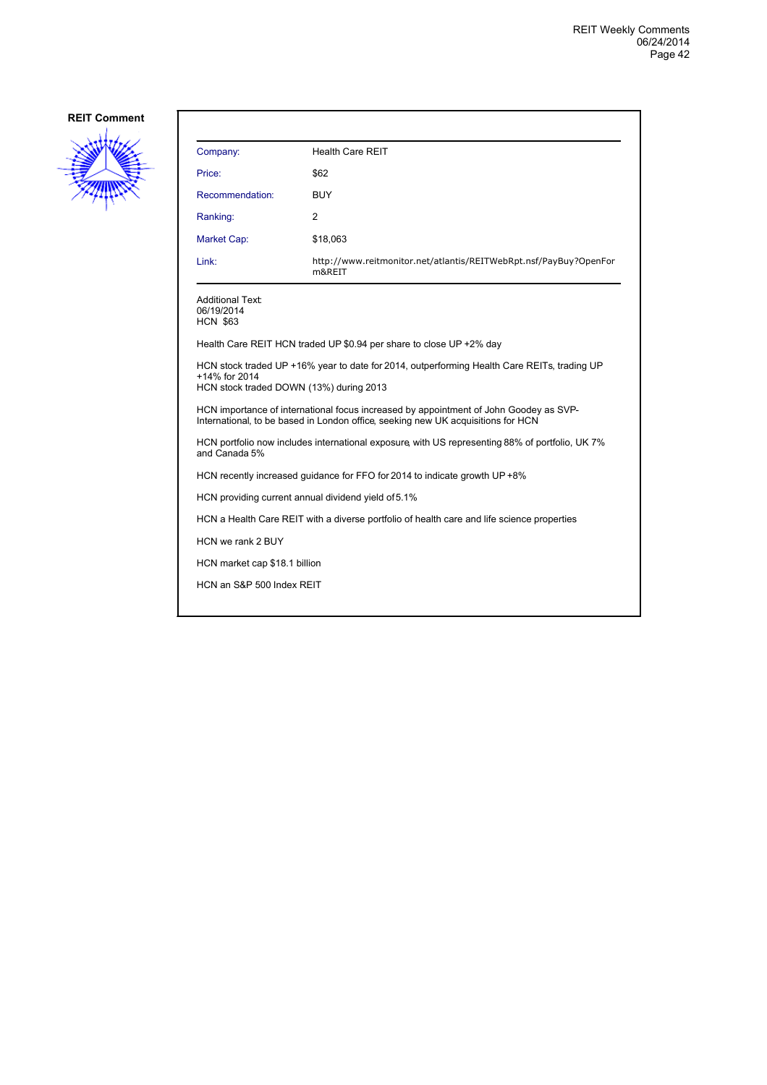

| Company:                                                                                                                                                                  | <b>Health Care REIT</b>                                                     |  |
|---------------------------------------------------------------------------------------------------------------------------------------------------------------------------|-----------------------------------------------------------------------------|--|
| Price:                                                                                                                                                                    | \$62                                                                        |  |
| Recommendation:                                                                                                                                                           | <b>BUY</b>                                                                  |  |
| Ranking:                                                                                                                                                                  | 2                                                                           |  |
| Market Cap:                                                                                                                                                               | \$18,063                                                                    |  |
| Link:                                                                                                                                                                     | http://www.reitmonitor.net/atlantis/REITWebRpt.nsf/PayBuy?OpenFor<br>m&REIT |  |
| Additional Text:<br>06/19/2014<br><b>HCN \$63</b>                                                                                                                         |                                                                             |  |
|                                                                                                                                                                           | Health Care REIT HCN traded UP \$0.94 per share to close UP +2% day         |  |
| HCN stock traded UP +16% year to date for 2014, outperforming Health Care REITs, trading UP<br>+14% for 2014<br>HCN stock traded DOWN (13%) during 2013                   |                                                                             |  |
| HCN importance of international focus increased by appointment of John Goodey as SVP-<br>International, to be based in London office, seeking new UK acquisitions for HCN |                                                                             |  |
| HCN portfolio now includes international exposure with US representing 88% of portfolio, UK 7%<br>and Canada 5%                                                           |                                                                             |  |
| HCN recently increased guidance for FFO for 2014 to indicate growth UP +8%                                                                                                |                                                                             |  |
|                                                                                                                                                                           | HCN providing current annual dividend yield of 5.1%                         |  |
| HCN a Health Care REIT with a diverse portfolio of health care and life science properties                                                                                |                                                                             |  |
| HCN we rank 2 BUY                                                                                                                                                         |                                                                             |  |
|                                                                                                                                                                           | HCN market cap \$18.1 billion                                               |  |
| HCN an S&P 500 Index REIT                                                                                                                                                 |                                                                             |  |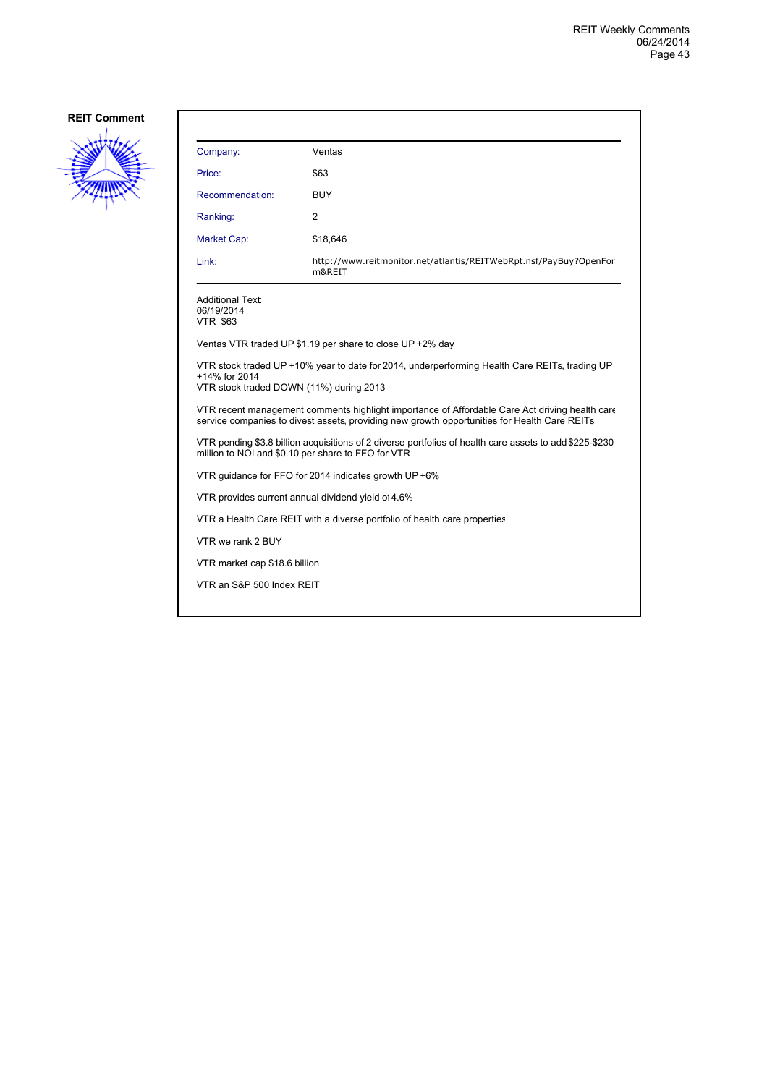

| Company:                                                                                                                                                                                       | Ventas                                                                      |  |
|------------------------------------------------------------------------------------------------------------------------------------------------------------------------------------------------|-----------------------------------------------------------------------------|--|
| Price:                                                                                                                                                                                         | \$63                                                                        |  |
| Recommendation:                                                                                                                                                                                | <b>BUY</b>                                                                  |  |
| Ranking:                                                                                                                                                                                       | $\overline{2}$                                                              |  |
| Market Cap:                                                                                                                                                                                    | \$18,646                                                                    |  |
| Link:                                                                                                                                                                                          | http://www.reitmonitor.net/atlantis/REITWebRpt.nsf/PayBuy?OpenFor<br>m&REIT |  |
| Additional Text:<br>06/19/2014<br><b>VTR \$63</b>                                                                                                                                              |                                                                             |  |
|                                                                                                                                                                                                | Ventas VTR traded UP \$1.19 per share to close UP +2% day                   |  |
| VTR stock traded UP +10% year to date for 2014, underperforming Health Care REITs, trading UP<br>+14% for 2014<br>VTR stock traded DOWN (11%) during 2013                                      |                                                                             |  |
| VTR recent management comments highlight importance of Affordable Care Act driving health care<br>service companies to divest assets, providing new growth opportunities for Health Care REITs |                                                                             |  |
| VTR pending \$3.8 billion acquisitions of 2 diverse portfolios of health care assets to add \$225-\$230<br>million to NOI and \$0.10 per share to FFO for VTR                                  |                                                                             |  |
| VTR quidance for FFO for 2014 indicates growth UP +6%                                                                                                                                          |                                                                             |  |
|                                                                                                                                                                                                | VTR provides current annual dividend yield of 4.6%                          |  |
| VTR a Health Care REIT with a diverse portfolio of health care properties                                                                                                                      |                                                                             |  |
| VTR we rank 2 BUY                                                                                                                                                                              |                                                                             |  |
| VTR market cap \$18.6 billion                                                                                                                                                                  |                                                                             |  |
| VTR an S&P 500 Index REIT                                                                                                                                                                      |                                                                             |  |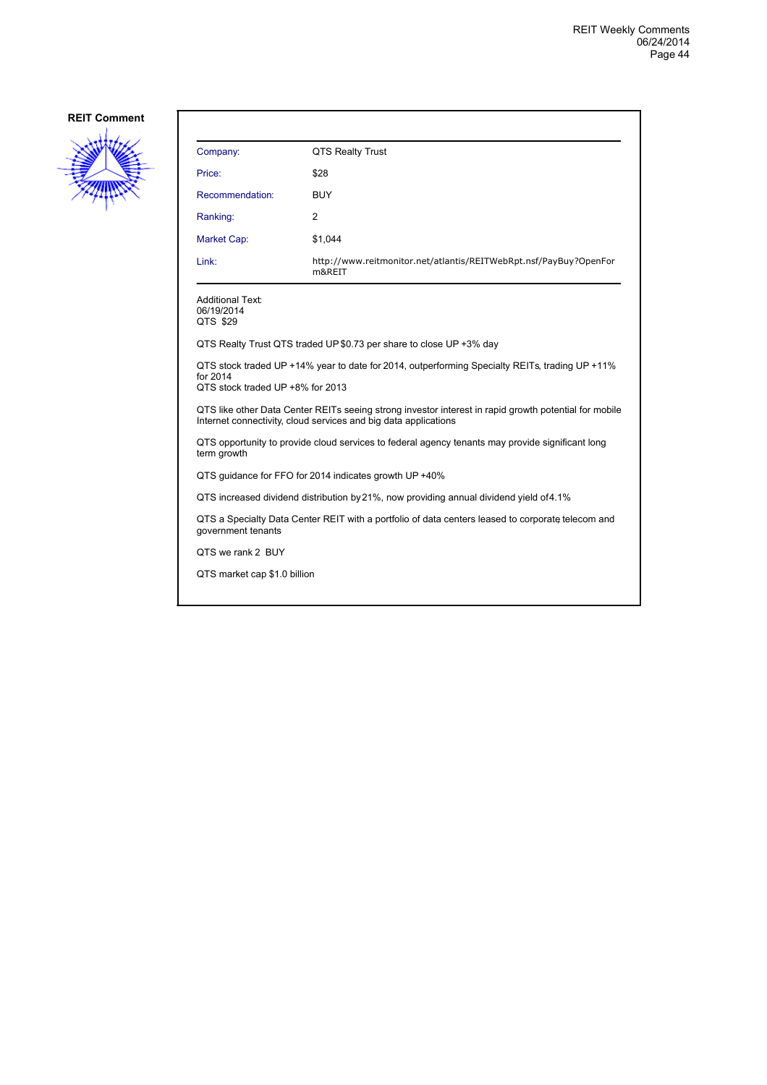

| Company:                                                                                                                                                                 | QTS Realty Trust                                                            |  |
|--------------------------------------------------------------------------------------------------------------------------------------------------------------------------|-----------------------------------------------------------------------------|--|
| Price:                                                                                                                                                                   | \$28                                                                        |  |
| Recommendation:                                                                                                                                                          | <b>BUY</b>                                                                  |  |
| Ranking:                                                                                                                                                                 | 2                                                                           |  |
| Market Cap:                                                                                                                                                              | \$1,044                                                                     |  |
| Link:                                                                                                                                                                    | http://www.reitmonitor.net/atlantis/REITWebRpt.nsf/PayBuy?OpenFor<br>m&REIT |  |
| Additional Text:<br>06/19/2014<br>QTS \$29                                                                                                                               |                                                                             |  |
| QTS Realty Trust QTS traded UP \$0.73 per share to close UP +3% day                                                                                                      |                                                                             |  |
| QTS stock traded UP +14% year to date for 2014, outperforming Specialty REITs, trading UP +11%<br>for 2014<br>QTS stock traded UP +8% for 2013                           |                                                                             |  |
| QTS like other Data Center REITs seeing strong investor interest in rapid growth potential for mobile<br>Internet connectivity, cloud services and big data applications |                                                                             |  |
| QTS opportunity to provide cloud services to federal agency tenants may provide significant long<br>term growth                                                          |                                                                             |  |
| QTS quidance for FFO for 2014 indicates growth UP +40%                                                                                                                   |                                                                             |  |
| QTS increased dividend distribution by 21%, now providing annual dividend yield of 4.1%                                                                                  |                                                                             |  |
| QTS a Specialty Data Center REIT with a portfolio of data centers leased to corporate telecom and<br>government tenants                                                  |                                                                             |  |
| QTS we rank 2 BUY                                                                                                                                                        |                                                                             |  |
| QTS market cap \$1.0 billion                                                                                                                                             |                                                                             |  |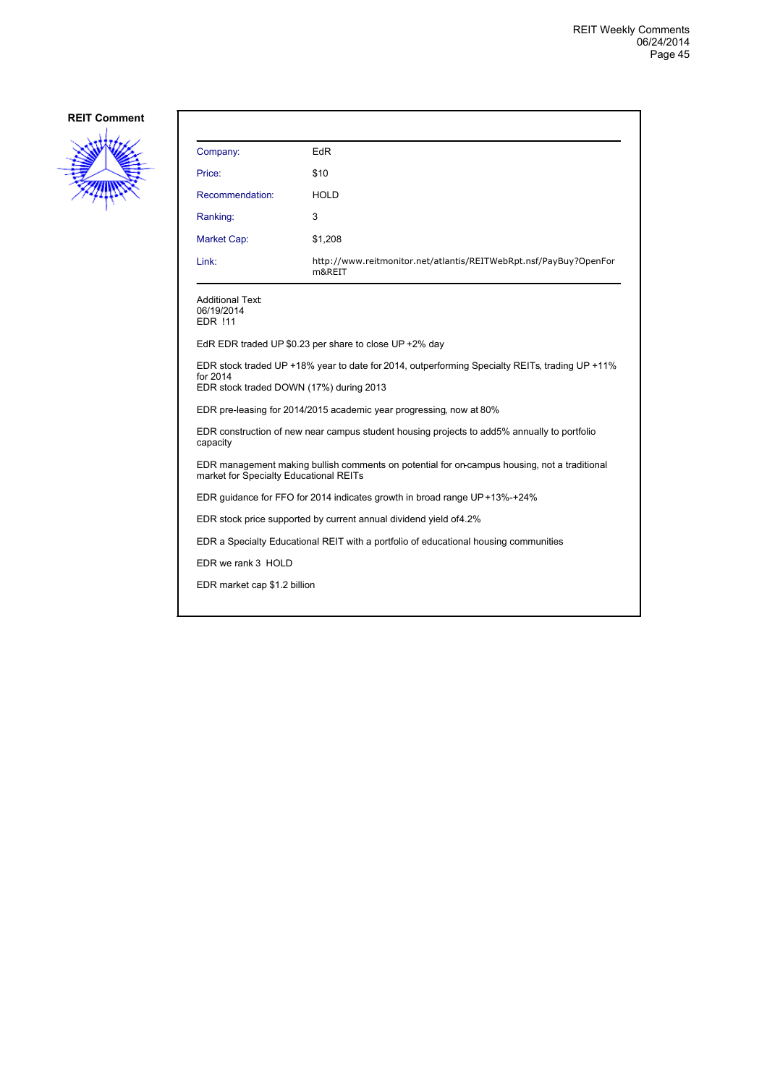

| Company:                                                                                                                                              | <b>EdR</b>                                                                           |  |
|-------------------------------------------------------------------------------------------------------------------------------------------------------|--------------------------------------------------------------------------------------|--|
| Price:                                                                                                                                                | \$10                                                                                 |  |
| Recommendation:                                                                                                                                       | <b>HOLD</b>                                                                          |  |
| Ranking:                                                                                                                                              | 3                                                                                    |  |
| Market Cap:                                                                                                                                           | \$1,208                                                                              |  |
| Link:                                                                                                                                                 | http://www.reitmonitor.net/atlantis/REITWebRpt.nsf/PayBuy?OpenFor<br>m&REIT          |  |
| Additional Text:<br>06/19/2014<br><b>EDR !11</b>                                                                                                      |                                                                                      |  |
| EdR EDR traded UP $$0.23$ per share to close UP +2% day                                                                                               |                                                                                      |  |
| EDR stock traded UP +18% year to date for 2014, outperforming Specialty REITs, trading UP +11%<br>for 2014<br>EDR stock traded DOWN (17%) during 2013 |                                                                                      |  |
| EDR pre-leasing for 2014/2015 academic year progressing, now at 80%                                                                                   |                                                                                      |  |
| EDR construction of new near campus student housing projects to add5% annually to portfolio<br>capacity                                               |                                                                                      |  |
| EDR management making bullish comments on potential for on-campus housing, not a traditional<br>market for Specialty Educational REITs                |                                                                                      |  |
| EDR guidance for FFO for 2014 indicates growth in broad range UP+13%-+24%                                                                             |                                                                                      |  |
| EDR stock price supported by current annual dividend yield of 4.2%                                                                                    |                                                                                      |  |
|                                                                                                                                                       | EDR a Specialty Educational REIT with a portfolio of educational housing communities |  |
| EDR we rank 3 HOLD                                                                                                                                    |                                                                                      |  |
| EDR market cap \$1.2 billion                                                                                                                          |                                                                                      |  |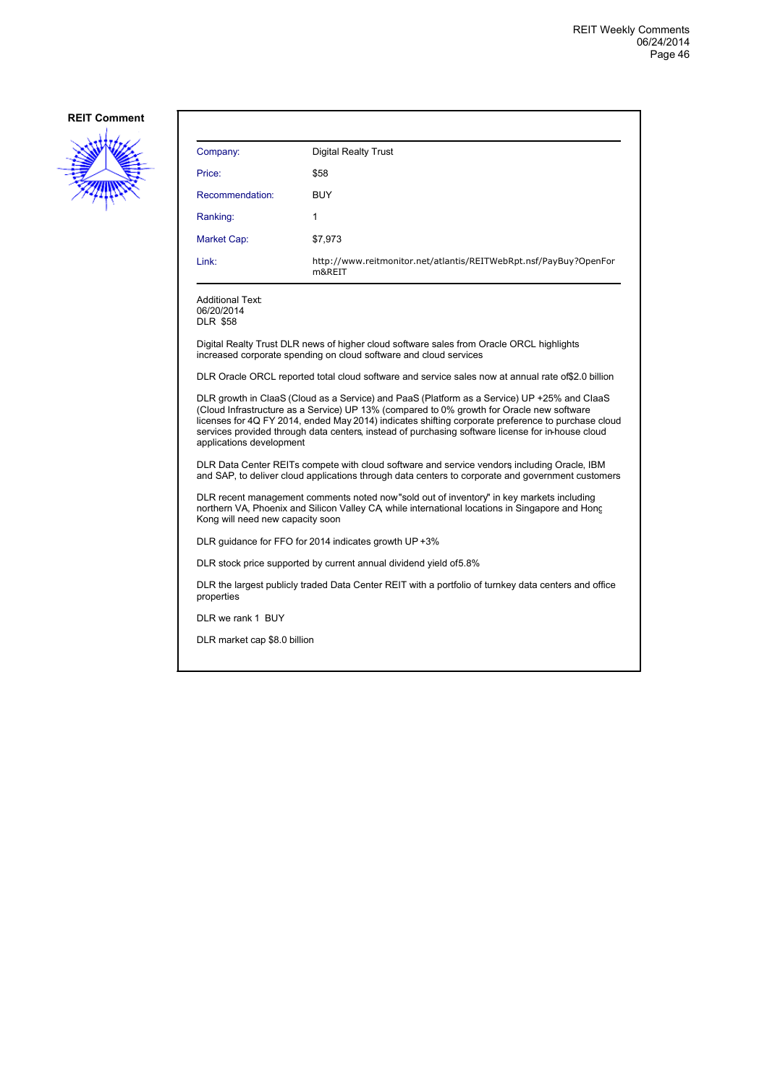

| Company:                                                                                                                                                                                                                                                                                                                                                                                                                        | <b>Digital Realty Trust</b>                                                                                                                                   |  |
|---------------------------------------------------------------------------------------------------------------------------------------------------------------------------------------------------------------------------------------------------------------------------------------------------------------------------------------------------------------------------------------------------------------------------------|---------------------------------------------------------------------------------------------------------------------------------------------------------------|--|
| Price:                                                                                                                                                                                                                                                                                                                                                                                                                          | \$58                                                                                                                                                          |  |
| Recommendation:                                                                                                                                                                                                                                                                                                                                                                                                                 | <b>BUY</b>                                                                                                                                                    |  |
| Ranking:                                                                                                                                                                                                                                                                                                                                                                                                                        | 1                                                                                                                                                             |  |
| Market Cap:                                                                                                                                                                                                                                                                                                                                                                                                                     | \$7,973                                                                                                                                                       |  |
| Link:                                                                                                                                                                                                                                                                                                                                                                                                                           | http://www.reitmonitor.net/atlantis/REITWebRpt.nsf/PayBuy?OpenFor<br>m&REIT                                                                                   |  |
| Additional Text:<br>06/20/2014<br><b>DLR \$58</b>                                                                                                                                                                                                                                                                                                                                                                               |                                                                                                                                                               |  |
|                                                                                                                                                                                                                                                                                                                                                                                                                                 | Digital Realty Trust DLR news of higher cloud software sales from Oracle ORCL highlights<br>increased corporate spending on cloud software and cloud services |  |
| DLR Oracle ORCL reported total cloud software and service sales now at annual rate of \$2.0 billion                                                                                                                                                                                                                                                                                                                             |                                                                                                                                                               |  |
| DLR growth in ClaaS (Cloud as a Service) and PaaS (Platform as a Service) UP +25% and ClaaS<br>(Cloud Infrastructure as a Service) UP 13% (compared to 0% growth for Oracle new software<br>licenses for 4Q FY 2014, ended May 2014) indicates shifting corporate preference to purchase cloud<br>services provided through data centers, instead of purchasing software license for in-house cloud<br>applications development |                                                                                                                                                               |  |
| DLR Data Center REITs compete with cloud software and service vendors including Oracle, IBM<br>and SAP, to deliver cloud applications through data centers to corporate and government customers                                                                                                                                                                                                                                |                                                                                                                                                               |  |
| DLR recent management comments noted now"sold out of inventory" in key markets including<br>northern VA, Phoenix and Silicon Valley CA, while international locations in Singapore and Honc<br>Kong will need new capacity soon                                                                                                                                                                                                 |                                                                                                                                                               |  |
|                                                                                                                                                                                                                                                                                                                                                                                                                                 | DLR guidance for FFO for 2014 indicates growth UP +3%                                                                                                         |  |
|                                                                                                                                                                                                                                                                                                                                                                                                                                 | DLR stock price supported by current annual dividend yield of 5.8%                                                                                            |  |
| DLR the largest publicly traded Data Center REIT with a portfolio of turnkey data centers and office<br>properties                                                                                                                                                                                                                                                                                                              |                                                                                                                                                               |  |
| DLR we rank 1 BUY                                                                                                                                                                                                                                                                                                                                                                                                               |                                                                                                                                                               |  |
| DLR market cap \$8.0 billion                                                                                                                                                                                                                                                                                                                                                                                                    |                                                                                                                                                               |  |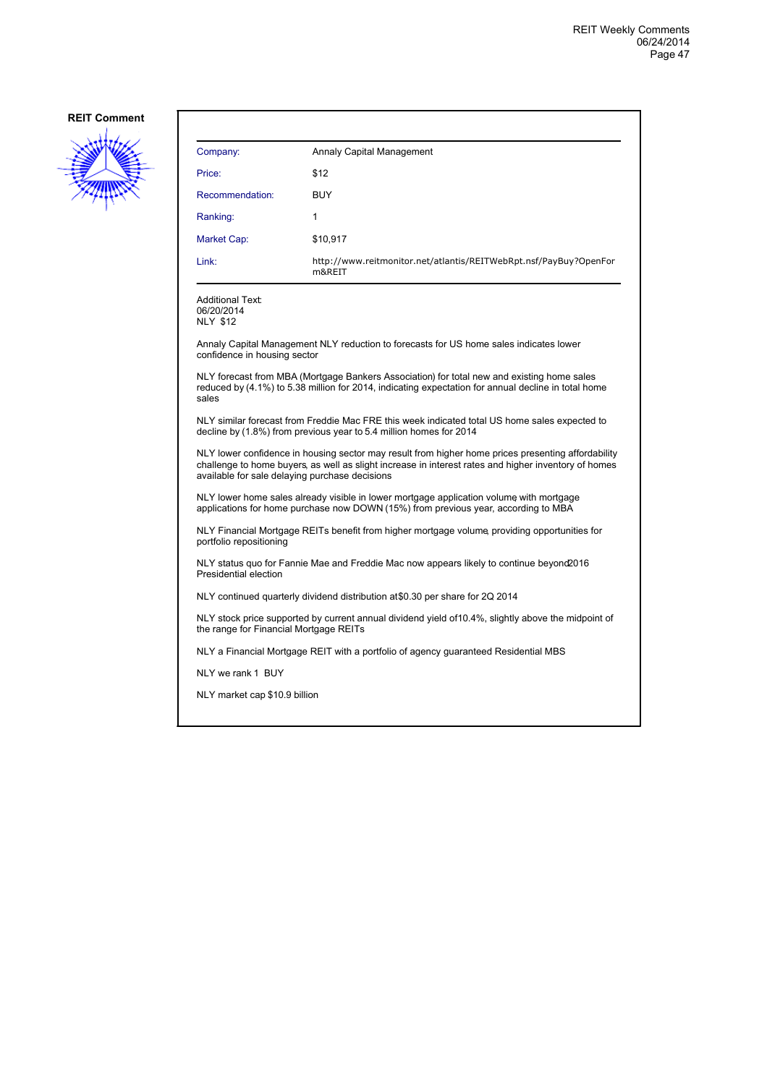

| Company:                                                                                                                                                                                                                                                     | Annaly Capital Management                                                              |  |
|--------------------------------------------------------------------------------------------------------------------------------------------------------------------------------------------------------------------------------------------------------------|----------------------------------------------------------------------------------------|--|
| Price:                                                                                                                                                                                                                                                       | \$12                                                                                   |  |
| Recommendation:                                                                                                                                                                                                                                              | <b>BUY</b>                                                                             |  |
| Ranking:                                                                                                                                                                                                                                                     | 1                                                                                      |  |
| Market Cap:                                                                                                                                                                                                                                                  | \$10,917                                                                               |  |
| Link:                                                                                                                                                                                                                                                        | http://www.reitmonitor.net/atlantis/REITWebRpt.nsf/PayBuy?OpenFor<br>m&REIT            |  |
| <b>Additional Text:</b><br>06/20/2014<br><b>NLY \$12</b>                                                                                                                                                                                                     |                                                                                        |  |
| confidence in housing sector                                                                                                                                                                                                                                 | Annaly Capital Management NLY reduction to forecasts for US home sales indicates lower |  |
| NLY forecast from MBA (Mortgage Bankers Association) for total new and existing home sales<br>reduced by (4.1%) to 5.38 million for 2014, indicating expectation for annual decline in total home<br>sales                                                   |                                                                                        |  |
| NLY similar forecast from Freddie Mac FRE this week indicated total US home sales expected to<br>decline by (1.8%) from previous year to 5.4 million homes for 2014                                                                                          |                                                                                        |  |
| NLY lower confidence in housing sector may result from higher home prices presenting affordability<br>challenge to home buyers, as well as slight increase in interest rates and higher inventory of homes<br>available for sale delaying purchase decisions |                                                                                        |  |
| NLY lower home sales already visible in lower mortgage application volume with mortgage<br>applications for home purchase now DOWN (15%) from previous year, according to MBA                                                                                |                                                                                        |  |
| NLY Financial Mortgage REITs benefit from higher mortgage volume, providing opportunities for<br>portfolio repositioning                                                                                                                                     |                                                                                        |  |
| NLY status quo for Fannie Mae and Freddie Mac now appears likely to continue beyond 2016<br>Presidential election                                                                                                                                            |                                                                                        |  |
| NLY continued quarterly dividend distribution at \$0.30 per share for 2Q 2014                                                                                                                                                                                |                                                                                        |  |
| NLY stock price supported by current annual dividend yield of 10.4%, slightly above the midpoint of<br>the range for Financial Mortgage REITs                                                                                                                |                                                                                        |  |
|                                                                                                                                                                                                                                                              | NLY a Financial Mortgage REIT with a portfolio of agency guaranteed Residential MBS    |  |
| NLY we rank 1 BUY                                                                                                                                                                                                                                            |                                                                                        |  |
| NLY market cap \$10.9 billion                                                                                                                                                                                                                                |                                                                                        |  |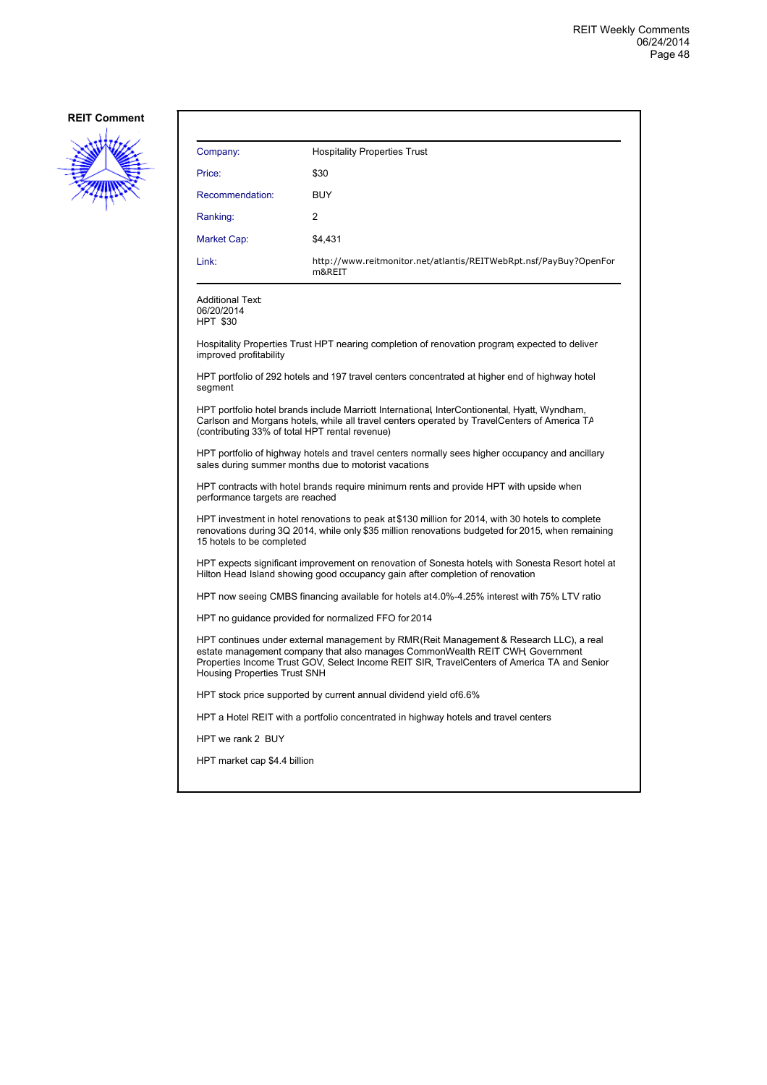

| Company:                                                                                                                                                                                                                                                                                                      | <b>Hospitality Properties Trust</b>                                                           |  |
|---------------------------------------------------------------------------------------------------------------------------------------------------------------------------------------------------------------------------------------------------------------------------------------------------------------|-----------------------------------------------------------------------------------------------|--|
| Price:                                                                                                                                                                                                                                                                                                        | \$30                                                                                          |  |
| Recommendation:                                                                                                                                                                                                                                                                                               | <b>BUY</b>                                                                                    |  |
| Ranking:                                                                                                                                                                                                                                                                                                      | $\overline{2}$                                                                                |  |
| <b>Market Cap:</b>                                                                                                                                                                                                                                                                                            | \$4.431                                                                                       |  |
| Link:                                                                                                                                                                                                                                                                                                         | http://www.reitmonitor.net/atlantis/REITWebRpt.nsf/PayBuy?OpenFor<br>m&REIT                   |  |
| <b>Additional Text:</b><br>06/20/2014<br><b>HPT \$30</b>                                                                                                                                                                                                                                                      |                                                                                               |  |
| improved profitability                                                                                                                                                                                                                                                                                        | Hospitality Properties Trust HPT nearing completion of renovation program expected to deliver |  |
| HPT portfolio of 292 hotels and 197 travel centers concentrated at higher end of highway hotel<br>segment                                                                                                                                                                                                     |                                                                                               |  |
| HPT portfolio hotel brands include Marriott International, InterContionental, Hyatt, Wyndham,<br>Carlson and Morgans hotels, while all travel centers operated by TravelCenters of America TA<br>(contributing 33% of total HPT rental revenue)                                                               |                                                                                               |  |
| HPT portfolio of highway hotels and travel centers normally sees higher occupancy and ancillary<br>sales during summer months due to motorist vacations                                                                                                                                                       |                                                                                               |  |
| HPT contracts with hotel brands require minimum rents and provide HPT with upside when<br>performance targets are reached                                                                                                                                                                                     |                                                                                               |  |
| HPT investment in hotel renovations to peak at \$130 million for 2014, with 30 hotels to complete<br>renovations during 3Q 2014, while only \$35 million renovations budgeted for 2015, when remaining<br>15 hotels to be completed                                                                           |                                                                                               |  |
| HPT expects significant improvement on renovation of Sonesta hotels with Sonesta Resort hotel at<br>Hilton Head Island showing good occupancy gain after completion of renovation                                                                                                                             |                                                                                               |  |
| HPT now seeing CMBS financing available for hotels at4.0%-4.25% interest with 75% LTV ratio                                                                                                                                                                                                                   |                                                                                               |  |
| HPT no guidance provided for normalized FFO for 2014                                                                                                                                                                                                                                                          |                                                                                               |  |
| HPT continues under external management by RMR(Reit Management & Research LLC), a real<br>estate management company that also manages CommonWealth REIT CWH, Government<br>Properties Income Trust GOV, Select Income REIT SIR, TravelCenters of America TA and Senior<br><b>Housing Properties Trust SNH</b> |                                                                                               |  |
|                                                                                                                                                                                                                                                                                                               | HPT stock price supported by current annual dividend yield of 6.6%                            |  |
|                                                                                                                                                                                                                                                                                                               | HPT a Hotel REIT with a portfolio concentrated in highway hotels and travel centers           |  |
| HPT we rank 2 BUY                                                                                                                                                                                                                                                                                             |                                                                                               |  |
| HPT market cap \$4.4 billion                                                                                                                                                                                                                                                                                  |                                                                                               |  |
|                                                                                                                                                                                                                                                                                                               |                                                                                               |  |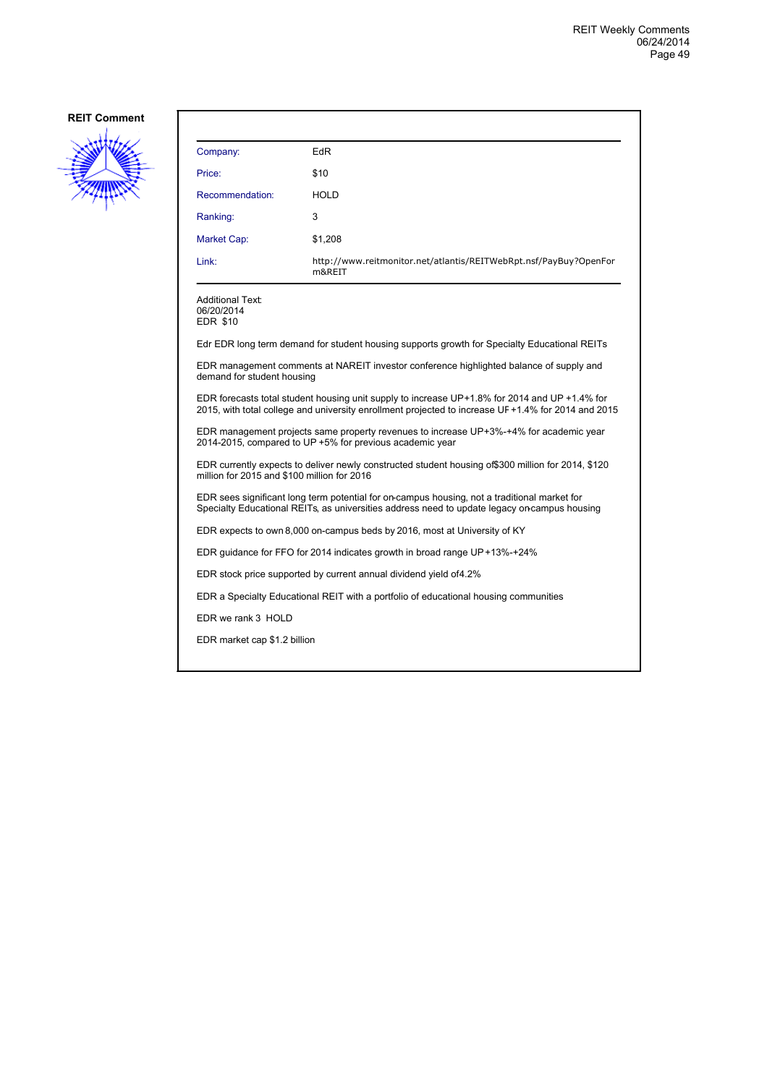

| Company:                                                                                                                                                                                             | EdR                                                                                          |  |
|------------------------------------------------------------------------------------------------------------------------------------------------------------------------------------------------------|----------------------------------------------------------------------------------------------|--|
| Price:                                                                                                                                                                                               | \$10                                                                                         |  |
| Recommendation:                                                                                                                                                                                      | <b>HOLD</b>                                                                                  |  |
| Ranking:                                                                                                                                                                                             | 3                                                                                            |  |
| Market Cap:                                                                                                                                                                                          | \$1,208                                                                                      |  |
| Link:                                                                                                                                                                                                | http://www.reitmonitor.net/atlantis/REITWebRpt.nsf/PayBuy?OpenFor<br>m&REIT                  |  |
| Additional Text:<br>06/20/2014<br><b>EDR \$10</b>                                                                                                                                                    |                                                                                              |  |
|                                                                                                                                                                                                      | Edr EDR long term demand for student housing supports growth for Specialty Educational REITs |  |
| EDR management comments at NAREIT investor conference highlighted balance of supply and<br>demand for student housing                                                                                |                                                                                              |  |
| EDR forecasts total student housing unit supply to increase UP+1.8% for 2014 and UP +1.4% for<br>2015, with total college and university enrollment projected to increase UF +1.4% for 2014 and 2015 |                                                                                              |  |
| EDR management projects same property revenues to increase UP+3%-+4% for academic year<br>2014-2015, compared to UP +5% for previous academic year                                                   |                                                                                              |  |
| EDR currently expects to deliver newly constructed student housing of \$300 million for 2014, \$120<br>million for 2015 and \$100 million for 2016                                                   |                                                                                              |  |
| EDR sees significant long term potential for on-campus housing, not a traditional market for<br>Specialty Educational REITs, as universities address need to update legacy on campus housing         |                                                                                              |  |
| EDR expects to own 8,000 on-campus beds by 2016, most at University of KY                                                                                                                            |                                                                                              |  |
|                                                                                                                                                                                                      | EDR guidance for FFO for 2014 indicates growth in broad range UP+13%-+24%                    |  |
| EDR stock price supported by current annual dividend yield of 4.2%                                                                                                                                   |                                                                                              |  |
|                                                                                                                                                                                                      | EDR a Specialty Educational REIT with a portfolio of educational housing communities         |  |
| EDR we rank 3 HOLD                                                                                                                                                                                   |                                                                                              |  |
| EDR market cap \$1.2 billion                                                                                                                                                                         |                                                                                              |  |
|                                                                                                                                                                                                      |                                                                                              |  |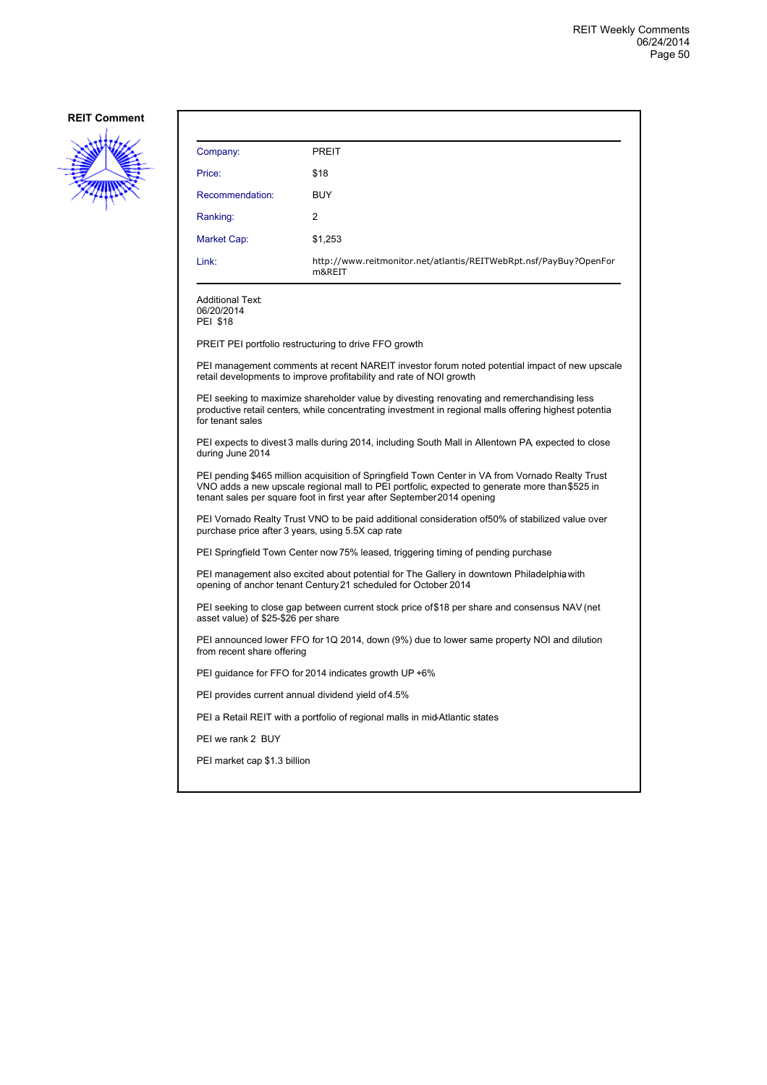

| Company:                                                                                                                                                                                                                                                                      | <b>PREIT</b>                                                                                                                                                         |  |
|-------------------------------------------------------------------------------------------------------------------------------------------------------------------------------------------------------------------------------------------------------------------------------|----------------------------------------------------------------------------------------------------------------------------------------------------------------------|--|
| Price:                                                                                                                                                                                                                                                                        | \$18                                                                                                                                                                 |  |
| Recommendation:                                                                                                                                                                                                                                                               | <b>BUY</b>                                                                                                                                                           |  |
| Ranking:                                                                                                                                                                                                                                                                      | 2                                                                                                                                                                    |  |
| Market Cap:                                                                                                                                                                                                                                                                   | \$1,253                                                                                                                                                              |  |
| Link:                                                                                                                                                                                                                                                                         | http://www.reitmonitor.net/atlantis/REITWebRpt.nsf/PayBuy?OpenFor<br>m&REIT                                                                                          |  |
| <b>Additional Text:</b><br>06/20/2014<br><b>PEI \$18</b>                                                                                                                                                                                                                      |                                                                                                                                                                      |  |
|                                                                                                                                                                                                                                                                               | PREIT PEI portfolio restructuring to drive FFO growth                                                                                                                |  |
|                                                                                                                                                                                                                                                                               | PEI management comments at recent NAREIT investor forum noted potential impact of new upscale<br>retail developments to improve profitability and rate of NOI growth |  |
| PEI seeking to maximize shareholder value by divesting renovating and remerchandising less<br>productive retail centers, while concentrating investment in regional malls offering highest potentia<br>for tenant sales                                                       |                                                                                                                                                                      |  |
| during June 2014                                                                                                                                                                                                                                                              | PEI expects to divest 3 malls during 2014, including South Mall in Allentown PA expected to close                                                                    |  |
| PEI pending \$465 million acquisition of Springfield Town Center in VA from Vornado Realty Trust<br>VNO adds a new upscale regional mall to PEI portfolic, expected to generate more than \$525 in<br>tenant sales per square foot in first year after September 2014 opening |                                                                                                                                                                      |  |
| PEI Vornado Realty Trust VNO to be paid additional consideration of50% of stabilized value over<br>purchase price after 3 years, using 5.5X cap rate                                                                                                                          |                                                                                                                                                                      |  |
| PEI Springfield Town Center now 75% leased, triggering timing of pending purchase                                                                                                                                                                                             |                                                                                                                                                                      |  |
| PEI management also excited about potential for The Gallery in downtown Philadelphia with<br>opening of anchor tenant Century 21 scheduled for October 2014                                                                                                                   |                                                                                                                                                                      |  |
| PEI seeking to close gap between current stock price of \$18 per share and consensus NAV (net<br>asset value) of \$25-\$26 per share                                                                                                                                          |                                                                                                                                                                      |  |
| PEI announced lower FFO for 1Q 2014, down (9%) due to lower same property NOI and dilution<br>from recent share offering                                                                                                                                                      |                                                                                                                                                                      |  |
| PEI guidance for FFO for 2014 indicates growth UP +6%                                                                                                                                                                                                                         |                                                                                                                                                                      |  |
|                                                                                                                                                                                                                                                                               | PEI provides current annual dividend yield of 4.5%                                                                                                                   |  |
|                                                                                                                                                                                                                                                                               | PEI a Retail REIT with a portfolio of regional malls in mid-Atlantic states                                                                                          |  |
| PEI we rank 2 BUY                                                                                                                                                                                                                                                             |                                                                                                                                                                      |  |
| PEI market cap \$1.3 billion                                                                                                                                                                                                                                                  |                                                                                                                                                                      |  |
|                                                                                                                                                                                                                                                                               |                                                                                                                                                                      |  |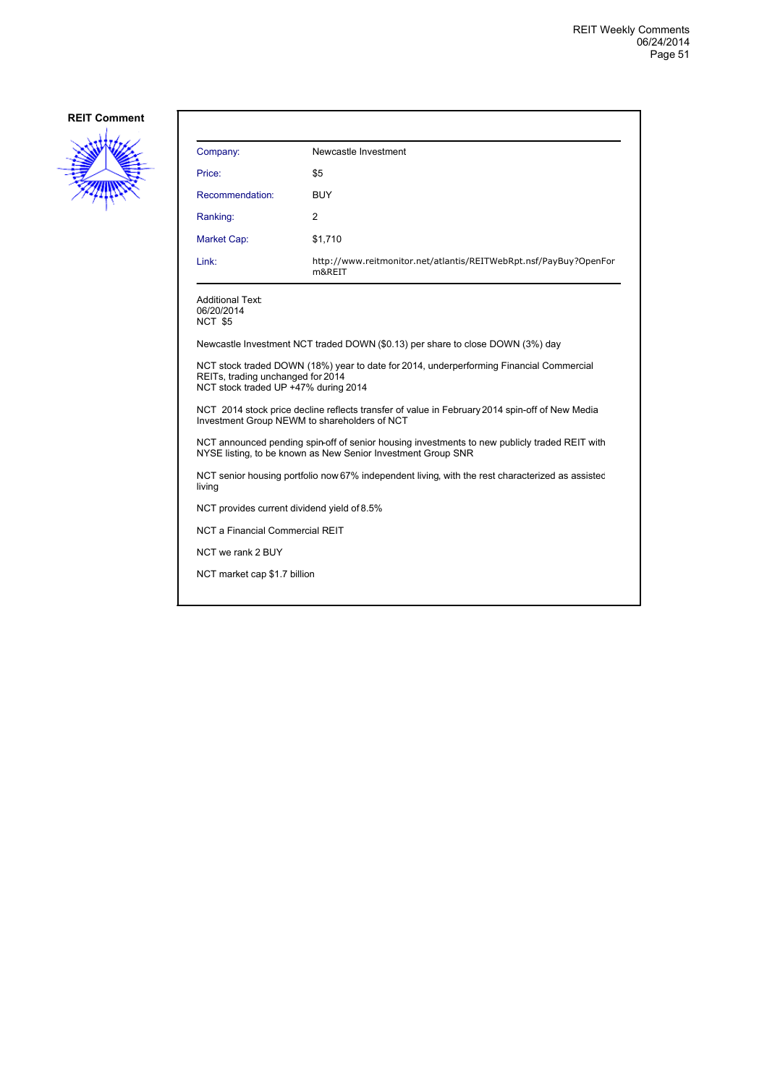

| Company:                                                                                                                                                             | Newcastle Investment                                                        |  |  |
|----------------------------------------------------------------------------------------------------------------------------------------------------------------------|-----------------------------------------------------------------------------|--|--|
| Price:                                                                                                                                                               | \$5                                                                         |  |  |
| Recommendation:                                                                                                                                                      | <b>BUY</b>                                                                  |  |  |
| Ranking:                                                                                                                                                             | 2                                                                           |  |  |
| <b>Market Cap:</b>                                                                                                                                                   | \$1,710                                                                     |  |  |
| Link:                                                                                                                                                                | http://www.reitmonitor.net/atlantis/REITWebRpt.nsf/PayBuy?OpenFor<br>m&REIT |  |  |
| <b>Additional Text:</b><br>06/20/2014<br>NCT \$5                                                                                                                     |                                                                             |  |  |
| Newcastle Investment NCT traded DOWN (\$0.13) per share to close DOWN (3%) day                                                                                       |                                                                             |  |  |
| NCT stock traded DOWN (18%) year to date for 2014, underperforming Financial Commercial<br>REITs, trading unchanged for 2014<br>NCT stock traded UP +47% during 2014 |                                                                             |  |  |
| NCT 2014 stock price decline reflects transfer of value in February 2014 spin-off of New Media<br>Investment Group NEWM to shareholders of NCT                       |                                                                             |  |  |
| NCT announced pending spin-off of senior housing investments to new publicly traded REIT with<br>NYSE listing, to be known as New Senior Investment Group SNR        |                                                                             |  |  |
| NCT senior housing portfolio now 67% independent living, with the rest characterized as assisted<br>living                                                           |                                                                             |  |  |
| NCT provides current dividend yield of 8.5%                                                                                                                          |                                                                             |  |  |
| <b>NCT a Financial Commercial REIT</b>                                                                                                                               |                                                                             |  |  |
| NCT we rank 2 BUY                                                                                                                                                    |                                                                             |  |  |
| NCT market cap \$1.7 billion                                                                                                                                         |                                                                             |  |  |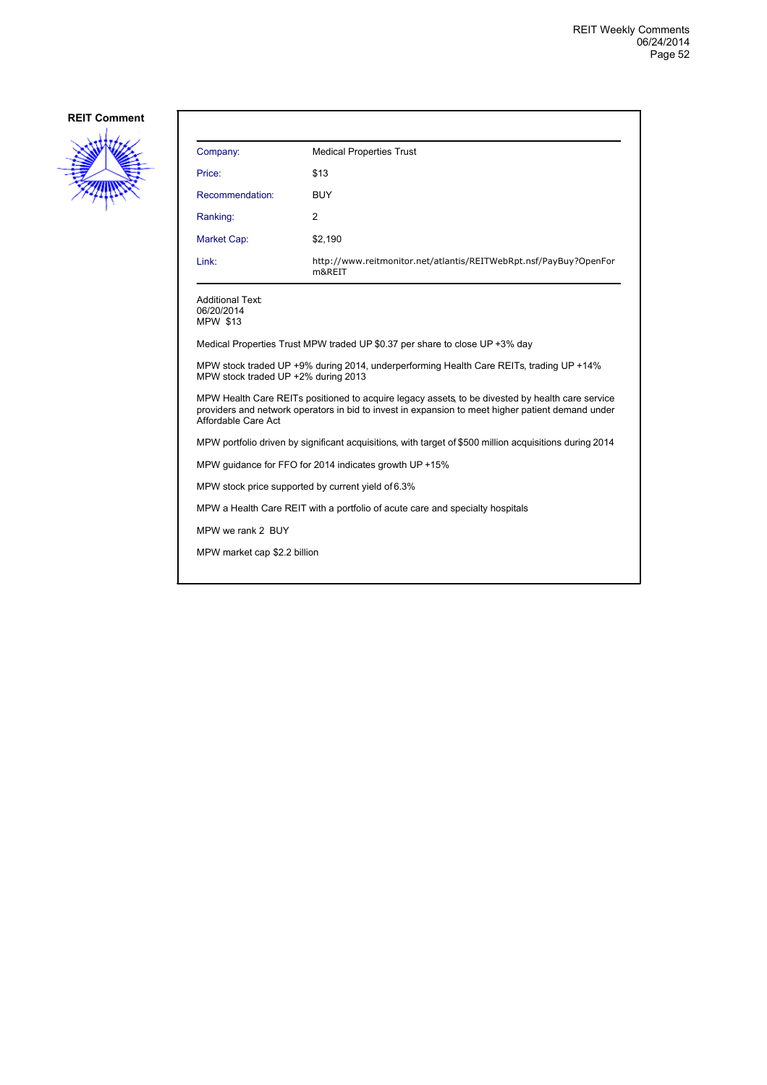

| Company:                                                                                                                                                                                                                    | <b>Medical Properties Trust</b>                                             |  |  |  |
|-----------------------------------------------------------------------------------------------------------------------------------------------------------------------------------------------------------------------------|-----------------------------------------------------------------------------|--|--|--|
| Price:                                                                                                                                                                                                                      | \$13                                                                        |  |  |  |
| Recommendation:                                                                                                                                                                                                             | <b>BUY</b>                                                                  |  |  |  |
| Ranking:                                                                                                                                                                                                                    | 2                                                                           |  |  |  |
| Market Cap:                                                                                                                                                                                                                 | \$2,190                                                                     |  |  |  |
| Link:                                                                                                                                                                                                                       | http://www.reitmonitor.net/atlantis/REITWebRpt.nsf/PayBuy?OpenFor<br>m&REIT |  |  |  |
| <b>Additional Text:</b><br>06/20/2014<br><b>MPW \$13</b>                                                                                                                                                                    |                                                                             |  |  |  |
| Medical Properties Trust MPW traded UP \$0.37 per share to close UP +3% day                                                                                                                                                 |                                                                             |  |  |  |
| MPW stock traded UP +9% during 2014, underperforming Health Care REITs, trading UP +14%<br>MPW stock traded UP +2% during 2013                                                                                              |                                                                             |  |  |  |
| MPW Health Care REITs positioned to acquire legacy assets to be divested by health care service<br>providers and network operators in bid to invest in expansion to meet higher patient demand under<br>Affordable Care Act |                                                                             |  |  |  |
| MPW portfolio driven by significant acquisitions, with target of \$500 million acquisitions during 2014                                                                                                                     |                                                                             |  |  |  |
| MPW guidance for FFO for 2014 indicates growth UP +15%                                                                                                                                                                      |                                                                             |  |  |  |
| MPW stock price supported by current yield of 6.3%                                                                                                                                                                          |                                                                             |  |  |  |
| MPW a Health Care REIT with a portfolio of acute care and specialty hospitals                                                                                                                                               |                                                                             |  |  |  |
| MPW we rank 2 BUY                                                                                                                                                                                                           |                                                                             |  |  |  |
| MPW market cap \$2.2 billion                                                                                                                                                                                                |                                                                             |  |  |  |
|                                                                                                                                                                                                                             |                                                                             |  |  |  |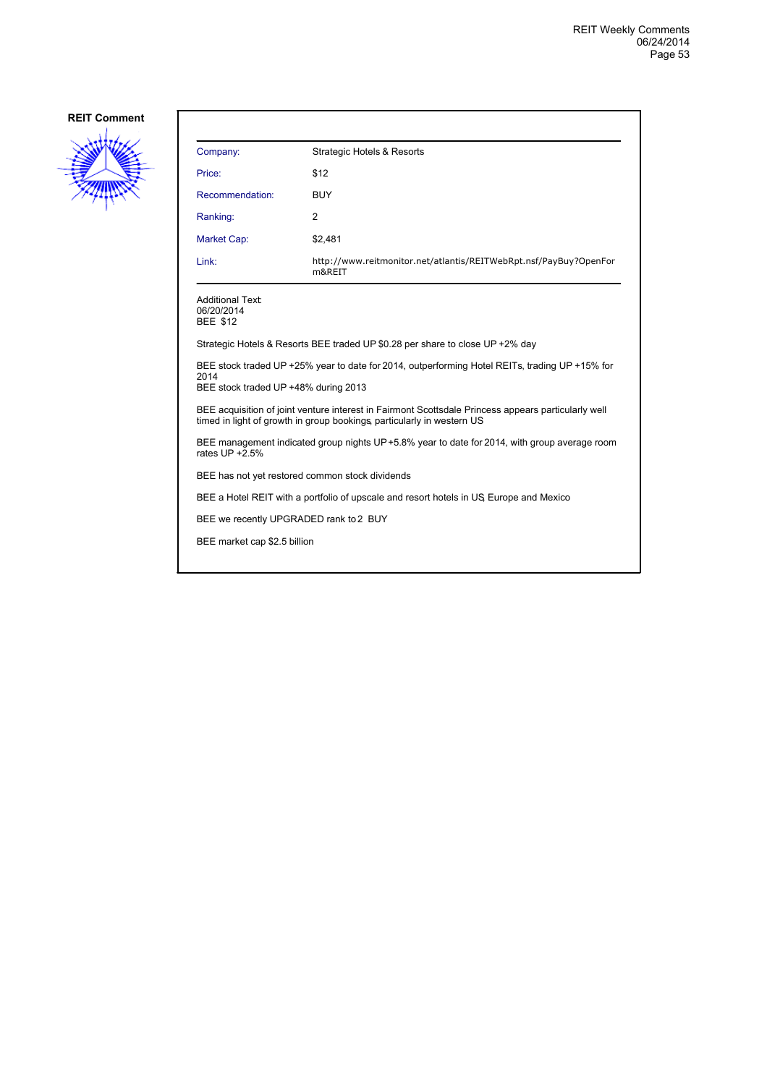

| Company:                                                                                                                                                                      | Strategic Hotels & Resorts                                                  |  |  |  |
|-------------------------------------------------------------------------------------------------------------------------------------------------------------------------------|-----------------------------------------------------------------------------|--|--|--|
| Price:                                                                                                                                                                        | \$12                                                                        |  |  |  |
| Recommendation:                                                                                                                                                               | <b>BUY</b>                                                                  |  |  |  |
| Ranking:                                                                                                                                                                      | 2                                                                           |  |  |  |
| Market Cap:                                                                                                                                                                   | \$2,481                                                                     |  |  |  |
| Link:                                                                                                                                                                         | http://www.reitmonitor.net/atlantis/REITWebRpt.nsf/PayBuy?OpenFor<br>m&REIT |  |  |  |
| <b>Additional Text:</b><br>06/20/2014<br><b>BEE \$12</b>                                                                                                                      |                                                                             |  |  |  |
| Strategic Hotels & Resorts BEE traded UP \$0.28 per share to close UP +2% day                                                                                                 |                                                                             |  |  |  |
| BEE stock traded UP +25% year to date for 2014, outperforming Hotel REITs, trading UP +15% for<br>2014<br>BEE stock traded UP +48% during 2013                                |                                                                             |  |  |  |
| BEE acquisition of joint venture interest in Fairmont Scottsdale Princess appears particularly well<br>timed in light of growth in group bookings, particularly in western US |                                                                             |  |  |  |
| BEE management indicated group nights UP+5.8% year to date for 2014, with group average room<br>rates UP +2.5%                                                                |                                                                             |  |  |  |
| BEE has not yet restored common stock dividends                                                                                                                               |                                                                             |  |  |  |
| BEE a Hotel REIT with a portfolio of upscale and resort hotels in US Europe and Mexico                                                                                        |                                                                             |  |  |  |
| BEE we recently UPGRADED rank to 2 BUY                                                                                                                                        |                                                                             |  |  |  |
| BEE market cap \$2.5 billion                                                                                                                                                  |                                                                             |  |  |  |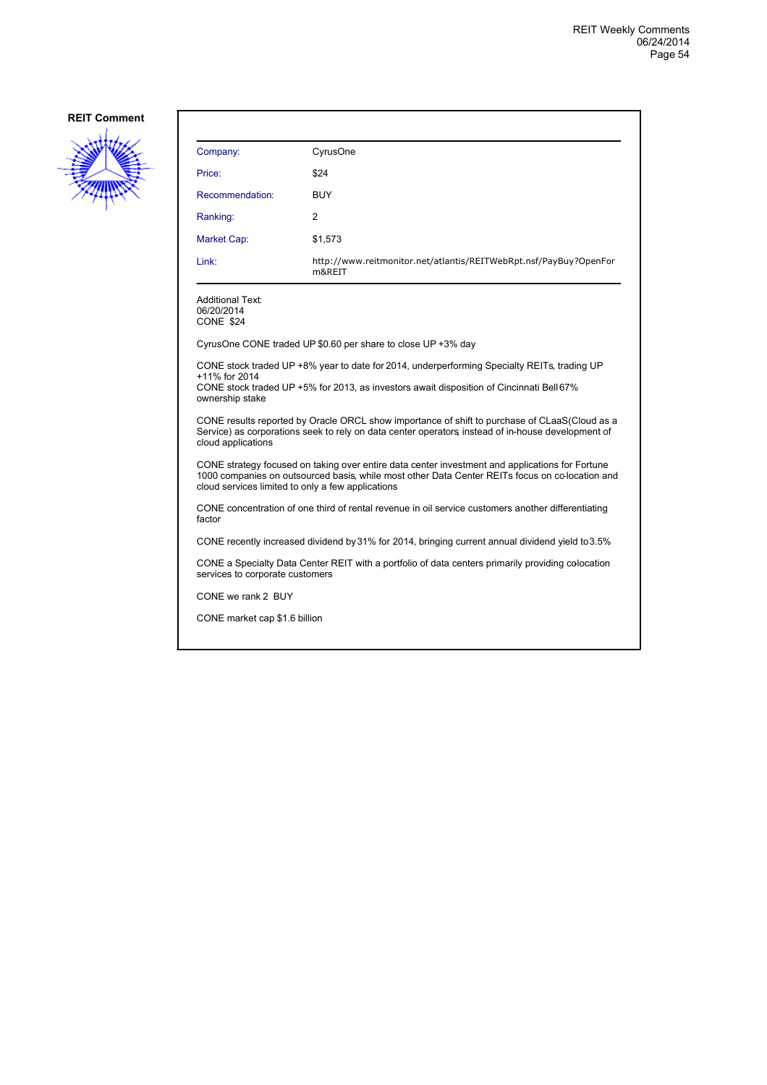

| Company:                                                                                                                                                                                                                                                | CyrusOne                                                                    |  |  |  |
|---------------------------------------------------------------------------------------------------------------------------------------------------------------------------------------------------------------------------------------------------------|-----------------------------------------------------------------------------|--|--|--|
| Price:                                                                                                                                                                                                                                                  | \$24                                                                        |  |  |  |
| Recommendation:                                                                                                                                                                                                                                         | BUY                                                                         |  |  |  |
| Ranking:                                                                                                                                                                                                                                                | 2                                                                           |  |  |  |
| <b>Market Cap:</b>                                                                                                                                                                                                                                      | \$1,573                                                                     |  |  |  |
| Link:                                                                                                                                                                                                                                                   | http://www.reitmonitor.net/atlantis/REITWebRpt.nsf/PayBuy?OpenFor<br>m&REIT |  |  |  |
| <b>Additional Text:</b><br>06/20/2014<br>CONE \$24                                                                                                                                                                                                      |                                                                             |  |  |  |
| CyrusOne CONE traded UP \$0.60 per share to close UP +3% day                                                                                                                                                                                            |                                                                             |  |  |  |
| CONE stock traded UP +8% year to date for 2014, underperforming Specialty REITs, trading UP<br>+11% for 2014<br>CONE stock traded UP +5% for 2013, as investors await disposition of Cincinnati Bell 67%<br>ownership stake                             |                                                                             |  |  |  |
| CONE results reported by Oracle ORCL show importance of shift to purchase of CLaaS(Cloud as a<br>Service) as corporations seek to rely on data center operators instead of in-house development of<br>cloud applications                                |                                                                             |  |  |  |
| CONE strategy focused on taking over entire data center investment and applications for Fortune<br>1000 companies on outsourced basis, while most other Data Center REITs focus on cc-location and<br>cloud services limited to only a few applications |                                                                             |  |  |  |
| CONE concentration of one third of rental revenue in oil service customers another differentiating<br>factor                                                                                                                                            |                                                                             |  |  |  |
| CONE recently increased dividend by 31% for 2014, bringing current annual dividend yield to 3.5%                                                                                                                                                        |                                                                             |  |  |  |
| CONE a Specialty Data Center REIT with a portfolio of data centers primarily providing colocation<br>services to corporate customers                                                                                                                    |                                                                             |  |  |  |
| CONE we rank 2 BUY                                                                                                                                                                                                                                      |                                                                             |  |  |  |
| CONE market cap \$1.6 billion                                                                                                                                                                                                                           |                                                                             |  |  |  |